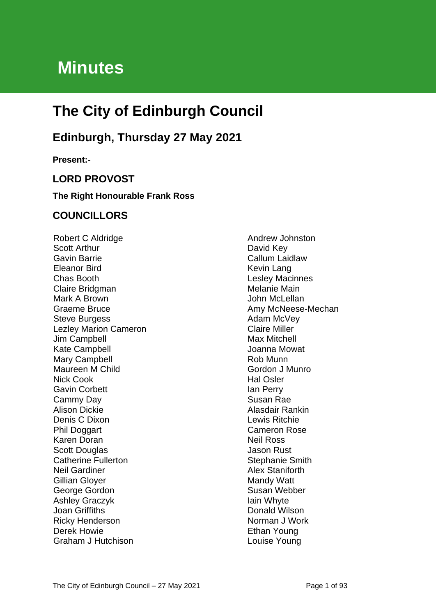# **Minutes**

# **The City of Edinburgh Council**

# **Edinburgh, Thursday 27 May 2021**

**Present:-**

### **LORD PROVOST**

#### **The Right Honourable Frank Ross**

#### **COUNCILLORS**

Robert C Aldridge Scott Arthur Gavin Barrie Eleanor Bird Chas Booth Claire Bridgman Mark A Brown Graeme Bruce Steve Burgess Lezley Marion Cameron Jim Campbell Kate Campbell Mary Campbell Maureen M Child Nick Cook Gavin Corbett Cammy Day Alison Dickie Denis C Dixon Phil Doggart Karen Doran Scott Douglas Catherine Fullerton Neil Gardiner Gillian Gloyer George Gordon Ashley Graczyk Joan Griffiths Ricky Henderson Derek Howie Graham J Hutchison

Andrew Johnston David Key Callum Laidlaw Kevin Lang Lesley Macinnes Melanie Main John McLellan Amy McNeese-Mechan Adam McVey Claire Miller Max Mitchell Joanna Mowat Rob Munn Gordon J Munro Hal Osler Ian Perry Susan Rae Alasdair Rankin Lewis Ritchie Cameron Rose Neil Ross Jason Rust Stephanie Smith Alex Staniforth Mandy Watt Susan Webber Iain Whyte Donald Wilson Norman J Work Ethan Young Louise Young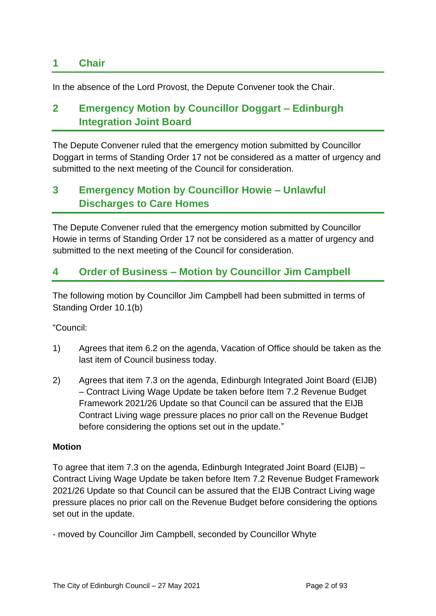### **1 Chair**

In the absence of the Lord Provost, the Depute Convener took the Chair.

### **2 Emergency Motion by Councillor Doggart – Edinburgh Integration Joint Board**

The Depute Convener ruled that the emergency motion submitted by Councillor Doggart in terms of Standing Order 17 not be considered as a matter of urgency and submitted to the next meeting of the Council for consideration.

## **3 Emergency Motion by Councillor Howie – Unlawful Discharges to Care Homes**

The Depute Convener ruled that the emergency motion submitted by Councillor Howie in terms of Standing Order 17 not be considered as a matter of urgency and submitted to the next meeting of the Council for consideration.

### **4 Order of Business – Motion by Councillor Jim Campbell**

The following motion by Councillor Jim Campbell had been submitted in terms of Standing Order 10.1(b)

"Council:

- 1) Agrees that item 6.2 on the agenda, Vacation of Office should be taken as the last item of Council business today.
- 2) Agrees that item 7.3 on the agenda, Edinburgh Integrated Joint Board (EIJB) – Contract Living Wage Update be taken before Item 7.2 Revenue Budget Framework 2021/26 Update so that Council can be assured that the EIJB Contract Living wage pressure places no prior call on the Revenue Budget before considering the options set out in the update."

#### **Motion**

To agree that item 7.3 on the agenda, Edinburgh Integrated Joint Board (EIJB) – Contract Living Wage Update be taken before Item 7.2 Revenue Budget Framework 2021/26 Update so that Council can be assured that the EIJB Contract Living wage pressure places no prior call on the Revenue Budget before considering the options set out in the update.

- moved by Councillor Jim Campbell, seconded by Councillor Whyte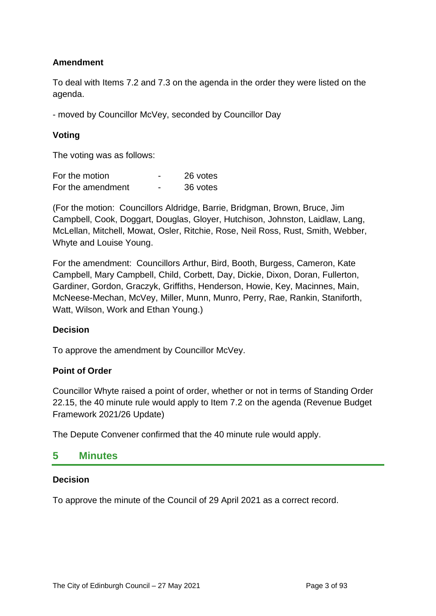#### **Amendment**

To deal with Items 7.2 and 7.3 on the agenda in the order they were listed on the agenda.

- moved by Councillor McVey, seconded by Councillor Day

#### **Voting**

The voting was as follows:

| For the motion    |   | 26 votes |
|-------------------|---|----------|
| For the amendment | - | 36 votes |

(For the motion: Councillors Aldridge, Barrie, Bridgman, Brown, Bruce, Jim Campbell, Cook, Doggart, Douglas, Gloyer, Hutchison, Johnston, Laidlaw, Lang, McLellan, Mitchell, Mowat, Osler, Ritchie, Rose, Neil Ross, Rust, Smith, Webber, Whyte and Louise Young.

For the amendment: Councillors Arthur, Bird, Booth, Burgess, Cameron, Kate Campbell, Mary Campbell, Child, Corbett, Day, Dickie, Dixon, Doran, Fullerton, Gardiner, Gordon, Graczyk, Griffiths, Henderson, Howie, Key, Macinnes, Main, McNeese-Mechan, McVey, Miller, Munn, Munro, Perry, Rae, Rankin, Staniforth, Watt, Wilson, Work and Ethan Young.)

#### **Decision**

To approve the amendment by Councillor McVey.

#### **Point of Order**

Councillor Whyte raised a point of order, whether or not in terms of Standing Order 22.15, the 40 minute rule would apply to Item 7.2 on the agenda (Revenue Budget Framework 2021/26 Update)

The Depute Convener confirmed that the 40 minute rule would apply.

#### **5 Minutes**

#### **Decision**

To approve the minute of the Council of 29 April 2021 as a correct record.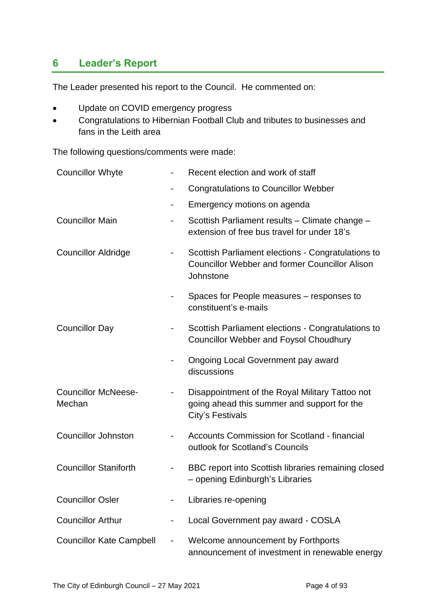### **6 Leader's Report**

The Leader presented his report to the Council. He commented on:

- Update on COVID emergency progress
- Congratulations to Hibernian Football Club and tributes to businesses and fans in the Leith area

The following questions/comments were made:

| <b>Councillor Whyte</b>              |                          | Recent election and work of staff                                                                                        |
|--------------------------------------|--------------------------|--------------------------------------------------------------------------------------------------------------------------|
|                                      |                          | <b>Congratulations to Councillor Webber</b>                                                                              |
|                                      |                          | Emergency motions on agenda                                                                                              |
| <b>Councillor Main</b>               |                          | Scottish Parliament results - Climate change -<br>extension of free bus travel for under 18's                            |
| <b>Councillor Aldridge</b>           |                          | Scottish Parliament elections - Congratulations to<br><b>Councillor Webber and former Councillor Alison</b><br>Johnstone |
|                                      |                          | Spaces for People measures – responses to<br>constituent's e-mails                                                       |
| <b>Councillor Day</b>                |                          | Scottish Parliament elections - Congratulations to<br><b>Councillor Webber and Foysol Choudhury</b>                      |
|                                      |                          | <b>Ongoing Local Government pay award</b><br>discussions                                                                 |
| <b>Councillor McNeese-</b><br>Mechan |                          | Disappointment of the Royal Military Tattoo not<br>going ahead this summer and support for the<br>City's Festivals       |
| <b>Councillor Johnston</b>           |                          | <b>Accounts Commission for Scotland - financial</b><br>outlook for Scotland's Councils                                   |
| <b>Councillor Staniforth</b>         | ٠                        | BBC report into Scottish libraries remaining closed<br>- opening Edinburgh's Libraries                                   |
| <b>Councillor Osler</b>              |                          | Libraries re-opening                                                                                                     |
| <b>Councillor Arthur</b>             |                          | Local Government pay award - COSLA                                                                                       |
| <b>Councillor Kate Campbell</b>      | $\overline{\phantom{0}}$ | Welcome announcement by Forthports<br>announcement of investment in renewable energy                                     |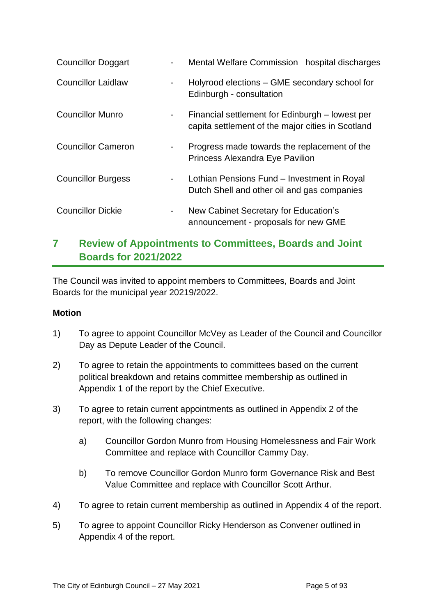| <b>Councillor Doggart</b> |                | Mental Welfare Commission hospital discharges                                                        |  |  |
|---------------------------|----------------|------------------------------------------------------------------------------------------------------|--|--|
| <b>Councillor Laidlaw</b> |                | Holyrood elections – GME secondary school for<br>Edinburgh - consultation                            |  |  |
| <b>Councillor Munro</b>   | $\blacksquare$ | Financial settlement for Edinburgh – lowest per<br>capita settlement of the major cities in Scotland |  |  |
| <b>Councillor Cameron</b> |                | Progress made towards the replacement of the<br>Princess Alexandra Eye Pavilion                      |  |  |
| <b>Councillor Burgess</b> |                | Lothian Pensions Fund – Investment in Royal<br>Dutch Shell and other oil and gas companies           |  |  |
| <b>Councillor Dickie</b>  | $\blacksquare$ | New Cabinet Secretary for Education's<br>announcement - proposals for new GME                        |  |  |

# **7 Review of Appointments to Committees, Boards and Joint Boards for 2021/2022**

The Council was invited to appoint members to Committees, Boards and Joint Boards for the municipal year 20219/2022.

#### **Motion**

- 1) To agree to appoint Councillor McVey as Leader of the Council and Councillor Day as Depute Leader of the Council.
- 2) To agree to retain the appointments to committees based on the current political breakdown and retains committee membership as outlined in Appendix 1 of the report by the Chief Executive.
- 3) To agree to retain current appointments as outlined in Appendix 2 of the report, with the following changes:
	- a) Councillor Gordon Munro from Housing Homelessness and Fair Work Committee and replace with Councillor Cammy Day.
	- b) To remove Councillor Gordon Munro form Governance Risk and Best Value Committee and replace with Councillor Scott Arthur.
- 4) To agree to retain current membership as outlined in Appendix 4 of the report.
- 5) To agree to appoint Councillor Ricky Henderson as Convener outlined in Appendix 4 of the report.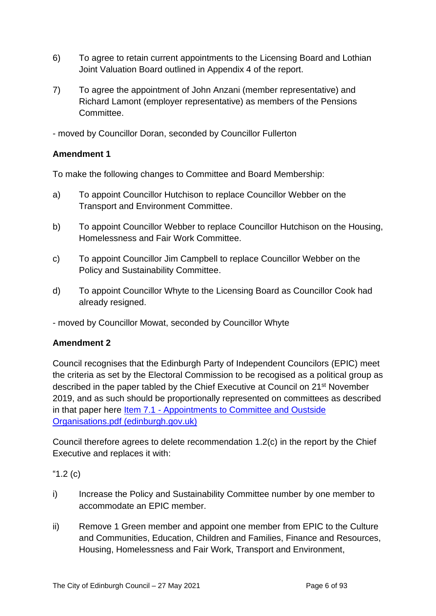- 6) To agree to retain current appointments to the Licensing Board and Lothian Joint Valuation Board outlined in Appendix 4 of the report.
- 7) To agree the appointment of John Anzani (member representative) and Richard Lamont (employer representative) as members of the Pensions Committee.

- moved by Councillor Doran, seconded by Councillor Fullerton

#### **Amendment 1**

To make the following changes to Committee and Board Membership:

- a) To appoint Councillor Hutchison to replace Councillor Webber on the Transport and Environment Committee.
- b) To appoint Councillor Webber to replace Councillor Hutchison on the Housing, Homelessness and Fair Work Committee.
- c) To appoint Councillor Jim Campbell to replace Councillor Webber on the Policy and Sustainability Committee.
- d) To appoint Councillor Whyte to the Licensing Board as Councillor Cook had already resigned.
- moved by Councillor Mowat, seconded by Councillor Whyte

#### **Amendment 2**

Council recognises that the Edinburgh Party of Independent Councilors (EPIC) meet the criteria as set by the Electoral Commission to be recogised as a political group as described in the paper tabled by the Chief Executive at Council on 21st November 2019, and as such should be proportionally represented on committees as described in that paper here **Item 7.1 - Appointments to Committee and Oustside** [Organisations.pdf \(edinburgh.gov.uk\)](https://democracy.edinburgh.gov.uk/documents/s11175/Item%207.1%20-%20Appointments%20to%20Committee%20and%20Oustside%20Organisations.pdf)

Council therefore agrees to delete recommendation 1.2(c) in the report by the Chief Executive and replaces it with:

"1.2 (c)

- i) Increase the Policy and Sustainability Committee number by one member to accommodate an EPIC member.
- ii) Remove 1 Green member and appoint one member from EPIC to the Culture and Communities, Education, Children and Families, Finance and Resources, Housing, Homelessness and Fair Work, Transport and Environment,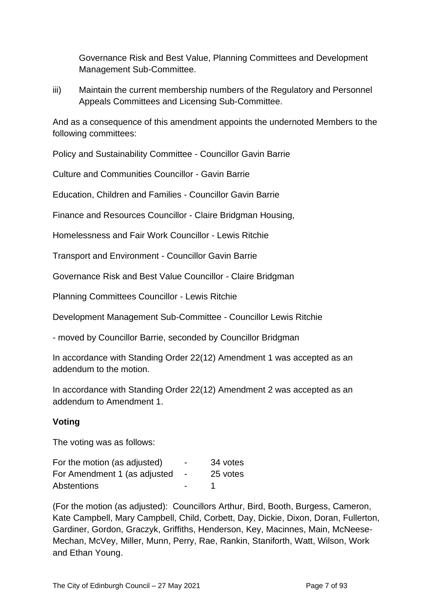Governance Risk and Best Value, Planning Committees and Development Management Sub-Committee.

iii) Maintain the current membership numbers of the Regulatory and Personnel Appeals Committees and Licensing Sub-Committee.

And as a consequence of this amendment appoints the undernoted Members to the following committees:

Policy and Sustainability Committee - Councillor Gavin Barrie

Culture and Communities Councillor - Gavin Barrie

Education, Children and Families - Councillor Gavin Barrie

Finance and Resources Councillor - Claire Bridgman Housing,

Homelessness and Fair Work Councillor - Lewis Ritchie

Transport and Environment - Councillor Gavin Barrie

Governance Risk and Best Value Councillor - Claire Bridgman

Planning Committees Councillor - Lewis Ritchie

Development Management Sub-Committee - Councillor Lewis Ritchie

- moved by Councillor Barrie, seconded by Councillor Bridgman

In accordance with Standing Order 22(12) Amendment 1 was accepted as an addendum to the motion.

In accordance with Standing Order 22(12) Amendment 2 was accepted as an addendum to Amendment 1.

#### **Voting**

The voting was as follows:

| For the motion (as adjusted) | $\overline{\phantom{0}}$ | 34 votes |
|------------------------------|--------------------------|----------|
| For Amendment 1 (as adjusted | $\sim$                   | 25 votes |
| Abstentions                  | $\sim$                   |          |

(For the motion (as adjusted): Councillors Arthur, Bird, Booth, Burgess, Cameron, Kate Campbell, Mary Campbell, Child, Corbett, Day, Dickie, Dixon, Doran, Fullerton, Gardiner, Gordon, Graczyk, Griffiths, Henderson, Key, Macinnes, Main, McNeese-Mechan, McVey, Miller, Munn, Perry, Rae, Rankin, Staniforth, Watt, Wilson, Work and Ethan Young.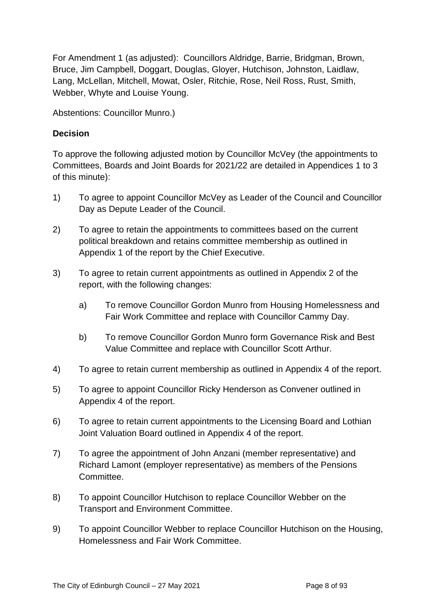For Amendment 1 (as adjusted): Councillors Aldridge, Barrie, Bridgman, Brown, Bruce, Jim Campbell, Doggart, Douglas, Gloyer, Hutchison, Johnston, Laidlaw, Lang, McLellan, Mitchell, Mowat, Osler, Ritchie, Rose, Neil Ross, Rust, Smith, Webber, Whyte and Louise Young.

Abstentions: Councillor Munro.)

#### **Decision**

To approve the following adjusted motion by Councillor McVey (the appointments to Committees, Boards and Joint Boards for 2021/22 are detailed in Appendices 1 to 3 of this minute):

- 1) To agree to appoint Councillor McVey as Leader of the Council and Councillor Day as Depute Leader of the Council.
- 2) To agree to retain the appointments to committees based on the current political breakdown and retains committee membership as outlined in Appendix 1 of the report by the Chief Executive.
- 3) To agree to retain current appointments as outlined in Appendix 2 of the report, with the following changes:
	- a) To remove Councillor Gordon Munro from Housing Homelessness and Fair Work Committee and replace with Councillor Cammy Day.
	- b) To remove Councillor Gordon Munro form Governance Risk and Best Value Committee and replace with Councillor Scott Arthur.
- 4) To agree to retain current membership as outlined in Appendix 4 of the report.
- 5) To agree to appoint Councillor Ricky Henderson as Convener outlined in Appendix 4 of the report.
- 6) To agree to retain current appointments to the Licensing Board and Lothian Joint Valuation Board outlined in Appendix 4 of the report.
- 7) To agree the appointment of John Anzani (member representative) and Richard Lamont (employer representative) as members of the Pensions Committee.
- 8) To appoint Councillor Hutchison to replace Councillor Webber on the Transport and Environment Committee.
- 9) To appoint Councillor Webber to replace Councillor Hutchison on the Housing, Homelessness and Fair Work Committee.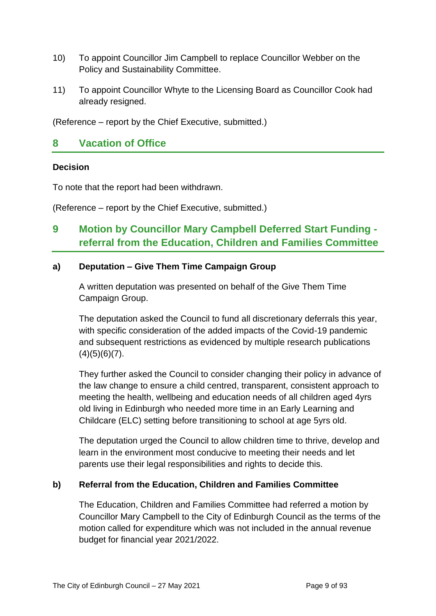- 10) To appoint Councillor Jim Campbell to replace Councillor Webber on the Policy and Sustainability Committee.
- 11) To appoint Councillor Whyte to the Licensing Board as Councillor Cook had already resigned.

(Reference – report by the Chief Executive, submitted.)

#### **8 Vacation of Office**

#### **Decision**

To note that the report had been withdrawn.

(Reference – report by the Chief Executive, submitted.)

# **9 Motion by Councillor Mary Campbell Deferred Start Funding referral from the Education, Children and Families Committee**

#### **a) Deputation – Give Them Time Campaign Group**

A written deputation was presented on behalf of the Give Them Time Campaign Group.

The deputation asked the Council to fund all discretionary deferrals this year, with specific consideration of the added impacts of the Covid-19 pandemic and subsequent restrictions as evidenced by multiple research publications  $(4)(5)(6)(7)$ .

They further asked the Council to consider changing their policy in advance of the law change to ensure a child centred, transparent, consistent approach to meeting the health, wellbeing and education needs of all children aged 4yrs old living in Edinburgh who needed more time in an Early Learning and Childcare (ELC) setting before transitioning to school at age 5yrs old.

The deputation urged the Council to allow children time to thrive, develop and learn in the environment most conducive to meeting their needs and let parents use their legal responsibilities and rights to decide this.

#### **b) Referral from the Education, Children and Families Committee**

The Education, Children and Families Committee had referred a motion by Councillor Mary Campbell to the City of Edinburgh Council as the terms of the motion called for expenditure which was not included in the annual revenue budget for financial year 2021/2022.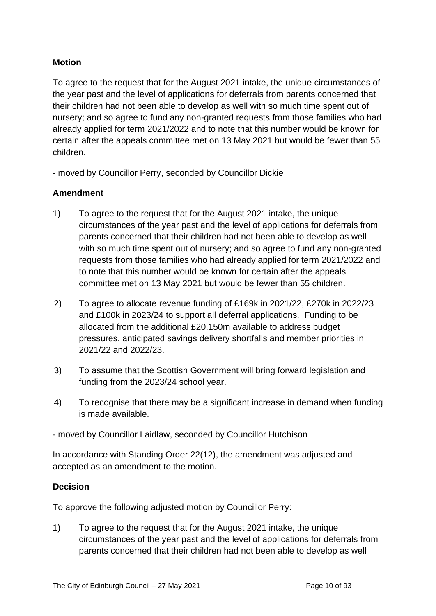#### **Motion**

To agree to the request that for the August 2021 intake, the unique circumstances of the year past and the level of applications for deferrals from parents concerned that their children had not been able to develop as well with so much time spent out of nursery; and so agree to fund any non-granted requests from those families who had already applied for term 2021/2022 and to note that this number would be known for certain after the appeals committee met on 13 May 2021 but would be fewer than 55 children.

- moved by Councillor Perry, seconded by Councillor Dickie

#### **Amendment**

- 1) To agree to the request that for the August 2021 intake, the unique circumstances of the year past and the level of applications for deferrals from parents concerned that their children had not been able to develop as well with so much time spent out of nursery; and so agree to fund any non-granted requests from those families who had already applied for term 2021/2022 and to note that this number would be known for certain after the appeals committee met on 13 May 2021 but would be fewer than 55 children.
- 2) To agree to allocate revenue funding of £169k in 2021/22, £270k in 2022/23 and £100k in 2023/24 to support all deferral applications. Funding to be allocated from the additional £20.150m available to address budget pressures, anticipated savings delivery shortfalls and member priorities in 2021/22 and 2022/23.
- 3) To assume that the Scottish Government will bring forward legislation and funding from the 2023/24 school year.
- 4) To recognise that there may be a significant increase in demand when funding is made available.

- moved by Councillor Laidlaw, seconded by Councillor Hutchison

In accordance with Standing Order 22(12), the amendment was adjusted and accepted as an amendment to the motion.

#### **Decision**

To approve the following adjusted motion by Councillor Perry:

1) To agree to the request that for the August 2021 intake, the unique circumstances of the year past and the level of applications for deferrals from parents concerned that their children had not been able to develop as well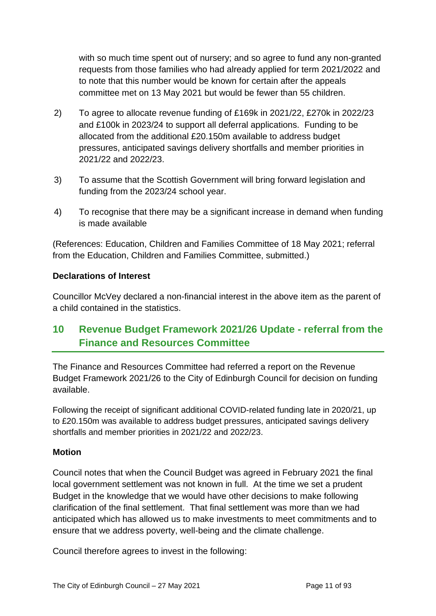with so much time spent out of nursery; and so agree to fund any non-granted requests from those families who had already applied for term 2021/2022 and to note that this number would be known for certain after the appeals committee met on 13 May 2021 but would be fewer than 55 children.

- 2) To agree to allocate revenue funding of £169k in 2021/22, £270k in 2022/23 and £100k in 2023/24 to support all deferral applications. Funding to be allocated from the additional £20.150m available to address budget pressures, anticipated savings delivery shortfalls and member priorities in 2021/22 and 2022/23.
- 3) To assume that the Scottish Government will bring forward legislation and funding from the 2023/24 school year.
- 4) To recognise that there may be a significant increase in demand when funding is made available

(References: Education, Children and Families Committee of 18 May 2021; referral from the Education, Children and Families Committee, submitted.)

#### **Declarations of Interest**

Councillor McVey declared a non-financial interest in the above item as the parent of a child contained in the statistics.

# **10 Revenue Budget Framework 2021/26 Update - referral from the Finance and Resources Committee**

The Finance and Resources Committee had referred a report on the Revenue Budget Framework 2021/26 to the City of Edinburgh Council for decision on funding available.

Following the receipt of significant additional COVID-related funding late in 2020/21, up to £20.150m was available to address budget pressures, anticipated savings delivery shortfalls and member priorities in 2021/22 and 2022/23.

#### **Motion**

Council notes that when the Council Budget was agreed in February 2021 the final local government settlement was not known in full. At the time we set a prudent Budget in the knowledge that we would have other decisions to make following clarification of the final settlement. That final settlement was more than we had anticipated which has allowed us to make investments to meet commitments and to ensure that we address poverty, well-being and the climate challenge.

Council therefore agrees to invest in the following: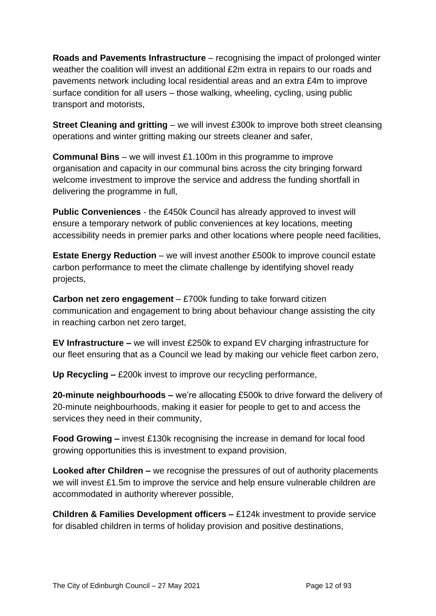**Roads and Pavements Infrastructure** – recognising the impact of prolonged winter weather the coalition will invest an additional £2m extra in repairs to our roads and pavements network including local residential areas and an extra £4m to improve surface condition for all users – those walking, wheeling, cycling, using public transport and motorists,

**Street Cleaning and gritting** – we will invest £300k to improve both street cleansing operations and winter gritting making our streets cleaner and safer,

**Communal Bins** – we will invest £1.100m in this programme to improve organisation and capacity in our communal bins across the city bringing forward welcome investment to improve the service and address the funding shortfall in delivering the programme in full,

**Public Conveniences** - the £450k Council has already approved to invest will ensure a temporary network of public conveniences at key locations, meeting accessibility needs in premier parks and other locations where people need facilities,

**Estate Energy Reduction** – we will invest another £500k to improve council estate carbon performance to meet the climate challenge by identifying shovel ready projects,

**Carbon net zero engagement** – £700k funding to take forward citizen communication and engagement to bring about behaviour change assisting the city in reaching carbon net zero target,

**EV Infrastructure –** we will invest £250k to expand EV charging infrastructure for our fleet ensuring that as a Council we lead by making our vehicle fleet carbon zero,

**Up Recycling –** £200k invest to improve our recycling performance,

**20-minute neighbourhoods –** we're allocating £500k to drive forward the delivery of 20-minute neighbourhoods, making it easier for people to get to and access the services they need in their community,

**Food Growing –** invest £130k recognising the increase in demand for local food growing opportunities this is investment to expand provision,

**Looked after Children –** we recognise the pressures of out of authority placements we will invest £1.5m to improve the service and help ensure vulnerable children are accommodated in authority wherever possible,

**Children & Families Development officers –** £124k investment to provide service for disabled children in terms of holiday provision and positive destinations,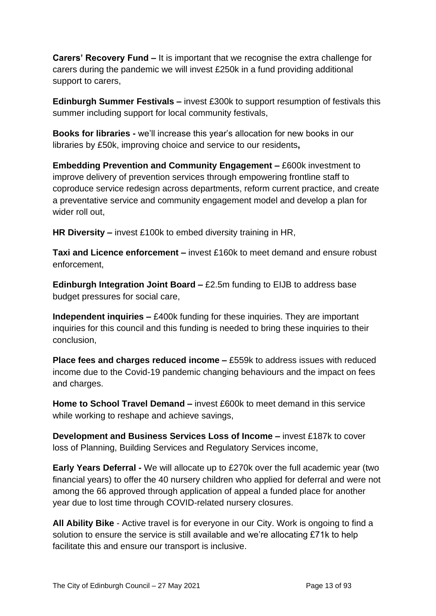**Carers' Recovery Fund –** It is important that we recognise the extra challenge for carers during the pandemic we will invest £250k in a fund providing additional support to carers,

**Edinburgh Summer Festivals –** invest £300k to support resumption of festivals this summer including support for local community festivals,

**Books for libraries -** we'll increase this year's allocation for new books in our libraries by £50k, improving choice and service to our residents**,**

**Embedding Prevention and Community Engagement –** £600k investment to improve delivery of prevention services through empowering frontline staff to coproduce service redesign across departments, reform current practice, and create a preventative service and community engagement model and develop a plan for wider roll out,

**HR Diversity –** invest £100k to embed diversity training in HR,

**Taxi and Licence enforcement –** invest £160k to meet demand and ensure robust enforcement,

**Edinburgh Integration Joint Board –** £2.5m funding to EIJB to address base budget pressures for social care,

**Independent inquiries –** £400k funding for these inquiries. They are important inquiries for this council and this funding is needed to bring these inquiries to their conclusion,

**Place fees and charges reduced income –** £559k to address issues with reduced income due to the Covid-19 pandemic changing behaviours and the impact on fees and charges.

**Home to School Travel Demand –** invest £600k to meet demand in this service while working to reshape and achieve savings,

**Development and Business Services Loss of Income –** invest £187k to cover loss of Planning, Building Services and Regulatory Services income,

**Early Years Deferral -** We will allocate up to £270k over the full academic year (two financial years) to offer the 40 nursery children who applied for deferral and were not among the 66 approved through application of appeal a funded place for another year due to lost time through COVID-related nursery closures.

**All Ability Bike** - Active travel is for everyone in our City. Work is ongoing to find a solution to ensure the service is still available and we're allocating £71k to help facilitate this and ensure our transport is inclusive.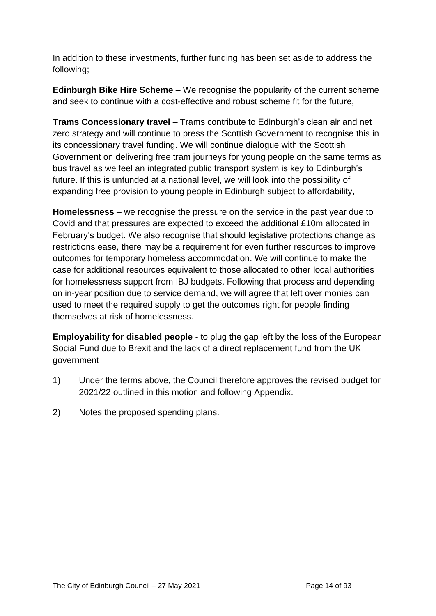In addition to these investments, further funding has been set aside to address the following;

**Edinburgh Bike Hire Scheme** – We recognise the popularity of the current scheme and seek to continue with a cost-effective and robust scheme fit for the future,

**Trams Concessionary travel –** Trams contribute to Edinburgh's clean air and net zero strategy and will continue to press the Scottish Government to recognise this in its concessionary travel funding. We will continue dialogue with the Scottish Government on delivering free tram journeys for young people on the same terms as bus travel as we feel an integrated public transport system is key to Edinburgh's future. If this is unfunded at a national level, we will look into the possibility of expanding free provision to young people in Edinburgh subject to affordability,

**Homelessness** – we recognise the pressure on the service in the past year due to Covid and that pressures are expected to exceed the additional £10m allocated in February's budget. We also recognise that should legislative protections change as restrictions ease, there may be a requirement for even further resources to improve outcomes for temporary homeless accommodation. We will continue to make the case for additional resources equivalent to those allocated to other local authorities for homelessness support from IBJ budgets. Following that process and depending on in-year position due to service demand, we will agree that left over monies can used to meet the required supply to get the outcomes right for people finding themselves at risk of homelessness.

**Employability for disabled people** - to plug the gap left by the loss of the European Social Fund due to Brexit and the lack of a direct replacement fund from the UK government

- 1) Under the terms above, the Council therefore approves the revised budget for 2021/22 outlined in this motion and following Appendix.
- 2) Notes the proposed spending plans.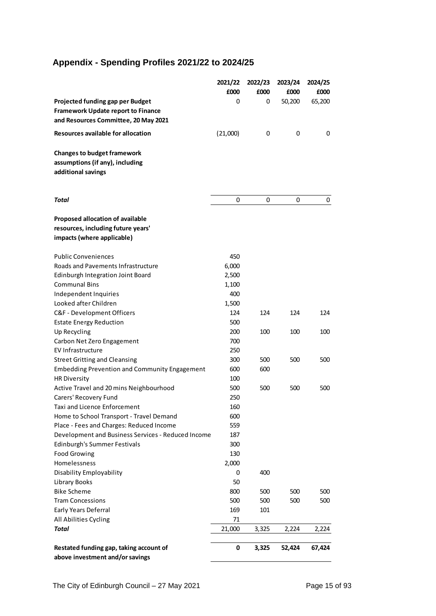# **Appendix - Spending Profiles 2021/22 to 2024/25**

|                                                                        | 2021/22  | 2022/23 | 2023/24 | 2024/25 |
|------------------------------------------------------------------------|----------|---------|---------|---------|
|                                                                        | £000     | £000    | £000    | £000    |
| Projected funding gap per Budget                                       | 0        | 0       | 50,200  | 65,200  |
| <b>Framework Update report to Finance</b>                              |          |         |         |         |
| and Resources Committee, 20 May 2021                                   |          |         |         |         |
| Resources available for allocation                                     | (21,000) | 0       | 0       | 0       |
| <b>Changes to budget framework</b>                                     |          |         |         |         |
| assumptions (if any), including                                        |          |         |         |         |
| additional savings                                                     |          |         |         |         |
|                                                                        |          |         |         |         |
|                                                                        |          |         |         |         |
| Total                                                                  | 0        | 0       | 0       | 0       |
|                                                                        |          |         |         |         |
| Proposed allocation of available<br>resources, including future years' |          |         |         |         |
| impacts (where applicable)                                             |          |         |         |         |
|                                                                        |          |         |         |         |
| <b>Public Conveniences</b>                                             | 450      |         |         |         |
| Roads and Pavements Infrastructure                                     | 6,000    |         |         |         |
| Edinburgh Integration Joint Board                                      | 2,500    |         |         |         |
| <b>Communal Bins</b>                                                   | 1,100    |         |         |         |
| Independent Inquiries                                                  | 400      |         |         |         |
| Looked after Children                                                  | 1,500    |         |         |         |
| C&F - Development Officers                                             | 124      | 124     | 124     | 124     |
| <b>Estate Energy Reduction</b>                                         | 500      |         |         |         |
| Up Recycling                                                           | 200      | 100     | 100     | 100     |
| Carbon Net Zero Engagement                                             | 700      |         |         |         |
| EV Infrastructure                                                      | 250      |         |         |         |
| <b>Street Gritting and Cleansing</b>                                   | 300      | 500     | 500     | 500     |
| <b>Embedding Prevention and Community Engagement</b>                   | 600      | 600     |         |         |
| <b>HR Diversity</b>                                                    | 100      |         |         |         |
| Active Travel and 20 mins Neighbourhood                                | 500      | 500     | 500     | 500     |
| Carers' Recovery Fund                                                  | 250      |         |         |         |
| Taxi and Licence Enforcement                                           | 160      |         |         |         |
| Home to School Transport - Travel Demand                               | 600      |         |         |         |
| Place - Fees and Charges: Reduced Income                               | 559      |         |         |         |
| Development and Business Services - Reduced Income                     | 187      |         |         |         |
| Edinburgh's Summer Festivals                                           | 300      |         |         |         |
| <b>Food Growing</b>                                                    | 130      |         |         |         |
| Homelessness                                                           | 2,000    |         |         |         |
| Disability Employability                                               | 0        | 400     |         |         |
| Library Books                                                          | 50       |         |         |         |
| <b>Bike Scheme</b>                                                     | 800      | 500     | 500     | 500     |
| <b>Tram Concessions</b>                                                | 500      | 500     | 500     | 500     |
| Early Years Deferral                                                   | 169      | 101     |         |         |
| All Abilities Cycling                                                  | 71       |         |         |         |
| Total                                                                  | 21,000   | 3,325   | 2,224   | 2,224   |
| Restated funding gap, taking account of                                | 0        | 3,325   | 52,424  | 67,424  |
| above investment and/or savings                                        |          |         |         |         |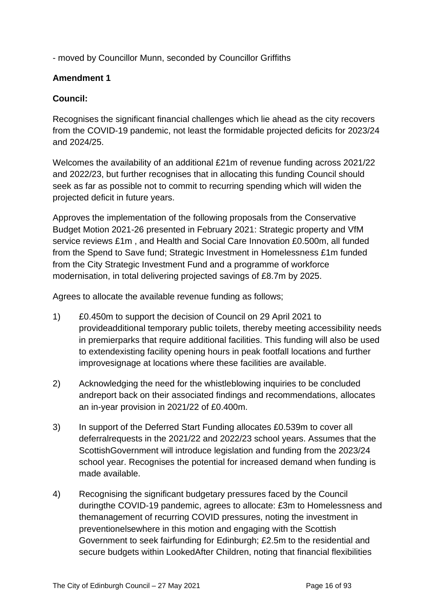- moved by Councillor Munn, seconded by Councillor Griffiths

#### **Amendment 1**

#### **Council:**

Recognises the significant financial challenges which lie ahead as the city recovers from the COVID-19 pandemic, not least the formidable projected deficits for 2023/24 and 2024/25.

Welcomes the availability of an additional £21m of revenue funding across 2021/22 and 2022/23, but further recognises that in allocating this funding Council should seek as far as possible not to commit to recurring spending which will widen the projected deficit in future years.

Approves the implementation of the following proposals from the Conservative Budget Motion 2021-26 presented in February 2021: Strategic property and VfM service reviews £1m , and Health and Social Care Innovation £0.500m, all funded from the Spend to Save fund; Strategic Investment in Homelessness £1m funded from the City Strategic Investment Fund and a programme of workforce modernisation, in total delivering projected savings of £8.7m by 2025.

Agrees to allocate the available revenue funding as follows;

- 1) £0.450m to support the decision of Council on 29 April 2021 to provideadditional temporary public toilets, thereby meeting accessibility needs in premierparks that require additional facilities. This funding will also be used to extendexisting facility opening hours in peak footfall locations and further improvesignage at locations where these facilities are available.
- 2) Acknowledging the need for the whistleblowing inquiries to be concluded andreport back on their associated findings and recommendations, allocates an in-year provision in 2021/22 of £0.400m.
- 3) In support of the Deferred Start Funding allocates £0.539m to cover all deferralrequests in the 2021/22 and 2022/23 school years. Assumes that the ScottishGovernment will introduce legislation and funding from the 2023/24 school year. Recognises the potential for increased demand when funding is made available.
- 4) Recognising the significant budgetary pressures faced by the Council duringthe COVID-19 pandemic, agrees to allocate: £3m to Homelessness and themanagement of recurring COVID pressures, noting the investment in preventionelsewhere in this motion and engaging with the Scottish Government to seek fairfunding for Edinburgh; £2.5m to the residential and secure budgets within LookedAfter Children, noting that financial flexibilities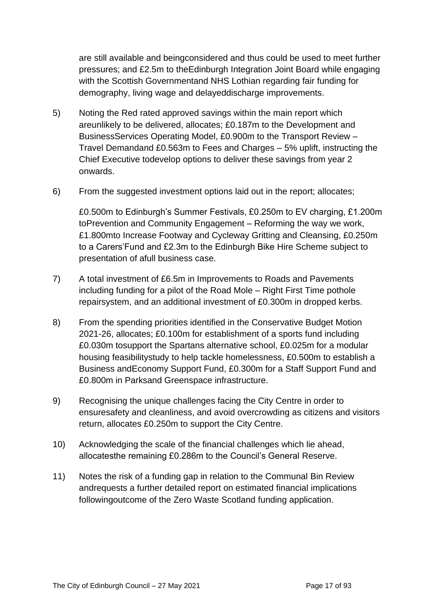are still available and beingconsidered and thus could be used to meet further pressures; and £2.5m to theEdinburgh Integration Joint Board while engaging with the Scottish Governmentand NHS Lothian regarding fair funding for demography, living wage and delayeddischarge improvements.

- 5) Noting the Red rated approved savings within the main report which areunlikely to be delivered, allocates; £0.187m to the Development and BusinessServices Operating Model, £0.900m to the Transport Review – Travel Demandand £0.563m to Fees and Charges – 5% uplift, instructing the Chief Executive todevelop options to deliver these savings from year 2 onwards.
- 6) From the suggested investment options laid out in the report; allocates;

£0.500m to Edinburgh's Summer Festivals, £0.250m to EV charging, £1.200m toPrevention and Community Engagement – Reforming the way we work, £1.800mto Increase Footway and Cycleway Gritting and Cleansing, £0.250m to a Carers'Fund and £2.3m to the Edinburgh Bike Hire Scheme subject to presentation of afull business case.

- 7) A total investment of £6.5m in Improvements to Roads and Pavements including funding for a pilot of the Road Mole – Right First Time pothole repairsystem, and an additional investment of £0.300m in dropped kerbs.
- 8) From the spending priorities identified in the Conservative Budget Motion 2021-26, allocates; £0.100m for establishment of a sports fund including £0.030m tosupport the Spartans alternative school, £0.025m for a modular housing feasibilitystudy to help tackle homelessness, £0.500m to establish a Business andEconomy Support Fund, £0.300m for a Staff Support Fund and £0.800m in Parksand Greenspace infrastructure.
- 9) Recognising the unique challenges facing the City Centre in order to ensuresafety and cleanliness, and avoid overcrowding as citizens and visitors return, allocates £0.250m to support the City Centre.
- 10) Acknowledging the scale of the financial challenges which lie ahead, allocatesthe remaining £0.286m to the Council's General Reserve.
- 11) Notes the risk of a funding gap in relation to the Communal Bin Review andrequests a further detailed report on estimated financial implications followingoutcome of the Zero Waste Scotland funding application.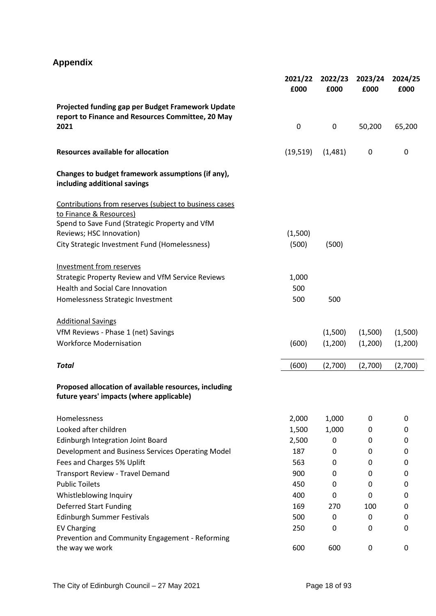# **Appendix**

|                                                                                                        | 2021/22<br>£000 | 2022/23<br>£000 | 2023/24<br>£000 | 2024/25<br>£000 |
|--------------------------------------------------------------------------------------------------------|-----------------|-----------------|-----------------|-----------------|
| Projected funding gap per Budget Framework Update<br>report to Finance and Resources Committee, 20 May |                 |                 |                 |                 |
| 2021                                                                                                   | $\mathbf 0$     | $\pmb{0}$       | 50,200          | 65,200          |
| <b>Resources available for allocation</b>                                                              | (19, 519)       | (1,481)         | 0               | $\mathbf 0$     |
| Changes to budget framework assumptions (if any),<br>including additional savings                      |                 |                 |                 |                 |
| Contributions from reserves (subject to business cases                                                 |                 |                 |                 |                 |
| to Finance & Resources)                                                                                |                 |                 |                 |                 |
| Spend to Save Fund (Strategic Property and VfM                                                         |                 |                 |                 |                 |
| Reviews; HSC Innovation)                                                                               | (1,500)         |                 |                 |                 |
| City Strategic Investment Fund (Homelessness)                                                          | (500)           | (500)           |                 |                 |
| <b>Investment from reserves</b>                                                                        |                 |                 |                 |                 |
| <b>Strategic Property Review and VfM Service Reviews</b>                                               | 1,000           |                 |                 |                 |
| <b>Health and Social Care Innovation</b>                                                               | 500             |                 |                 |                 |
| Homelessness Strategic Investment                                                                      | 500             | 500             |                 |                 |
| <b>Additional Savings</b>                                                                              |                 |                 |                 |                 |
| VfM Reviews - Phase 1 (net) Savings                                                                    |                 | (1,500)         | (1,500)         | (1,500)         |
| <b>Workforce Modernisation</b>                                                                         | (600)           | (1,200)         | (1,200)         | (1,200)         |
| <b>Total</b>                                                                                           | (600)           | (2,700)         | (2,700)         | (2,700)         |
| Proposed allocation of available resources, including<br>future years' impacts (where applicable)      |                 |                 |                 |                 |
| Homelessness                                                                                           | 2,000           | 1,000           | 0               | 0               |
| Looked after children                                                                                  | 1,500           | 1,000           | 0               | 0               |
| Edinburgh Integration Joint Board                                                                      | 2,500           | 0               | 0               | 0               |
| Development and Business Services Operating Model                                                      | 187             | 0               | 0               | 0               |
| Fees and Charges 5% Uplift                                                                             | 563             | 0               | 0               | 0               |
| <b>Transport Review - Travel Demand</b>                                                                | 900             | 0               | 0               | 0               |
| <b>Public Toilets</b>                                                                                  | 450             | 0               | 0               | 0               |
| Whistleblowing Inquiry                                                                                 | 400             | 0               | 0               | 0               |
| <b>Deferred Start Funding</b>                                                                          | 169             | 270             | 100             | 0               |
| <b>Edinburgh Summer Festivals</b>                                                                      | 500             | 0               | 0               | 0               |
| <b>EV Charging</b><br>Prevention and Community Engagement - Reforming                                  | 250             | 0               | 0               | 0               |
| the way we work                                                                                        | 600             | 600             | 0               | 0               |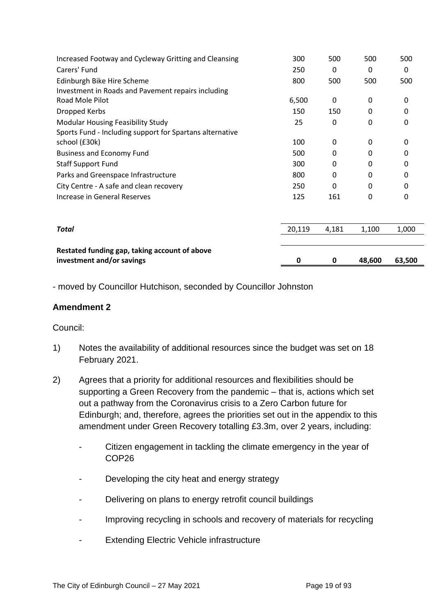| Increased Footway and Cycleway Gritting and Cleansing                      | 300    | 500      | 500      | 500    |
|----------------------------------------------------------------------------|--------|----------|----------|--------|
| Carers' Fund                                                               | 250    | 0        | 0        | 0      |
| Edinburgh Bike Hire Scheme                                                 | 800    | 500      | 500      | 500    |
| Investment in Roads and Pavement repairs including                         |        |          |          |        |
| Road Mole Pilot                                                            | 6,500  | $\Omega$ | 0        | 0      |
| Dropped Kerbs                                                              | 150    | 150      | 0        | O      |
| <b>Modular Housing Feasibility Study</b>                                   | 25     | 0        | $\Omega$ | 0      |
| Sports Fund - Including support for Spartans alternative                   |        |          |          |        |
| school (£30k)                                                              | 100    | 0        | 0        | 0      |
| <b>Business and Economy Fund</b>                                           | 500    | 0        | 0        | 0      |
| <b>Staff Support Fund</b>                                                  | 300    | 0        | 0        | O      |
| Parks and Greenspace Infrastructure                                        | 800    | 0        | 0        | 0      |
| City Centre - A safe and clean recovery                                    | 250    | 0        | $\Omega$ | ŋ      |
| <b>Increase in General Reserves</b>                                        | 125    | 161      | 0        | 0      |
|                                                                            |        |          |          |        |
| Total                                                                      | 20,119 | 4,181    | 1,100    | 1,000  |
|                                                                            |        |          |          |        |
| Restated funding gap, taking account of above<br>investment and/or savings | 0      | 0        | 48,600   | 63,500 |

- moved by Councillor Hutchison, seconded by Councillor Johnston

#### **Amendment 2**

#### Council:

- 1) Notes the availability of additional resources since the budget was set on 18 February 2021.
- 2) Agrees that a priority for additional resources and flexibilities should be supporting a Green Recovery from the pandemic – that is, actions which set out a pathway from the Coronavirus crisis to a Zero Carbon future for Edinburgh; and, therefore, agrees the priorities set out in the appendix to this amendment under Green Recovery totalling £3.3m, over 2 years, including:
	- Citizen engagement in tackling the climate emergency in the year of COP26
	- Developing the city heat and energy strategy
	- Delivering on plans to energy retrofit council buildings
	- Improving recycling in schools and recovery of materials for recycling
	- Extending Electric Vehicle infrastructure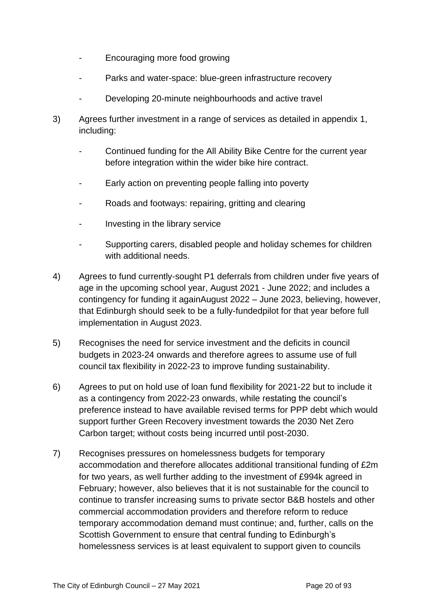- Encouraging more food growing
- Parks and water-space: blue-green infrastructure recovery
- Developing 20-minute neighbourhoods and active travel
- 3) Agrees further investment in a range of services as detailed in appendix 1, including:
	- Continued funding for the All Ability Bike Centre for the current year before integration within the wider bike hire contract.
	- Early action on preventing people falling into poverty
	- Roads and footways: repairing, gritting and clearing
	- Investing in the library service
	- Supporting carers, disabled people and holiday schemes for children with additional needs.
- 4) Agrees to fund currently-sought P1 deferrals from children under five years of age in the upcoming school year, August 2021 - June 2022; and includes a contingency for funding it againAugust 2022 – June 2023, believing, however, that Edinburgh should seek to be a fully-fundedpilot for that year before full implementation in August 2023.
- 5) Recognises the need for service investment and the deficits in council budgets in 2023-24 onwards and therefore agrees to assume use of full council tax flexibility in 2022-23 to improve funding sustainability.
- 6) Agrees to put on hold use of loan fund flexibility for 2021-22 but to include it as a contingency from 2022-23 onwards, while restating the council's preference instead to have available revised terms for PPP debt which would support further Green Recovery investment towards the 2030 Net Zero Carbon target; without costs being incurred until post-2030.
- 7) Recognises pressures on homelessness budgets for temporary accommodation and therefore allocates additional transitional funding of £2m for two years, as well further adding to the investment of £994k agreed in February; however, also believes that it is not sustainable for the council to continue to transfer increasing sums to private sector B&B hostels and other commercial accommodation providers and therefore reform to reduce temporary accommodation demand must continue; and, further, calls on the Scottish Government to ensure that central funding to Edinburgh's homelessness services is at least equivalent to support given to councils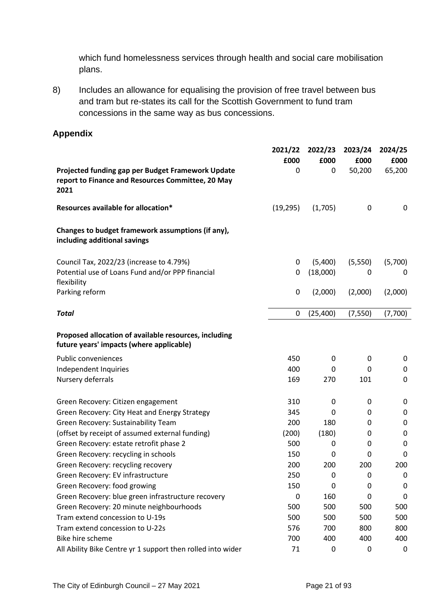which fund homelessness services through health and social care mobilisation plans.

8) Includes an allowance for equalising the provision of free travel between bus and tram but re-states its call for the Scottish Government to fund tram concessions in the same way as bus concessions.

#### **Appendix**

|                                                                                                                | 2021/22   | 2022/23   | 2023/24  | 2024/25     |
|----------------------------------------------------------------------------------------------------------------|-----------|-----------|----------|-------------|
|                                                                                                                | £000      | £000      | £000     | £000        |
| Projected funding gap per Budget Framework Update<br>report to Finance and Resources Committee, 20 May<br>2021 | 0         | 0         | 50,200   | 65,200      |
| Resources available for allocation*                                                                            | (19, 295) | (1,705)   | 0        | 0           |
| Changes to budget framework assumptions (if any),<br>including additional savings                              |           |           |          |             |
| Council Tax, 2022/23 (increase to 4.79%)                                                                       | 0         | (5,400)   | (5,550)  | (5,700)     |
| Potential use of Loans Fund and/or PPP financial<br>flexibility                                                | 0         | (18,000)  | 0        | 0           |
| Parking reform                                                                                                 | 0         | (2,000)   | (2,000)  | (2,000)     |
| <b>Total</b>                                                                                                   | 0         | (25, 400) | (7, 550) | (7,700)     |
| Proposed allocation of available resources, including<br>future years' impacts (where applicable)              |           |           |          |             |
| <b>Public conveniences</b>                                                                                     | 450       | 0         | 0        | 0           |
| Independent Inquiries                                                                                          | 400       | 0         | 0        | 0           |
| Nursery deferrals                                                                                              | 169       | 270       | 101      | $\mathbf 0$ |
| Green Recovery: Citizen engagement                                                                             | 310       | 0         | 0        | 0           |
| Green Recovery: City Heat and Energy Strategy                                                                  | 345       | 0         | 0        | 0           |
| Green Recovery: Sustainability Team                                                                            | 200       | 180       | 0        | 0           |
| (offset by receipt of assumed external funding)                                                                | (200)     | (180)     | 0        | 0           |
| Green Recovery: estate retrofit phase 2                                                                        | 500       | 0         | 0        | $\mathbf 0$ |
| Green Recovery: recycling in schools                                                                           | 150       | 0         | 0        | 0           |
| Green Recovery: recycling recovery                                                                             | 200       | 200       | 200      | 200         |
| Green Recovery: EV infrastructure                                                                              | 250       | 0         | 0        | 0           |
| Green Recovery: food growing                                                                                   | 150       | 0         | 0        | 0           |
| Green Recovery: blue green infrastructure recovery                                                             | 0         | 160       | 0        | $\mathbf 0$ |
| Green Recovery: 20 minute neighbourhoods                                                                       | 500       | 500       | 500      | 500         |
| Tram extend concession to U-19s                                                                                | 500       | 500       | 500      | 500         |
| Tram extend concession to U-22s                                                                                | 576       | 700       | 800      | 800         |
| Bike hire scheme                                                                                               | 700       | 400       | 400      | 400         |
| All Ability Bike Centre yr 1 support then rolled into wider                                                    | 71        | 0         | 0        | 0           |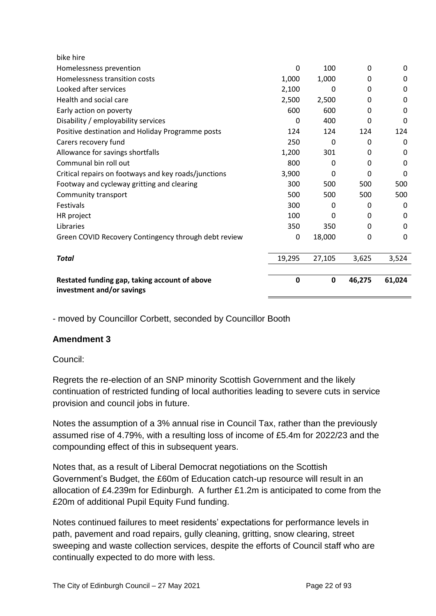| investment and/or savings                            |          |        |          |          |
|------------------------------------------------------|----------|--------|----------|----------|
| Restated funding gap, taking account of above        | 0        | 0      | 46,275   | 61,024   |
| <b>Total</b>                                         | 19,295   | 27,105 | 3,625    | 3,524    |
| Green COVID Recovery Contingency through debt review | 0        | 18,000 | 0        | 0        |
| Libraries                                            | 350      | 350    | 0        | 0        |
| HR project                                           | 100      | 0      | 0        | 0        |
| <b>Festivals</b>                                     | 300      | 0      | 0        | 0        |
| Community transport                                  | 500      | 500    | 500      | 500      |
| Footway and cycleway gritting and clearing           | 300      | 500    | 500      | 500      |
| Critical repairs on footways and key roads/junctions | 3,900    | 0      | $\Omega$ | $\Omega$ |
| Communal bin roll out                                | 800      | 0      | $\Omega$ | 0        |
| Allowance for savings shortfalls                     | 1,200    | 301    | 0        | 0        |
| Carers recovery fund                                 | 250      | 0      | 0        | 0        |
| Positive destination and Holiday Programme posts     | 124      | 124    | 124      | 124      |
| Disability / employability services                  | 0        | 400    | $\Omega$ | 0        |
| Early action on poverty                              | 600      | 600    | $\Omega$ | $\Omega$ |
| Health and social care                               | 2,500    | 2,500  | 0        | 0        |
| Looked after services                                | 2,100    | 0      | 0        | $\Omega$ |
| Homelessness transition costs                        | 1,000    | 1,000  | 0        | 0        |
| Homelessness prevention                              | $\Omega$ | 100    | $\Omega$ | $\Omega$ |
| bike hire                                            |          |        |          |          |

- moved by Councillor Corbett, seconded by Councillor Booth

#### **Amendment 3**

#### Council:

Regrets the re-election of an SNP minority Scottish Government and the likely continuation of restricted funding of local authorities leading to severe cuts in service provision and council jobs in future.

Notes the assumption of a 3% annual rise in Council Tax, rather than the previously assumed rise of 4.79%, with a resulting loss of income of £5.4m for 2022/23 and the compounding effect of this in subsequent years.

Notes that, as a result of Liberal Democrat negotiations on the Scottish Government's Budget, the £60m of Education catch-up resource will result in an allocation of £4.239m for Edinburgh. A further £1.2m is anticipated to come from the £20m of additional Pupil Equity Fund funding.

Notes continued failures to meet residents' expectations for performance levels in path, pavement and road repairs, gully cleaning, gritting, snow clearing, street sweeping and waste collection services, despite the efforts of Council staff who are continually expected to do more with less.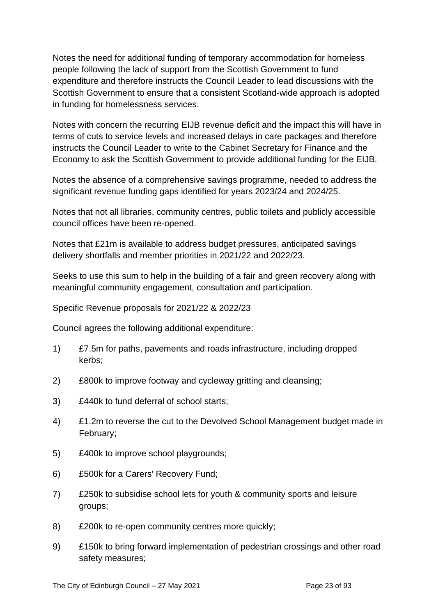Notes the need for additional funding of temporary accommodation for homeless people following the lack of support from the Scottish Government to fund expenditure and therefore instructs the Council Leader to lead discussions with the Scottish Government to ensure that a consistent Scotland-wide approach is adopted in funding for homelessness services.

Notes with concern the recurring EIJB revenue deficit and the impact this will have in terms of cuts to service levels and increased delays in care packages and therefore instructs the Council Leader to write to the Cabinet Secretary for Finance and the Economy to ask the Scottish Government to provide additional funding for the EIJB.

Notes the absence of a comprehensive savings programme, needed to address the significant revenue funding gaps identified for years 2023/24 and 2024/25.

Notes that not all libraries, community centres, public toilets and publicly accessible council offices have been re-opened.

Notes that £21m is available to address budget pressures, anticipated savings delivery shortfalls and member priorities in 2021/22 and 2022/23.

Seeks to use this sum to help in the building of a fair and green recovery along with meaningful community engagement, consultation and participation.

Specific Revenue proposals for 2021/22 & 2022/23

Council agrees the following additional expenditure:

- 1) £7.5m for paths, pavements and roads infrastructure, including dropped kerbs;
- 2) £800k to improve footway and cycleway gritting and cleansing;
- 3) £440k to fund deferral of school starts;
- 4) £1.2m to reverse the cut to the Devolved School Management budget made in February;
- 5) £400k to improve school playgrounds;
- 6) £500k for a Carers' Recovery Fund;
- 7) £250k to subsidise school lets for youth & community sports and leisure groups;
- 8) £200k to re-open community centres more quickly;
- 9) £150k to bring forward implementation of pedestrian crossings and other road safety measures;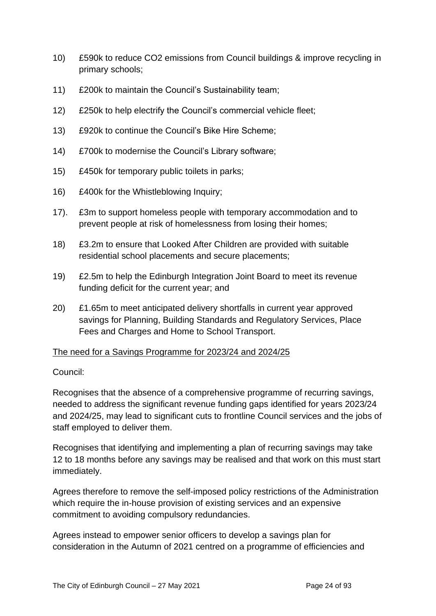- 10) £590k to reduce CO2 emissions from Council buildings & improve recycling in primary schools;
- 11) £200k to maintain the Council's Sustainability team;
- 12) £250k to help electrify the Council's commercial vehicle fleet;
- 13) £920k to continue the Council's Bike Hire Scheme;
- 14) £700k to modernise the Council's Library software;
- 15) £450k for temporary public toilets in parks;
- 16) £400k for the Whistleblowing Inquiry;
- 17). £3m to support homeless people with temporary accommodation and to prevent people at risk of homelessness from losing their homes;
- 18) £3.2m to ensure that Looked After Children are provided with suitable residential school placements and secure placements;
- 19) £2.5m to help the Edinburgh Integration Joint Board to meet its revenue funding deficit for the current year; and
- 20) £1.65m to meet anticipated delivery shortfalls in current year approved savings for Planning, Building Standards and Regulatory Services, Place Fees and Charges and Home to School Transport.

#### The need for a Savings Programme for 2023/24 and 2024/25

#### Council:

Recognises that the absence of a comprehensive programme of recurring savings, needed to address the significant revenue funding gaps identified for years 2023/24 and 2024/25, may lead to significant cuts to frontline Council services and the jobs of staff employed to deliver them.

Recognises that identifying and implementing a plan of recurring savings may take 12 to 18 months before any savings may be realised and that work on this must start immediately.

Agrees therefore to remove the self-imposed policy restrictions of the Administration which require the in-house provision of existing services and an expensive commitment to avoiding compulsory redundancies.

Agrees instead to empower senior officers to develop a savings plan for consideration in the Autumn of 2021 centred on a programme of efficiencies and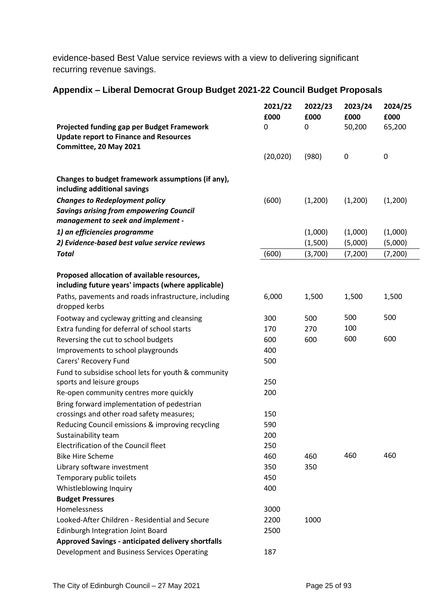evidence-based Best Value service reviews with a view to delivering significant recurring revenue savings.

#### **Appendix – Liberal Democrat Group Budget 2021-22 Council Budget Proposals**

|                                                                                                   | 2021/22<br>£000 | 2022/23<br>£000 | 2023/24<br>£000  | 2024/25<br>£000 |
|---------------------------------------------------------------------------------------------------|-----------------|-----------------|------------------|-----------------|
| Projected funding gap per Budget Framework<br><b>Update report to Finance and Resources</b>       | 0               | 0               | 50,200           | 65,200          |
| Committee, 20 May 2021                                                                            |                 |                 |                  |                 |
|                                                                                                   | (20, 020)       | (980)           | $\boldsymbol{0}$ | $\pmb{0}$       |
| Changes to budget framework assumptions (if any),<br>including additional savings                 |                 |                 |                  |                 |
| <b>Changes to Redeployment policy</b>                                                             | (600)           | (1,200)         | (1,200)          | (1,200)         |
| <b>Savings arising from empowering Council</b><br>management to seek and implement -              |                 |                 |                  |                 |
| 1) an efficiencies programme                                                                      |                 | (1,000)         | (1,000)          | (1,000)         |
| 2) Evidence-based best value service reviews                                                      |                 | (1,500)         | (5,000)          | (5,000)         |
| <b>Total</b>                                                                                      | (600)           | (3,700)         | (7, 200)         | (7, 200)        |
| Proposed allocation of available resources,<br>including future years' impacts (where applicable) |                 |                 |                  |                 |
| Paths, pavements and roads infrastructure, including<br>dropped kerbs                             | 6,000           | 1,500           | 1,500            | 1,500           |
| Footway and cycleway gritting and cleansing                                                       | 300             | 500             | 500              | 500             |
| Extra funding for deferral of school starts                                                       | 170             | 270             | 100              |                 |
| Reversing the cut to school budgets                                                               | 600             | 600             | 600              | 600             |
| Improvements to school playgrounds                                                                | 400             |                 |                  |                 |
| Carers' Recovery Fund                                                                             | 500             |                 |                  |                 |
| Fund to subsidise school lets for youth & community                                               |                 |                 |                  |                 |
| sports and leisure groups                                                                         | 250             |                 |                  |                 |
| Re-open community centres more quickly                                                            | 200             |                 |                  |                 |
| Bring forward implementation of pedestrian                                                        |                 |                 |                  |                 |
| crossings and other road safety measures;                                                         | 150             |                 |                  |                 |
| Reducing Council emissions & improving recycling                                                  | 590             |                 |                  |                 |
| Sustainability team                                                                               | 200             |                 |                  |                 |
| Electrification of the Council fleet                                                              | 250             |                 |                  |                 |
| <b>Bike Hire Scheme</b>                                                                           | 460             | 460             | 460              | 460             |
| Library software investment                                                                       | 350             | 350             |                  |                 |
| Temporary public toilets                                                                          | 450             |                 |                  |                 |
| Whistleblowing Inquiry                                                                            | 400             |                 |                  |                 |
| <b>Budget Pressures</b>                                                                           |                 |                 |                  |                 |
| Homelessness                                                                                      | 3000            |                 |                  |                 |
| Looked-After Children - Residential and Secure                                                    | 2200            | 1000            |                  |                 |
| <b>Edinburgh Integration Joint Board</b>                                                          | 2500            |                 |                  |                 |
| <b>Approved Savings - anticipated delivery shortfalls</b>                                         |                 |                 |                  |                 |
| Development and Business Services Operating                                                       | 187             |                 |                  |                 |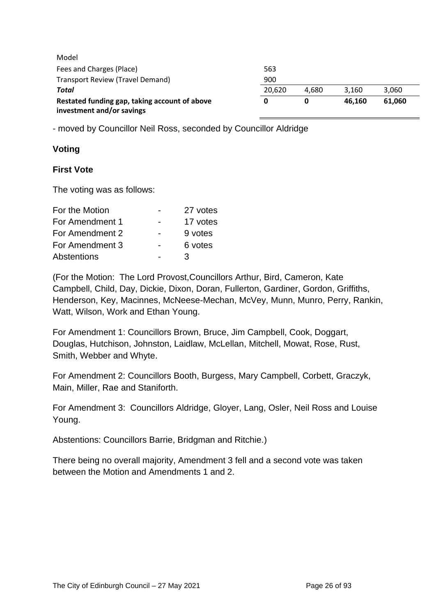| Model                                         |        |       |        |        |
|-----------------------------------------------|--------|-------|--------|--------|
| Fees and Charges (Place)                      | 563    |       |        |        |
| Transport Review (Travel Demand)              | 900    |       |        |        |
| Total                                         | 20.620 | 4.680 | 3.160  | 3,060  |
| Restated funding gap, taking account of above |        | 0     | 46.160 | 61.060 |
| investment and/or savings                     |        |       |        |        |

- moved by Councillor Neil Ross, seconded by Councillor Aldridge

#### **Voting**

#### **First Vote**

The voting was as follows:

| For the Motion  | 27 votes |
|-----------------|----------|
| For Amendment 1 | 17 votes |
| For Amendment 2 | 9 votes  |
| For Amendment 3 | 6 votes  |
| Abstentions     | З        |

(For the Motion: The Lord Provost,Councillors Arthur, Bird, Cameron, Kate Campbell, Child, Day, Dickie, Dixon, Doran, Fullerton, Gardiner, Gordon, Griffiths, Henderson, Key, Macinnes, McNeese-Mechan, McVey, Munn, Munro, Perry, Rankin, Watt, Wilson, Work and Ethan Young.

For Amendment 1: Councillors Brown, Bruce, Jim Campbell, Cook, Doggart, Douglas, Hutchison, Johnston, Laidlaw, McLellan, Mitchell, Mowat, Rose, Rust, Smith, Webber and Whyte.

For Amendment 2: Councillors Booth, Burgess, Mary Campbell, Corbett, Graczyk, Main, Miller, Rae and Staniforth.

For Amendment 3: Councillors Aldridge, Gloyer, Lang, Osler, Neil Ross and Louise Young.

Abstentions: Councillors Barrie, Bridgman and Ritchie.)

There being no overall majority, Amendment 3 fell and a second vote was taken between the Motion and Amendments 1 and 2.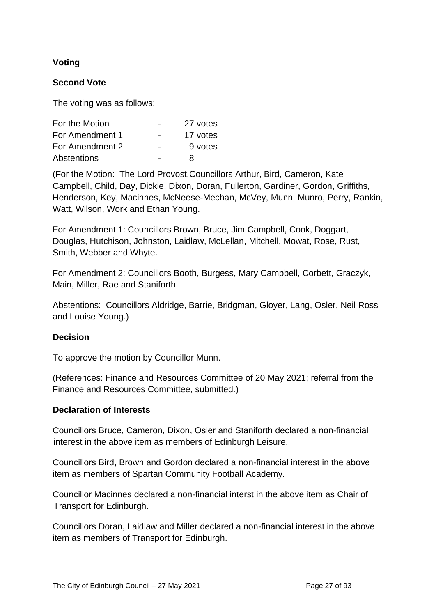#### **Voting**

#### **Second Vote**

The voting was as follows:

| For the Motion  |                          | 27 votes |
|-----------------|--------------------------|----------|
| For Amendment 1 | $\overline{\phantom{0}}$ | 17 votes |
| For Amendment 2 |                          | 9 votes  |
| Abstentions     |                          | я        |

(For the Motion: The Lord Provost,Councillors Arthur, Bird, Cameron, Kate Campbell, Child, Day, Dickie, Dixon, Doran, Fullerton, Gardiner, Gordon, Griffiths, Henderson, Key, Macinnes, McNeese-Mechan, McVey, Munn, Munro, Perry, Rankin, Watt, Wilson, Work and Ethan Young.

For Amendment 1: Councillors Brown, Bruce, Jim Campbell, Cook, Doggart, Douglas, Hutchison, Johnston, Laidlaw, McLellan, Mitchell, Mowat, Rose, Rust, Smith, Webber and Whyte.

For Amendment 2: Councillors Booth, Burgess, Mary Campbell, Corbett, Graczyk, Main, Miller, Rae and Staniforth.

Abstentions: Councillors Aldridge, Barrie, Bridgman, Gloyer, Lang, Osler, Neil Ross and Louise Young.)

#### **Decision**

To approve the motion by Councillor Munn.

(References: Finance and Resources Committee of 20 May 2021; referral from the Finance and Resources Committee, submitted.)

#### **Declaration of Interests**

Councillors Bruce, Cameron, Dixon, Osler and Staniforth declared a non-financial interest in the above item as members of Edinburgh Leisure.

Councillors Bird, Brown and Gordon declared a non-financial interest in the above item as members of Spartan Community Football Academy.

Councillor Macinnes declared a non-financial interst in the above item as Chair of Transport for Edinburgh.

Councillors Doran, Laidlaw and Miller declared a non-financial interest in the above item as members of Transport for Edinburgh.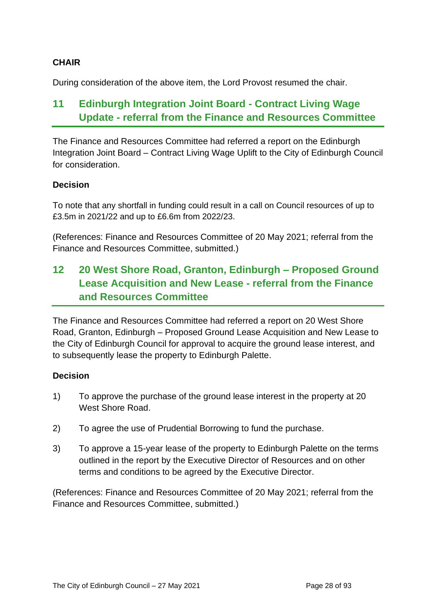#### **CHAIR**

During consideration of the above item, the Lord Provost resumed the chair.

# **11 Edinburgh Integration Joint Board - Contract Living Wage Update - referral from the Finance and Resources Committee**

The Finance and Resources Committee had referred a report on the Edinburgh Integration Joint Board – Contract Living Wage Uplift to the City of Edinburgh Council for consideration.

#### **Decision**

To note that any shortfall in funding could result in a call on Council resources of up to £3.5m in 2021/22 and up to £6.6m from 2022/23.

(References: Finance and Resources Committee of 20 May 2021; referral from the Finance and Resources Committee, submitted.)

# **12 20 West Shore Road, Granton, Edinburgh – Proposed Ground Lease Acquisition and New Lease - referral from the Finance and Resources Committee**

The Finance and Resources Committee had referred a report on 20 West Shore Road, Granton, Edinburgh – Proposed Ground Lease Acquisition and New Lease to the City of Edinburgh Council for approval to acquire the ground lease interest, and to subsequently lease the property to Edinburgh Palette.

#### **Decision**

- 1) To approve the purchase of the ground lease interest in the property at 20 West Shore Road.
- 2) To agree the use of Prudential Borrowing to fund the purchase.
- 3) To approve a 15-year lease of the property to Edinburgh Palette on the terms outlined in the report by the Executive Director of Resources and on other terms and conditions to be agreed by the Executive Director.

(References: Finance and Resources Committee of 20 May 2021; referral from the Finance and Resources Committee, submitted.)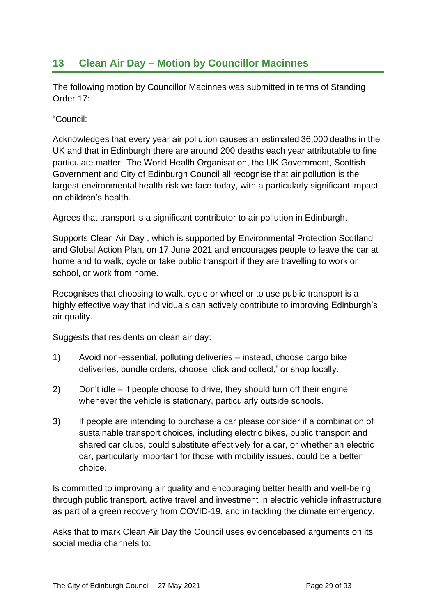### **13 Clean Air Day – Motion by Councillor Macinnes**

The following motion by Councillor Macinnes was submitted in terms of Standing Order 17:

"Council:

Acknowledges that every year air pollution causes an estimated 36,000 deaths in the UK and that in Edinburgh there are around 200 deaths each year attributable to fine particulate matter.  The World Health Organisation, the UK Government, Scottish Government and City of Edinburgh Council all recognise that air pollution is the largest environmental health risk we face today, with a particularly significant impact on children's health.

Agrees that transport is a significant contributor to air pollution in Edinburgh.

Supports Clean Air Day , which is supported by Environmental Protection Scotland and Global Action Plan, on 17 June 2021 and encourages people to leave the car at home and to walk, cycle or take public transport if they are travelling to work or school, or work from home.

Recognises that choosing to walk, cycle or wheel or to use public transport is a highly effective way that individuals can actively contribute to improving Edinburgh's air quality.

Suggests that residents on clean air day:

- 1) Avoid non-essential, polluting deliveries instead, choose cargo bike deliveries, bundle orders, choose 'click and collect,' or shop locally.
- 2) Don't idle if people choose to drive, they should turn off their engine whenever the vehicle is stationary, particularly outside schools.
- 3) If people are intending to purchase a car please consider if a combination of sustainable transport choices, including electric bikes, public transport and shared car clubs, could substitute effectively for a car, or whether an electric car, particularly important for those with mobility issues, could be a better choice.

Is committed to improving air quality and encouraging better health and well-being through public transport, active travel and investment in electric vehicle infrastructure as part of a green recovery from COVID-19, and in tackling the climate emergency.

Asks that to mark Clean Air Day the Council uses evidencebased arguments on its social media channels to: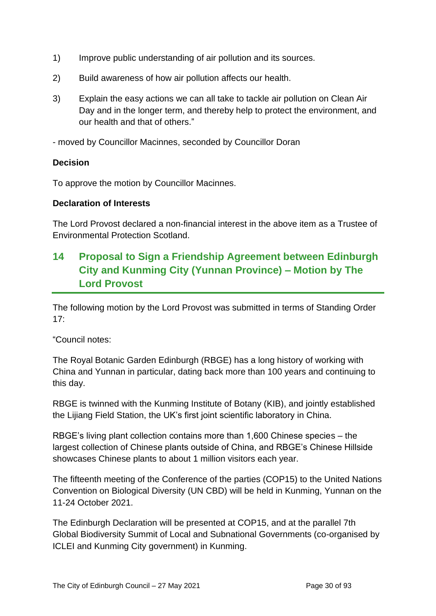- 1) Improve public understanding of air pollution and its sources.
- 2) Build awareness of how air pollution affects our health.
- 3) Explain the easy actions we can all take to tackle air pollution on Clean Air Day and in the longer term, and thereby help to protect the environment, and our health and that of others."
- moved by Councillor Macinnes, seconded by Councillor Doran

#### **Decision**

To approve the motion by Councillor Macinnes.

#### **Declaration of Interests**

The Lord Provost declared a non-financial interest in the above item as a Trustee of Environmental Protection Scotland.

# **14 Proposal to Sign a Friendship Agreement between Edinburgh City and Kunming City (Yunnan Province) – Motion by The Lord Provost**

The following motion by the Lord Provost was submitted in terms of Standing Order 17:

"Council notes:

The Royal Botanic Garden Edinburgh (RBGE) has a long history of working with China and Yunnan in particular, dating back more than 100 years and continuing to this day.

RBGE is twinned with the Kunming Institute of Botany (KIB), and jointly established the Lijiang Field Station, the UK's first joint scientific laboratory in China.

RBGE's living plant collection contains more than 1,600 Chinese species – the largest collection of Chinese plants outside of China, and RBGE's Chinese Hillside showcases Chinese plants to about 1 million visitors each year.

The fifteenth meeting of the Conference of the parties (COP15) to the United Nations Convention on Biological Diversity (UN CBD) will be held in Kunming, Yunnan on the 11-24 October 2021.

The Edinburgh Declaration will be presented at COP15, and at the parallel 7th Global Biodiversity Summit of Local and Subnational Governments (co-organised by ICLEI and Kunming City government) in Kunming.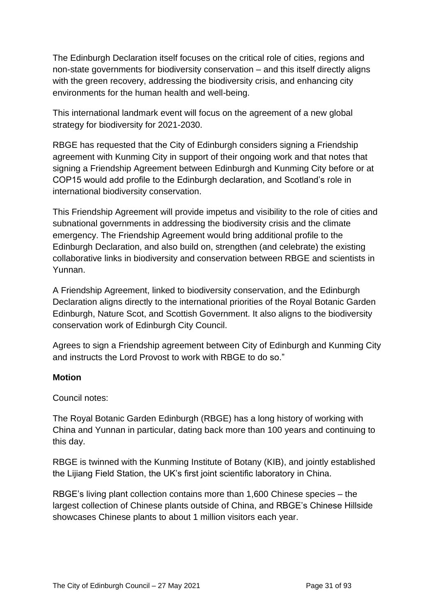The Edinburgh Declaration itself focuses on the critical role of cities, regions and non-state governments for biodiversity conservation – and this itself directly aligns with the green recovery, addressing the biodiversity crisis, and enhancing city environments for the human health and well-being.

This international landmark event will focus on the agreement of a new global strategy for biodiversity for 2021-2030.

RBGE has requested that the City of Edinburgh considers signing a Friendship agreement with Kunming City in support of their ongoing work and that notes that signing a Friendship Agreement between Edinburgh and Kunming City before or at COP15 would add profile to the Edinburgh declaration, and Scotland's role in international biodiversity conservation.

This Friendship Agreement will provide impetus and visibility to the role of cities and subnational governments in addressing the biodiversity crisis and the climate emergency. The Friendship Agreement would bring additional profile to the Edinburgh Declaration, and also build on, strengthen (and celebrate) the existing collaborative links in biodiversity and conservation between RBGE and scientists in Yunnan.

A Friendship Agreement, linked to biodiversity conservation, and the Edinburgh Declaration aligns directly to the international priorities of the Royal Botanic Garden Edinburgh, Nature Scot, and Scottish Government. It also aligns to the biodiversity conservation work of Edinburgh City Council.

Agrees to sign a Friendship agreement between City of Edinburgh and Kunming City and instructs the Lord Provost to work with RBGE to do so."

#### **Motion**

Council notes:

The Royal Botanic Garden Edinburgh (RBGE) has a long history of working with China and Yunnan in particular, dating back more than 100 years and continuing to this day.

RBGE is twinned with the Kunming Institute of Botany (KIB), and jointly established the Lijiang Field Station, the UK's first joint scientific laboratory in China.

RBGE's living plant collection contains more than 1,600 Chinese species – the largest collection of Chinese plants outside of China, and RBGE's Chinese Hillside showcases Chinese plants to about 1 million visitors each year.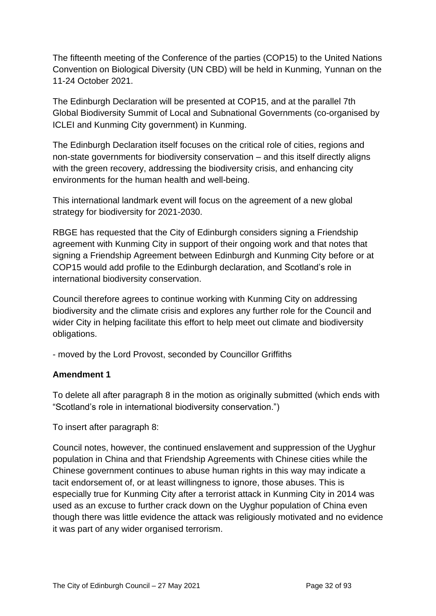The fifteenth meeting of the Conference of the parties (COP15) to the United Nations Convention on Biological Diversity (UN CBD) will be held in Kunming, Yunnan on the 11-24 October 2021.

The Edinburgh Declaration will be presented at COP15, and at the parallel 7th Global Biodiversity Summit of Local and Subnational Governments (co-organised by ICLEI and Kunming City government) in Kunming.

The Edinburgh Declaration itself focuses on the critical role of cities, regions and non-state governments for biodiversity conservation – and this itself directly aligns with the green recovery, addressing the biodiversity crisis, and enhancing city environments for the human health and well-being.

This international landmark event will focus on the agreement of a new global strategy for biodiversity for 2021-2030.

RBGE has requested that the City of Edinburgh considers signing a Friendship agreement with Kunming City in support of their ongoing work and that notes that signing a Friendship Agreement between Edinburgh and Kunming City before or at COP15 would add profile to the Edinburgh declaration, and Scotland's role in international biodiversity conservation.

Council therefore agrees to continue working with Kunming City on addressing biodiversity and the climate crisis and explores any further role for the Council and wider City in helping facilitate this effort to help meet out climate and biodiversity obligations.

- moved by the Lord Provost, seconded by Councillor Griffiths

#### **Amendment 1**

To delete all after paragraph 8 in the motion as originally submitted (which ends with "Scotland's role in international biodiversity conservation.")

To insert after paragraph 8:

Council notes, however, the continued enslavement and suppression of the Uyghur population in China and that Friendship Agreements with Chinese cities while the Chinese government continues to abuse human rights in this way may indicate a tacit endorsement of, or at least willingness to ignore, those abuses. This is especially true for Kunming City after a terrorist attack in Kunming City in 2014 was used as an excuse to further crack down on the Uyghur population of China even though there was little evidence the attack was religiously motivated and no evidence it was part of any wider organised terrorism.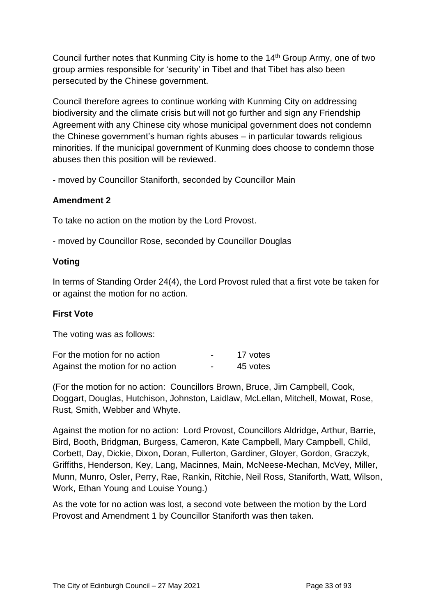Council further notes that Kunming City is home to the 14th Group Army, one of two group armies responsible for 'security' in Tibet and that Tibet has also been persecuted by the Chinese government.

Council therefore agrees to continue working with Kunming City on addressing biodiversity and the climate crisis but will not go further and sign any Friendship Agreement with any Chinese city whose municipal government does not condemn the Chinese government's human rights abuses – in particular towards religious minorities. If the municipal government of Kunming does choose to condemn those abuses then this position will be reviewed.

- moved by Councillor Staniforth, seconded by Councillor Main

#### **Amendment 2**

To take no action on the motion by the Lord Provost.

- moved by Councillor Rose, seconded by Councillor Douglas

#### **Voting**

In terms of Standing Order 24(4), the Lord Provost ruled that a first vote be taken for or against the motion for no action.

#### **First Vote**

The voting was as follows:

| For the motion for no action     |                          | 17 votes |
|----------------------------------|--------------------------|----------|
| Against the motion for no action | $\overline{\phantom{0}}$ | 45 votes |

(For the motion for no action: Councillors Brown, Bruce, Jim Campbell, Cook, Doggart, Douglas, Hutchison, Johnston, Laidlaw, McLellan, Mitchell, Mowat, Rose, Rust, Smith, Webber and Whyte.

Against the motion for no action: Lord Provost, Councillors Aldridge, Arthur, Barrie, Bird, Booth, Bridgman, Burgess, Cameron, Kate Campbell, Mary Campbell, Child, Corbett, Day, Dickie, Dixon, Doran, Fullerton, Gardiner, Gloyer, Gordon, Graczyk, Griffiths, Henderson, Key, Lang, Macinnes, Main, McNeese-Mechan, McVey, Miller, Munn, Munro, Osler, Perry, Rae, Rankin, Ritchie, Neil Ross, Staniforth, Watt, Wilson, Work, Ethan Young and Louise Young.)

As the vote for no action was lost, a second vote between the motion by the Lord Provost and Amendment 1 by Councillor Staniforth was then taken.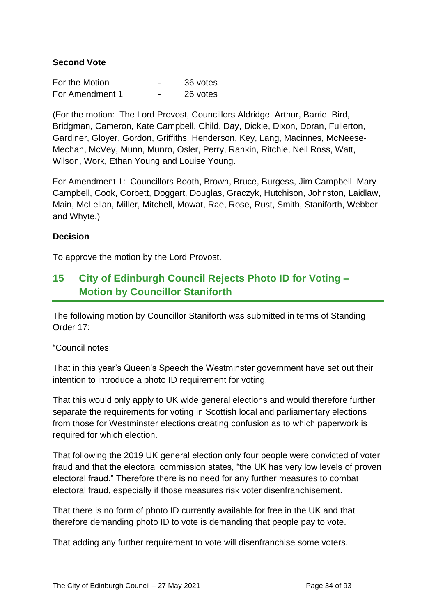#### **Second Vote**

| For the Motion  | 36 votes |
|-----------------|----------|
| For Amendment 1 | 26 votes |

(For the motion: The Lord Provost, Councillors Aldridge, Arthur, Barrie, Bird, Bridgman, Cameron, Kate Campbell, Child, Day, Dickie, Dixon, Doran, Fullerton, Gardiner, Gloyer, Gordon, Griffiths, Henderson, Key, Lang, Macinnes, McNeese-Mechan, McVey, Munn, Munro, Osler, Perry, Rankin, Ritchie, Neil Ross, Watt, Wilson, Work, Ethan Young and Louise Young.

For Amendment 1: Councillors Booth, Brown, Bruce, Burgess, Jim Campbell, Mary Campbell, Cook, Corbett, Doggart, Douglas, Graczyk, Hutchison, Johnston, Laidlaw, Main, McLellan, Miller, Mitchell, Mowat, Rae, Rose, Rust, Smith, Staniforth, Webber and Whyte.)

#### **Decision**

To approve the motion by the Lord Provost.

## **15 City of Edinburgh Council Rejects Photo ID for Voting – Motion by Councillor Staniforth**

The following motion by Councillor Staniforth was submitted in terms of Standing Order 17:

"Council notes:

That in this year's Queen's Speech the Westminster government have set out their intention to introduce a photo ID requirement for voting.

That this would only apply to UK wide general elections and would therefore further separate the requirements for voting in Scottish local and parliamentary elections from those for Westminster elections creating confusion as to which paperwork is required for which election.

That following the 2019 UK general election only four people were convicted of voter fraud and that the electoral commission states, "the UK has very low levels of proven electoral fraud." Therefore there is no need for any further measures to combat electoral fraud, especially if those measures risk voter disenfranchisement.

That there is no form of photo ID currently available for free in the UK and that therefore demanding photo ID to vote is demanding that people pay to vote.

That adding any further requirement to vote will disenfranchise some voters.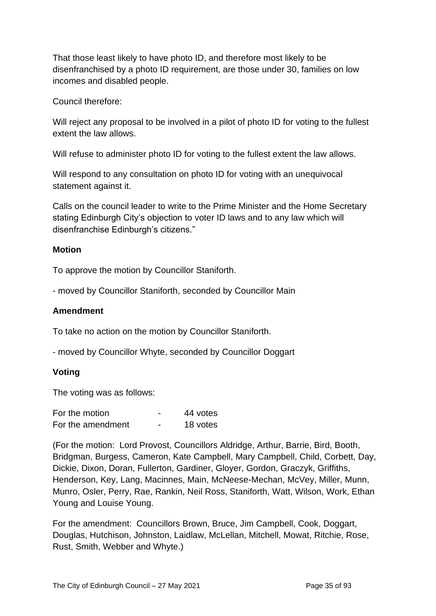That those least likely to have photo ID, and therefore most likely to be disenfranchised by a photo ID requirement, are those under 30, families on low incomes and disabled people.

Council therefore:

Will reject any proposal to be involved in a pilot of photo ID for voting to the fullest extent the law allows.

Will refuse to administer photo ID for voting to the fullest extent the law allows.

Will respond to any consultation on photo ID for voting with an unequivocal statement against it.

Calls on the council leader to write to the Prime Minister and the Home Secretary stating Edinburgh City's objection to voter ID laws and to any law which will disenfranchise Edinburgh's citizens."

#### **Motion**

To approve the motion by Councillor Staniforth.

- moved by Councillor Staniforth, seconded by Councillor Main

#### **Amendment**

To take no action on the motion by Councillor Staniforth.

- moved by Councillor Whyte, seconded by Councillor Doggart

#### **Voting**

The voting was as follows:

| For the motion    | - | 44 votes |
|-------------------|---|----------|
| For the amendment | - | 18 votes |

(For the motion: Lord Provost, Councillors Aldridge, Arthur, Barrie, Bird, Booth, Bridgman, Burgess, Cameron, Kate Campbell, Mary Campbell, Child, Corbett, Day, Dickie, Dixon, Doran, Fullerton, Gardiner, Gloyer, Gordon, Graczyk, Griffiths, Henderson, Key, Lang, Macinnes, Main, McNeese-Mechan, McVey, Miller, Munn, Munro, Osler, Perry, Rae, Rankin, Neil Ross, Staniforth, Watt, Wilson, Work, Ethan Young and Louise Young.

For the amendment: Councillors Brown, Bruce, Jim Campbell, Cook, Doggart, Douglas, Hutchison, Johnston, Laidlaw, McLellan, Mitchell, Mowat, Ritchie, Rose, Rust, Smith, Webber and Whyte.)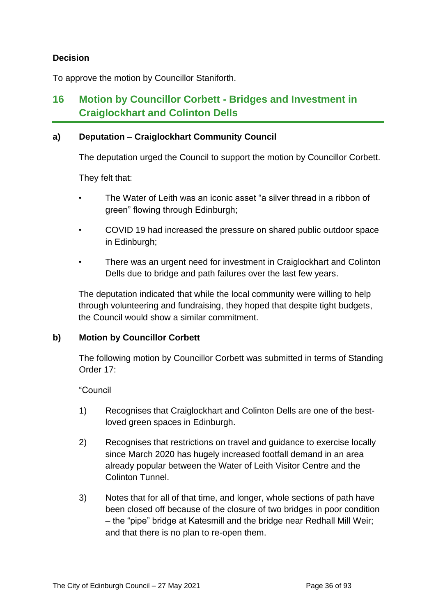#### **Decision**

To approve the motion by Councillor Staniforth.

## **16 Motion by Councillor Corbett - Bridges and Investment in Craiglockhart and Colinton Dells**

#### **a) Deputation – Craiglockhart Community Council**

The deputation urged the Council to support the motion by Councillor Corbett.

They felt that:

- The Water of Leith was an iconic asset "a silver thread in a ribbon of green" flowing through Edinburgh;
- COVID 19 had increased the pressure on shared public outdoor space in Edinburgh;
- There was an urgent need for investment in Craiglockhart and Colinton Dells due to bridge and path failures over the last few years.

The deputation indicated that while the local community were willing to help through volunteering and fundraising, they hoped that despite tight budgets, the Council would show a similar commitment.

#### **b) Motion by Councillor Corbett**

The following motion by Councillor Corbett was submitted in terms of Standing Order 17:

"Council

- 1) Recognises that Craiglockhart and Colinton Dells are one of the bestloved green spaces in Edinburgh.
- 2) Recognises that restrictions on travel and guidance to exercise locally since March 2020 has hugely increased footfall demand in an area already popular between the Water of Leith Visitor Centre and the Colinton Tunnel.
- 3) Notes that for all of that time, and longer, whole sections of path have been closed off because of the closure of two bridges in poor condition – the "pipe" bridge at Katesmill and the bridge near Redhall Mill Weir; and that there is no plan to re-open them.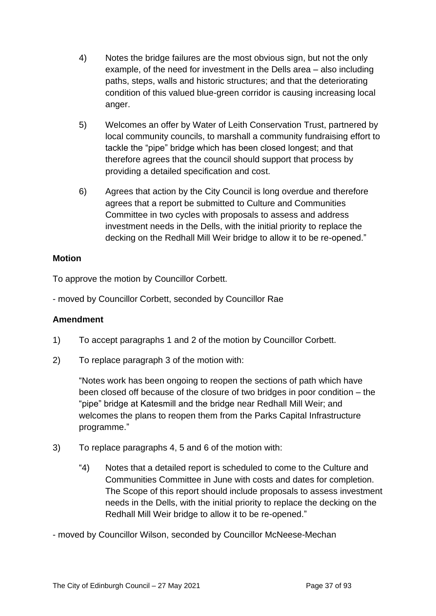- 4) Notes the bridge failures are the most obvious sign, but not the only example, of the need for investment in the Dells area – also including paths, steps, walls and historic structures; and that the deteriorating condition of this valued blue-green corridor is causing increasing local anger.
- 5) Welcomes an offer by Water of Leith Conservation Trust, partnered by local community councils, to marshall a community fundraising effort to tackle the "pipe" bridge which has been closed longest; and that therefore agrees that the council should support that process by providing a detailed specification and cost.
- 6) Agrees that action by the City Council is long overdue and therefore agrees that a report be submitted to Culture and Communities Committee in two cycles with proposals to assess and address investment needs in the Dells, with the initial priority to replace the decking on the Redhall Mill Weir bridge to allow it to be re-opened."

#### **Motion**

To approve the motion by Councillor Corbett.

- moved by Councillor Corbett, seconded by Councillor Rae

#### **Amendment**

- 1) To accept paragraphs 1 and 2 of the motion by Councillor Corbett.
- 2) To replace paragraph 3 of the motion with:

"Notes work has been ongoing to reopen the sections of path which have been closed off because of the closure of two bridges in poor condition – the "pipe" bridge at Katesmill and the bridge near Redhall Mill Weir; and welcomes the plans to reopen them from the Parks Capital Infrastructure programme."

- 3) To replace paragraphs 4, 5 and 6 of the motion with:
	- "4) Notes that a detailed report is scheduled to come to the Culture and Communities Committee in June with costs and dates for completion. The Scope of this report should include proposals to assess investment needs in the Dells, with the initial priority to replace the decking on the Redhall Mill Weir bridge to allow it to be re-opened."

- moved by Councillor Wilson, seconded by Councillor McNeese-Mechan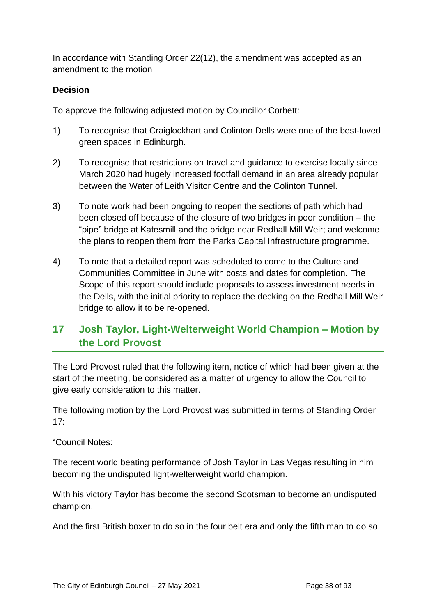In accordance with Standing Order 22(12), the amendment was accepted as an amendment to the motion

## **Decision**

To approve the following adjusted motion by Councillor Corbett:

- 1) To recognise that Craiglockhart and Colinton Dells were one of the best-loved green spaces in Edinburgh.
- 2) To recognise that restrictions on travel and guidance to exercise locally since March 2020 had hugely increased footfall demand in an area already popular between the Water of Leith Visitor Centre and the Colinton Tunnel.
- 3) To note work had been ongoing to reopen the sections of path which had been closed off because of the closure of two bridges in poor condition – the "pipe" bridge at Katesmill and the bridge near Redhall Mill Weir; and welcome the plans to reopen them from the Parks Capital Infrastructure programme.
- 4) To note that a detailed report was scheduled to come to the Culture and Communities Committee in June with costs and dates for completion. The Scope of this report should include proposals to assess investment needs in the Dells, with the initial priority to replace the decking on the Redhall Mill Weir bridge to allow it to be re-opened.

# **17 Josh Taylor, Light-Welterweight World Champion – Motion by the Lord Provost**

The Lord Provost ruled that the following item, notice of which had been given at the start of the meeting, be considered as a matter of urgency to allow the Council to give early consideration to this matter.

The following motion by the Lord Provost was submitted in terms of Standing Order 17:

#### "Council Notes:

The recent world beating performance of Josh Taylor in Las Vegas resulting in him becoming the undisputed light-welterweight world champion.

With his victory Taylor has become the second Scotsman to become an undisputed champion.

And the first British boxer to do so in the four belt era and only the fifth man to do so.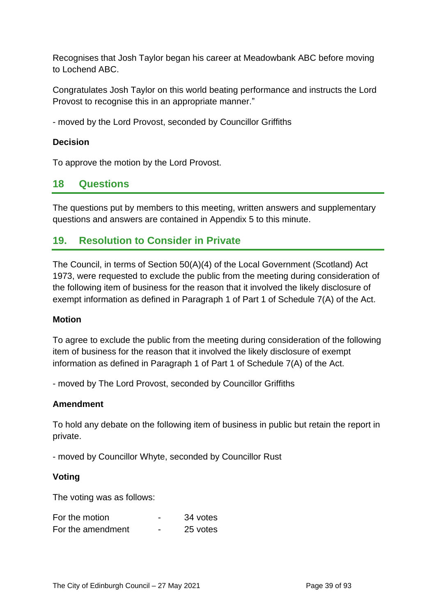Recognises that Josh Taylor began his career at Meadowbank ABC before moving to Lochend ABC.

Congratulates Josh Taylor on this world beating performance and instructs the Lord Provost to recognise this in an appropriate manner."

- moved by the Lord Provost, seconded by Councillor Griffiths

#### **Decision**

To approve the motion by the Lord Provost.

# **18 Questions**

The questions put by members to this meeting, written answers and supplementary questions and answers are contained in Appendix 5 to this minute.

# **19. Resolution to Consider in Private**

The Council, in terms of Section 50(A)(4) of the Local Government (Scotland) Act 1973, were requested to exclude the public from the meeting during consideration of the following item of business for the reason that it involved the likely disclosure of exempt information as defined in Paragraph 1 of Part 1 of Schedule 7(A) of the Act.

#### **Motion**

To agree to exclude the public from the meeting during consideration of the following item of business for the reason that it involved the likely disclosure of exempt information as defined in Paragraph 1 of Part 1 of Schedule 7(A) of the Act.

- moved by The Lord Provost, seconded by Councillor Griffiths

#### **Amendment**

To hold any debate on the following item of business in public but retain the report in private.

- moved by Councillor Whyte, seconded by Councillor Rust

#### **Voting**

The voting was as follows:

| For the motion    |   | 34 votes |
|-------------------|---|----------|
| For the amendment | - | 25 votes |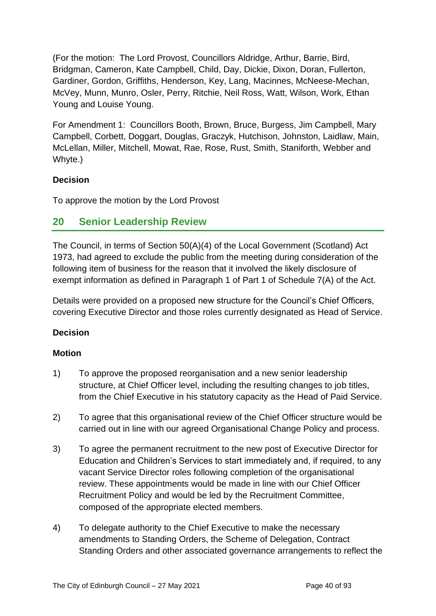(For the motion: The Lord Provost, Councillors Aldridge, Arthur, Barrie, Bird, Bridgman, Cameron, Kate Campbell, Child, Day, Dickie, Dixon, Doran, Fullerton, Gardiner, Gordon, Griffiths, Henderson, Key, Lang, Macinnes, McNeese-Mechan, McVey, Munn, Munro, Osler, Perry, Ritchie, Neil Ross, Watt, Wilson, Work, Ethan Young and Louise Young.

For Amendment 1: Councillors Booth, Brown, Bruce, Burgess, Jim Campbell, Mary Campbell, Corbett, Doggart, Douglas, Graczyk, Hutchison, Johnston, Laidlaw, Main, McLellan, Miller, Mitchell, Mowat, Rae, Rose, Rust, Smith, Staniforth, Webber and Whyte.)

#### **Decision**

To approve the motion by the Lord Provost

# **20 Senior Leadership Review**

The Council, in terms of Section 50(A)(4) of the Local Government (Scotland) Act 1973, had agreed to exclude the public from the meeting during consideration of the following item of business for the reason that it involved the likely disclosure of exempt information as defined in Paragraph 1 of Part 1 of Schedule 7(A) of the Act.

Details were provided on a proposed new structure for the Council's Chief Officers, covering Executive Director and those roles currently designated as Head of Service.

# **Decision**

#### **Motion**

- 1) To approve the proposed reorganisation and a new senior leadership structure, at Chief Officer level, including the resulting changes to job titles, from the Chief Executive in his statutory capacity as the Head of Paid Service.
- 2) To agree that this organisational review of the Chief Officer structure would be carried out in line with our agreed Organisational Change Policy and process.
- 3) To agree the permanent recruitment to the new post of Executive Director for Education and Children's Services to start immediately and, if required, to any vacant Service Director roles following completion of the organisational review. These appointments would be made in line with our Chief Officer Recruitment Policy and would be led by the Recruitment Committee, composed of the appropriate elected members.
- 4) To delegate authority to the Chief Executive to make the necessary amendments to Standing Orders, the Scheme of Delegation, Contract Standing Orders and other associated governance arrangements to reflect the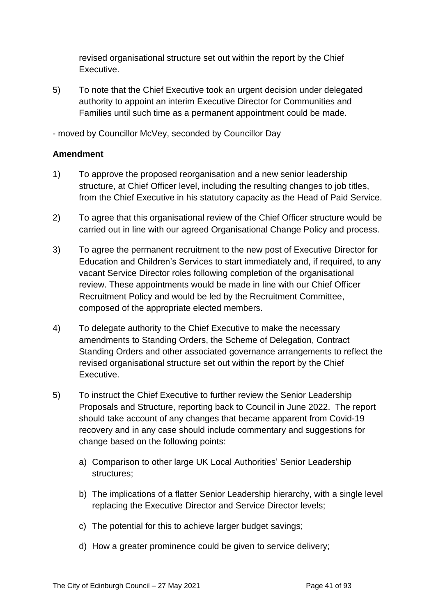revised organisational structure set out within the report by the Chief Executive.

5) To note that the Chief Executive took an urgent decision under delegated authority to appoint an interim Executive Director for Communities and Families until such time as a permanent appointment could be made.

- moved by Councillor McVey, seconded by Councillor Day

#### **Amendment**

- 1) To approve the proposed reorganisation and a new senior leadership structure, at Chief Officer level, including the resulting changes to job titles, from the Chief Executive in his statutory capacity as the Head of Paid Service.
- 2) To agree that this organisational review of the Chief Officer structure would be carried out in line with our agreed Organisational Change Policy and process.
- 3) To agree the permanent recruitment to the new post of Executive Director for Education and Children's Services to start immediately and, if required, to any vacant Service Director roles following completion of the organisational review. These appointments would be made in line with our Chief Officer Recruitment Policy and would be led by the Recruitment Committee, composed of the appropriate elected members.
- 4) To delegate authority to the Chief Executive to make the necessary amendments to Standing Orders, the Scheme of Delegation, Contract Standing Orders and other associated governance arrangements to reflect the revised organisational structure set out within the report by the Chief Executive.
- 5) To instruct the Chief Executive to further review the Senior Leadership Proposals and Structure, reporting back to Council in June 2022. The report should take account of any changes that became apparent from Covid-19 recovery and in any case should include commentary and suggestions for change based on the following points:
	- a) Comparison to other large UK Local Authorities' Senior Leadership structures;
	- b) The implications of a flatter Senior Leadership hierarchy, with a single level replacing the Executive Director and Service Director levels;
	- c) The potential for this to achieve larger budget savings;
	- d) How a greater prominence could be given to service delivery;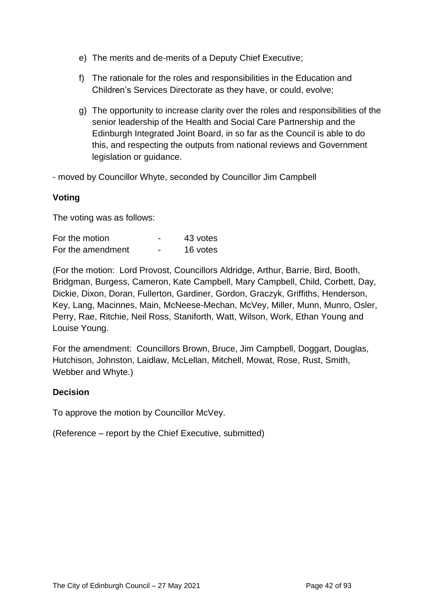- e) The merits and de-merits of a Deputy Chief Executive;
- f) The rationale for the roles and responsibilities in the Education and Children's Services Directorate as they have, or could, evolve;
- g) The opportunity to increase clarity over the roles and responsibilities of the senior leadership of the Health and Social Care Partnership and the Edinburgh Integrated Joint Board, in so far as the Council is able to do this, and respecting the outputs from national reviews and Government legislation or guidance.

- moved by Councillor Whyte, seconded by Councillor Jim Campbell

#### **Voting**

The voting was as follows:

| For the motion    |   | 43 votes |
|-------------------|---|----------|
| For the amendment | - | 16 votes |

(For the motion: Lord Provost, Councillors Aldridge, Arthur, Barrie, Bird, Booth, Bridgman, Burgess, Cameron, Kate Campbell, Mary Campbell, Child, Corbett, Day, Dickie, Dixon, Doran, Fullerton, Gardiner, Gordon, Graczyk, Griffiths, Henderson, Key, Lang, Macinnes, Main, McNeese-Mechan, McVey, Miller, Munn, Munro, Osler, Perry, Rae, Ritchie, Neil Ross, Staniforth, Watt, Wilson, Work, Ethan Young and Louise Young.

For the amendment: Councillors Brown, Bruce, Jim Campbell, Doggart, Douglas, Hutchison, Johnston, Laidlaw, McLellan, Mitchell, Mowat, Rose, Rust, Smith, Webber and Whyte.)

#### **Decision**

To approve the motion by Councillor McVey.

(Reference – report by the Chief Executive, submitted)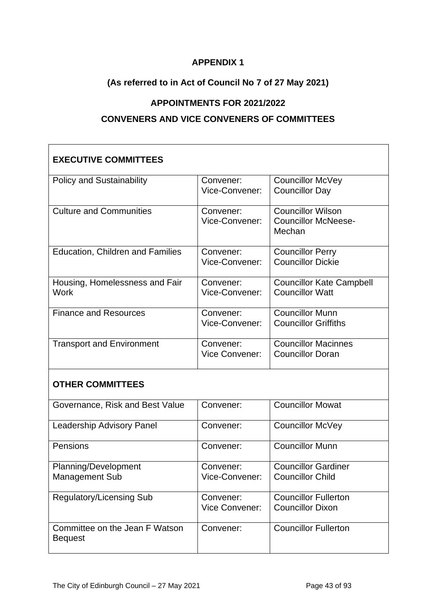# **APPENDIX 1**

# **(As referred to in Act of Council No 7 of 27 May 2021)**

# **APPOINTMENTS FOR 2021/2022**

### **CONVENERS AND VICE CONVENERS OF COMMITTEES**

| <b>EXECUTIVE COMMITTEES</b>                      |                                    |                                                                  |
|--------------------------------------------------|------------------------------------|------------------------------------------------------------------|
| <b>Policy and Sustainability</b>                 | Convener:<br>Vice-Convener:        | <b>Councillor McVey</b><br><b>Councillor Day</b>                 |
| <b>Culture and Communities</b>                   | Convener:<br>Vice-Convener:        | <b>Councillor Wilson</b><br><b>Councillor McNeese-</b><br>Mechan |
| Education, Children and Families                 | Convener:<br>Vice-Convener:        | <b>Councillor Perry</b><br><b>Councillor Dickie</b>              |
| Housing, Homelessness and Fair<br>Work           | Convener:<br>Vice-Convener:        | <b>Councillor Kate Campbell</b><br><b>Councillor Watt</b>        |
| <b>Finance and Resources</b>                     | Convener:<br>Vice-Convener:        | <b>Councillor Munn</b><br><b>Councillor Griffiths</b>            |
| <b>Transport and Environment</b>                 | Convener:<br><b>Vice Convener:</b> | <b>Councillor Macinnes</b><br><b>Councillor Doran</b>            |
| <b>OTHER COMMITTEES</b>                          |                                    |                                                                  |
| Governance, Risk and Best Value                  | Convener:                          | <b>Councillor Mowat</b>                                          |
| <b>Leadership Advisory Panel</b>                 | Convener:                          | <b>Councillor McVey</b>                                          |
| Pensions                                         | Convener:                          | <b>Councillor Munn</b>                                           |
| Planning/Development<br><b>Management Sub</b>    | Convener:<br>Vice-Convener:        | <b>Councillor Gardiner</b><br><b>Councillor Child</b>            |
| <b>Regulatory/Licensing Sub</b>                  | Convener:<br><b>Vice Convener:</b> | <b>Councillor Fullerton</b><br><b>Councillor Dixon</b>           |
| Committee on the Jean F Watson<br><b>Bequest</b> | Convener:                          | <b>Councillor Fullerton</b>                                      |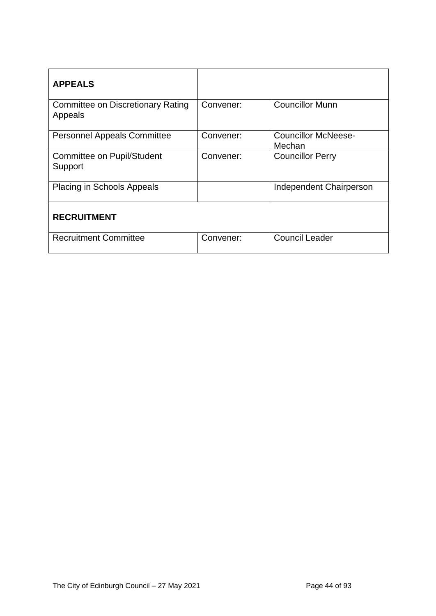| <b>APPEALS</b>                                      |           |                                      |
|-----------------------------------------------------|-----------|--------------------------------------|
| <b>Committee on Discretionary Rating</b><br>Appeals | Convener: | <b>Councillor Munn</b>               |
| <b>Personnel Appeals Committee</b>                  | Convener: | <b>Councillor McNeese-</b><br>Mechan |
| <b>Committee on Pupil/Student</b><br>Support        | Convener: | <b>Councillor Perry</b>              |
| <b>Placing in Schools Appeals</b>                   |           | Independent Chairperson              |
| <b>RECRUITMENT</b>                                  |           |                                      |
| <b>Recruitment Committee</b>                        | Convener: | <b>Council Leader</b>                |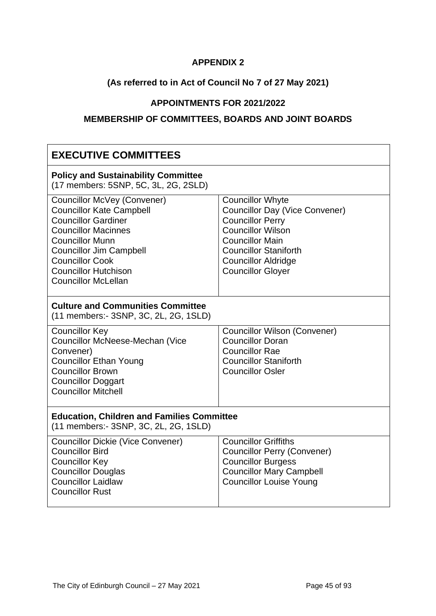## **APPENDIX 2**

# **(As referred to in Act of Council No 7 of 27 May 2021)**

# **APPOINTMENTS FOR 2021/2022**

# **MEMBERSHIP OF COMMITTEES, BOARDS AND JOINT BOARDS**

| <b>EXECUTIVE COMMITTEES</b>                                                                                                                                                                                                                                                          |                                                                                                                                                                                                                                             |  |  |
|--------------------------------------------------------------------------------------------------------------------------------------------------------------------------------------------------------------------------------------------------------------------------------------|---------------------------------------------------------------------------------------------------------------------------------------------------------------------------------------------------------------------------------------------|--|--|
| <b>Policy and Sustainability Committee</b><br>(17 members: 5SNP, 5C, 3L, 2G, 2SLD)                                                                                                                                                                                                   |                                                                                                                                                                                                                                             |  |  |
| <b>Councillor McVey (Convener)</b><br><b>Councillor Kate Campbell</b><br><b>Councillor Gardiner</b><br><b>Councillor Macinnes</b><br><b>Councillor Munn</b><br><b>Councillor Jim Campbell</b><br><b>Councillor Cook</b><br><b>Councillor Hutchison</b><br><b>Councillor McLellan</b> | <b>Councillor Whyte</b><br><b>Councillor Day (Vice Convener)</b><br><b>Councillor Perry</b><br><b>Councillor Wilson</b><br><b>Councillor Main</b><br><b>Councillor Staniforth</b><br><b>Councillor Aldridge</b><br><b>Councillor Gloyer</b> |  |  |
| <b>Culture and Communities Committee</b><br>(11 members: - 3SNP, 3C, 2L, 2G, 1SLD)                                                                                                                                                                                                   |                                                                                                                                                                                                                                             |  |  |
| <b>Councillor Key</b><br><b>Councillor McNeese-Mechan (Vice</b><br>Convener)<br><b>Councillor Ethan Young</b><br><b>Councillor Brown</b><br><b>Councillor Doggart</b><br><b>Councillor Mitchell</b>                                                                                  | <b>Councillor Wilson (Convener)</b><br><b>Councillor Doran</b><br><b>Councillor Rae</b><br><b>Councillor Staniforth</b><br><b>Councillor Osler</b>                                                                                          |  |  |
| <b>Education, Children and Families Committee</b><br>(11 members:- 3SNP, 3C, 2L, 2G, 1SLD)                                                                                                                                                                                           |                                                                                                                                                                                                                                             |  |  |
| <b>Councillor Dickie (Vice Convener)</b><br><b>Councillor Bird</b><br><b>Councillor Key</b><br><b>Councillor Douglas</b><br><b>Councillor Laidlaw</b><br><b>Councillor Rust</b>                                                                                                      | <b>Councillor Griffiths</b><br><b>Councillor Perry (Convener)</b><br><b>Councillor Burgess</b><br><b>Councillor Mary Campbell</b><br><b>Councillor Louise Young</b>                                                                         |  |  |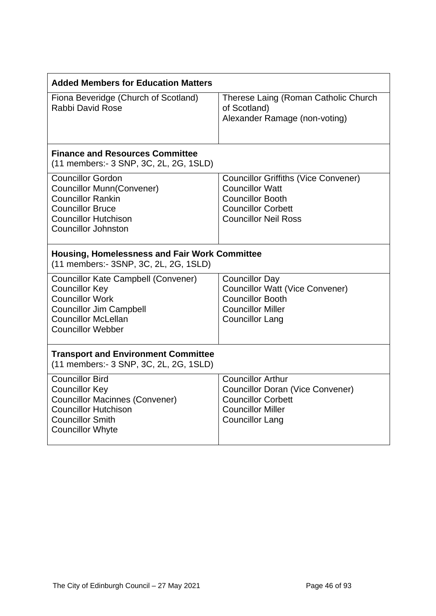| <b>Added Members for Education Matters</b>                                                                                                                                                |                                                                                                                                                              |  |
|-------------------------------------------------------------------------------------------------------------------------------------------------------------------------------------------|--------------------------------------------------------------------------------------------------------------------------------------------------------------|--|
| Fiona Beveridge (Church of Scotland)<br>Rabbi David Rose                                                                                                                                  | Therese Laing (Roman Catholic Church<br>of Scotland)<br>Alexander Ramage (non-voting)                                                                        |  |
| <b>Finance and Resources Committee</b><br>(11 members:- 3 SNP, 3C, 2L, 2G, 1SLD)                                                                                                          |                                                                                                                                                              |  |
| <b>Councillor Gordon</b><br><b>Councillor Munn(Convener)</b><br><b>Councillor Rankin</b><br><b>Councillor Bruce</b><br><b>Councillor Hutchison</b><br><b>Councillor Johnston</b>          | <b>Councillor Griffiths (Vice Convener)</b><br><b>Councillor Watt</b><br><b>Councillor Booth</b><br><b>Councillor Corbett</b><br><b>Councillor Neil Ross</b> |  |
| <b>Housing, Homelessness and Fair Work Committee</b><br>(11 members:- 3SNP, 3C, 2L, 2G, 1SLD)                                                                                             |                                                                                                                                                              |  |
| <b>Councillor Kate Campbell (Convener)</b><br><b>Councillor Key</b><br><b>Councillor Work</b><br><b>Councillor Jim Campbell</b><br><b>Councillor McLellan</b><br><b>Councillor Webber</b> | <b>Councillor Day</b><br><b>Councillor Watt (Vice Convener)</b><br><b>Councillor Booth</b><br><b>Councillor Miller</b><br><b>Councillor Lang</b>             |  |
| <b>Transport and Environment Committee</b><br>(11 members:- 3 SNP, 3C, 2L, 2G, 1SLD)                                                                                                      |                                                                                                                                                              |  |
| <b>Councillor Bird</b><br><b>Councillor Key</b><br><b>Councillor Macinnes (Convener)</b><br><b>Councillor Hutchison</b><br><b>Councillor Smith</b><br><b>Councillor Whyte</b>             | <b>Councillor Arthur</b><br><b>Councillor Doran (Vice Convener)</b><br><b>Councillor Corbett</b><br><b>Councillor Miller</b><br><b>Councillor Lang</b>       |  |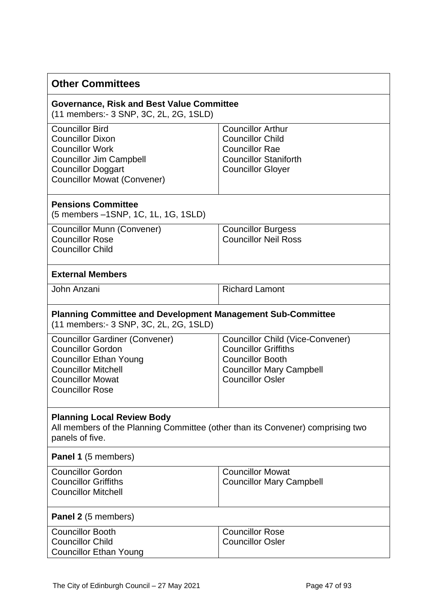| <b>Other Committees</b>                                                                                                                                                               |                                                                                                                                                                 |  |
|---------------------------------------------------------------------------------------------------------------------------------------------------------------------------------------|-----------------------------------------------------------------------------------------------------------------------------------------------------------------|--|
| <b>Governance, Risk and Best Value Committee</b><br>(11 members:- 3 SNP, 3C, 2L, 2G, 1SLD)                                                                                            |                                                                                                                                                                 |  |
| <b>Councillor Bird</b><br><b>Councillor Dixon</b><br><b>Councillor Work</b><br><b>Councillor Jim Campbell</b><br><b>Councillor Doggart</b><br><b>Councillor Mowat (Convener)</b>      | <b>Councillor Arthur</b><br><b>Councillor Child</b><br><b>Councillor Rae</b><br><b>Councillor Staniforth</b><br><b>Councillor Gloyer</b>                        |  |
| <b>Pensions Committee</b><br>(5 members -1SNP, 1C, 1L, 1G, 1SLD)                                                                                                                      |                                                                                                                                                                 |  |
| Councillor Munn (Convener)<br><b>Councillor Rose</b><br><b>Councillor Child</b>                                                                                                       | <b>Councillor Burgess</b><br><b>Councillor Neil Ross</b>                                                                                                        |  |
| <b>External Members</b>                                                                                                                                                               |                                                                                                                                                                 |  |
| John Anzani                                                                                                                                                                           | <b>Richard Lamont</b>                                                                                                                                           |  |
| <b>Planning Committee and Development Management Sub-Committee</b><br>(11 members:- 3 SNP, 3C, 2L, 2G, 1SLD)                                                                          |                                                                                                                                                                 |  |
| <b>Councillor Gardiner (Convener)</b><br><b>Councillor Gordon</b><br><b>Councillor Ethan Young</b><br><b>Councillor Mitchell</b><br><b>Councillor Mowat</b><br><b>Councillor Rose</b> | <b>Councillor Child (Vice-Convener)</b><br><b>Councillor Griffiths</b><br><b>Councillor Booth</b><br><b>Councillor Mary Campbell</b><br><b>Councillor Osler</b> |  |
| <b>Planning Local Review Body</b><br>All members of the Planning Committee (other than its Convener) comprising two<br>panels of five.                                                |                                                                                                                                                                 |  |
| <b>Panel 1</b> (5 members)                                                                                                                                                            |                                                                                                                                                                 |  |
| <b>Councillor Gordon</b><br><b>Councillor Griffiths</b><br><b>Councillor Mitchell</b>                                                                                                 | <b>Councillor Mowat</b><br><b>Councillor Mary Campbell</b>                                                                                                      |  |
| <b>Panel 2</b> (5 members)                                                                                                                                                            |                                                                                                                                                                 |  |
| <b>Councillor Booth</b><br><b>Councillor Child</b><br><b>Councillor Ethan Young</b>                                                                                                   | <b>Councillor Rose</b><br><b>Councillor Osler</b>                                                                                                               |  |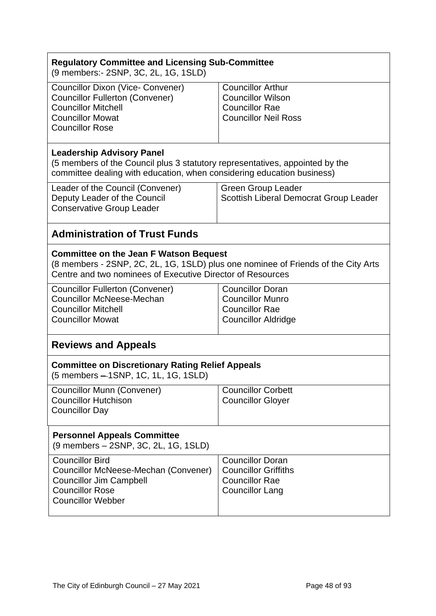| <b>Regulatory Committee and Licensing Sub-Committee</b><br>(9 members:- 2SNP, 3C, 2L, 1G, 1SLD)                                                                                                  |                                                                                                              |  |
|--------------------------------------------------------------------------------------------------------------------------------------------------------------------------------------------------|--------------------------------------------------------------------------------------------------------------|--|
| <b>Councillor Dixon (Vice- Convener)</b><br><b>Councillor Fullerton (Convener)</b><br><b>Councillor Mitchell</b><br><b>Councillor Mowat</b><br><b>Councillor Rose</b>                            | <b>Councillor Arthur</b><br><b>Councillor Wilson</b><br><b>Councillor Rae</b><br><b>Councillor Neil Ross</b> |  |
| <b>Leadership Advisory Panel</b><br>(5 members of the Council plus 3 statutory representatives, appointed by the<br>committee dealing with education, when considering education business)       |                                                                                                              |  |
| Leader of the Council (Convener)<br>Deputy Leader of the Council<br><b>Conservative Group Leader</b>                                                                                             | <b>Green Group Leader</b><br>Scottish Liberal Democrat Group Leader                                          |  |
| <b>Administration of Trust Funds</b>                                                                                                                                                             |                                                                                                              |  |
| <b>Committee on the Jean F Watson Bequest</b><br>(8 members - 2SNP, 2C, 2L, 1G, 1SLD) plus one nominee of Friends of the City Arts<br>Centre and two nominees of Executive Director of Resources |                                                                                                              |  |
| <b>Councillor Fullerton (Convener)</b><br><b>Councillor McNeese-Mechan</b><br><b>Councillor Mitchell</b><br><b>Councillor Mowat</b>                                                              | <b>Councillor Doran</b><br><b>Councillor Munro</b><br><b>Councillor Rae</b><br><b>Councillor Aldridge</b>    |  |
| <b>Reviews and Appeals</b>                                                                                                                                                                       |                                                                                                              |  |
| <b>Committee on Discretionary Rating Relief Appeals</b><br>(5 members - 1SNP, 1C, 1L, 1G, 1SLD)                                                                                                  |                                                                                                              |  |
| <b>Councillor Munn (Convener)</b><br><b>Councillor Hutchison</b><br><b>Councillor Day</b>                                                                                                        | <b>Councillor Corbett</b><br><b>Councillor Gloyer</b>                                                        |  |
| <b>Personnel Appeals Committee</b><br>(9 members – 2SNP, 3C, 2L, 1G, 1SLD)                                                                                                                       |                                                                                                              |  |
| <b>Councillor Bird</b><br>Councillor McNeese-Mechan (Convener)<br><b>Councillor Jim Campbell</b><br><b>Councillor Rose</b><br><b>Councillor Webber</b>                                           | <b>Councillor Doran</b><br><b>Councillor Griffiths</b><br><b>Councillor Rae</b><br><b>Councillor Lang</b>    |  |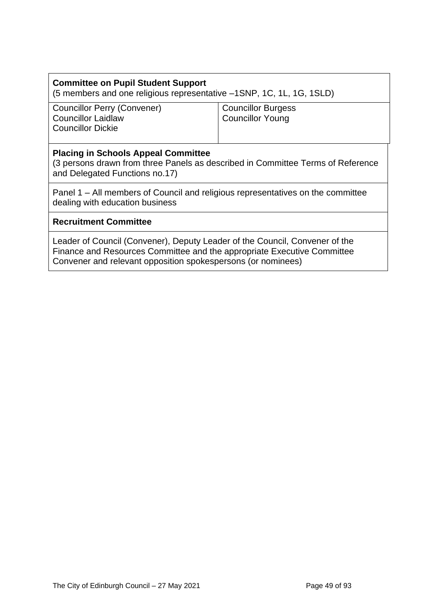# **Committee on Pupil Student Support** (5 members and one religious representative –1SNP, 1C, 1L, 1G, 1SLD)

Councillor Perry (Convener) Councillor Laidlaw Councillor Dickie

Councillor Burgess Councillor Young

#### **Placing in Schools Appeal Committee**

(3 persons drawn from three Panels as described in Committee Terms of Reference and Delegated Functions no.17)

Panel 1 – All members of Council and religious representatives on the committee dealing with education business

#### **Recruitment Committee**

Leader of Council (Convener), Deputy Leader of the Council, Convener of the Finance and Resources Committee and the appropriate Executive Committee Convener and relevant opposition spokespersons (or nominees)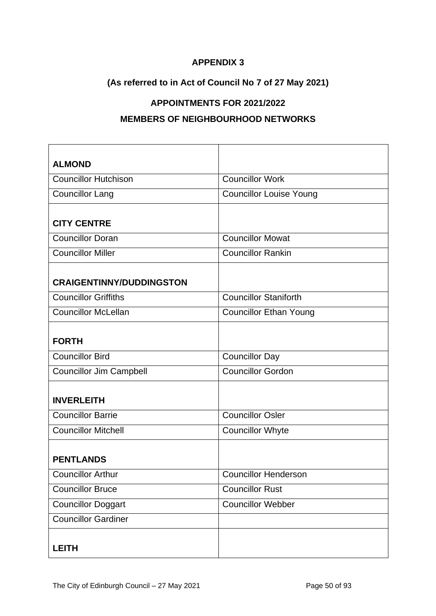# **APPENDIX 3**

# **(As referred to in Act of Council No 7 of 27 May 2021)**

# **APPOINTMENTS FOR 2021/2022**

#### **MEMBERS OF NEIGHBOURHOOD NETWORKS**

| <b>ALMOND</b>                   |                                |
|---------------------------------|--------------------------------|
| <b>Councillor Hutchison</b>     | <b>Councillor Work</b>         |
| <b>Councillor Lang</b>          | <b>Councillor Louise Young</b> |
|                                 |                                |
| <b>CITY CENTRE</b>              |                                |
| <b>Councillor Doran</b>         | <b>Councillor Mowat</b>        |
| <b>Councillor Miller</b>        | <b>Councillor Rankin</b>       |
|                                 |                                |
| <b>CRAIGENTINNY/DUDDINGSTON</b> |                                |
| <b>Councillor Griffiths</b>     | <b>Councillor Staniforth</b>   |
| <b>Councillor McLellan</b>      | <b>Councillor Ethan Young</b>  |
|                                 |                                |
| <b>FORTH</b>                    |                                |
| <b>Councillor Bird</b>          | <b>Councillor Day</b>          |
| <b>Councillor Jim Campbell</b>  | <b>Councillor Gordon</b>       |
|                                 |                                |
| <b>INVERLEITH</b>               |                                |
| <b>Councillor Barrie</b>        | <b>Councillor Osler</b>        |
| <b>Councillor Mitchell</b>      | <b>Councillor Whyte</b>        |
|                                 |                                |
| <b>PENTLANDS</b>                |                                |
| <b>Councillor Arthur</b>        | <b>Councillor Henderson</b>    |
| <b>Councillor Bruce</b>         | <b>Councillor Rust</b>         |
| <b>Councillor Doggart</b>       | <b>Councillor Webber</b>       |
| <b>Councillor Gardiner</b>      |                                |
|                                 |                                |
| <b>LEITH</b>                    |                                |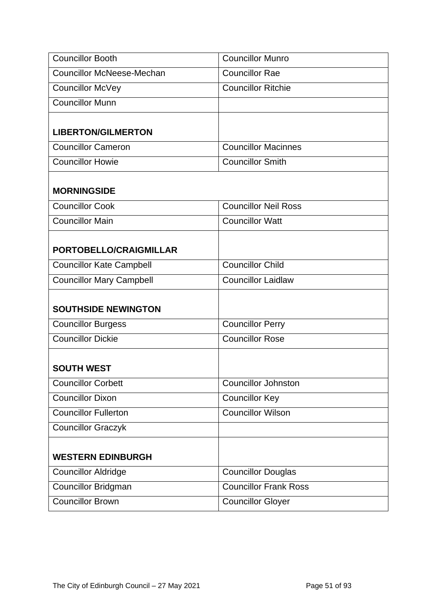| <b>Councillor Booth</b>                        | <b>Councillor Munro</b>      |
|------------------------------------------------|------------------------------|
| <b>Councillor McNeese-Mechan</b>               | <b>Councillor Rae</b>        |
| <b>Councillor McVey</b>                        | <b>Councillor Ritchie</b>    |
| <b>Councillor Munn</b>                         |                              |
|                                                |                              |
| <b>LIBERTON/GILMERTON</b>                      |                              |
| <b>Councillor Cameron</b>                      | <b>Councillor Macinnes</b>   |
| <b>Councillor Howie</b>                        | <b>Councillor Smith</b>      |
|                                                |                              |
| <b>MORNINGSIDE</b>                             |                              |
| <b>Councillor Cook</b>                         | <b>Councillor Neil Ross</b>  |
| <b>Councillor Main</b>                         | <b>Councillor Watt</b>       |
| PORTOBELLO/CRAIGMILLAR                         |                              |
|                                                | <b>Councillor Child</b>      |
| <b>Councillor Kate Campbell</b>                | <b>Councillor Laidlaw</b>    |
| <b>Councillor Mary Campbell</b>                |                              |
| <b>SOUTHSIDE NEWINGTON</b>                     |                              |
| <b>Councillor Burgess</b>                      | <b>Councillor Perry</b>      |
| <b>Councillor Dickie</b>                       | <b>Councillor Rose</b>       |
|                                                |                              |
| <b>SOUTH WEST</b><br><b>Councillor Corbett</b> | <b>Councillor Johnston</b>   |
| <b>Councillor Dixon</b>                        |                              |
|                                                | <b>Councillor Key</b>        |
| <b>Councillor Fullerton</b>                    | <b>Councillor Wilson</b>     |
| <b>Councillor Graczyk</b>                      |                              |
| <b>WESTERN EDINBURGH</b>                       |                              |
| <b>Councillor Aldridge</b>                     | <b>Councillor Douglas</b>    |
| <b>Councillor Bridgman</b>                     | <b>Councillor Frank Ross</b> |
| <b>Councillor Brown</b>                        | <b>Councillor Gloyer</b>     |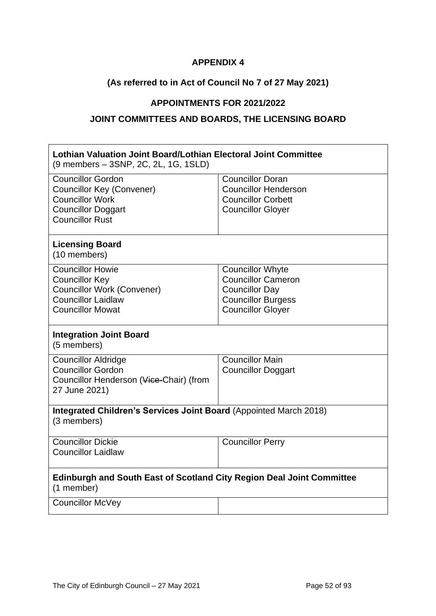#### **APPENDIX 4**

# **(As referred to in Act of Council No 7 of 27 May 2021)**

# **APPOINTMENTS FOR 2021/2022**

# **JOINT COMMITTEES AND BOARDS, THE LICENSING BOARD**

| Lothian Valuation Joint Board/Lothian Electoral Joint Committee<br>(9 members - 3SNP, 2C, 2L, 1G, 1SLD)                                       |                                                                                                                                        |  |
|-----------------------------------------------------------------------------------------------------------------------------------------------|----------------------------------------------------------------------------------------------------------------------------------------|--|
| <b>Councillor Gordon</b><br><b>Councillor Key (Convener)</b><br><b>Councillor Work</b><br><b>Councillor Doggart</b><br><b>Councillor Rust</b> | <b>Councillor Doran</b><br><b>Councillor Henderson</b><br><b>Councillor Corbett</b><br><b>Councillor Gloyer</b>                        |  |
| <b>Licensing Board</b><br>(10 members)                                                                                                        |                                                                                                                                        |  |
| <b>Councillor Howie</b><br><b>Councillor Key</b><br><b>Councillor Work (Convener)</b><br><b>Councillor Laidlaw</b><br><b>Councillor Mowat</b> | <b>Councillor Whyte</b><br><b>Councillor Cameron</b><br><b>Councillor Day</b><br><b>Councillor Burgess</b><br><b>Councillor Gloyer</b> |  |
| <b>Integration Joint Board</b><br>(5 members)                                                                                                 |                                                                                                                                        |  |
| <b>Councillor Aldridge</b><br><b>Councillor Gordon</b><br>Councillor Henderson (Vice-Chair) (from<br>27 June 2021)                            | <b>Councillor Main</b><br><b>Councillor Doggart</b>                                                                                    |  |
| Integrated Children's Services Joint Board (Appointed March 2018)<br>(3 members)                                                              |                                                                                                                                        |  |
| <b>Councillor Dickie</b><br><b>Councillor Laidlaw</b>                                                                                         | <b>Councillor Perry</b>                                                                                                                |  |
| <b>Edinburgh and South East of Scotland City Region Deal Joint Committee</b><br>(1 member)                                                    |                                                                                                                                        |  |
| <b>Councillor McVey</b>                                                                                                                       |                                                                                                                                        |  |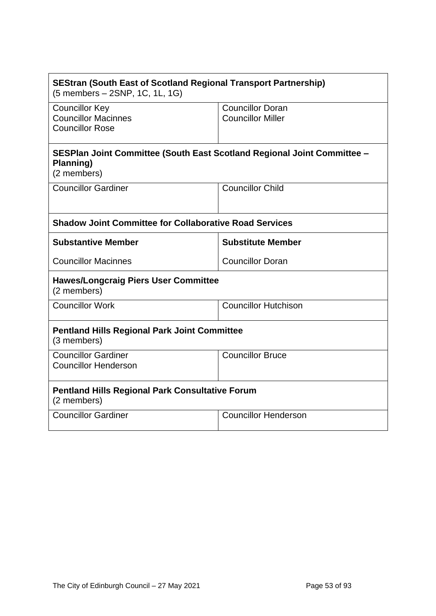| <b>SEStran (South East of Scotland Regional Transport Partnership)</b><br>(5 members - 2SNP, 1C, 1L, 1G) |                                                     |  |
|----------------------------------------------------------------------------------------------------------|-----------------------------------------------------|--|
| <b>Councillor Key</b><br><b>Councillor Macinnes</b><br><b>Councillor Rose</b>                            | <b>Councillor Doran</b><br><b>Councillor Miller</b> |  |
| SESPlan Joint Committee (South East Scotland Regional Joint Committee -<br>Planning)<br>(2 members)      |                                                     |  |
| <b>Councillor Gardiner</b>                                                                               | <b>Councillor Child</b>                             |  |
| <b>Shadow Joint Committee for Collaborative Road Services</b>                                            |                                                     |  |
| <b>Substantive Member</b>                                                                                | <b>Substitute Member</b>                            |  |
| <b>Councillor Macinnes</b>                                                                               | <b>Councillor Doran</b>                             |  |
| <b>Hawes/Longcraig Piers User Committee</b><br>(2 members)                                               |                                                     |  |
| <b>Councillor Work</b>                                                                                   | <b>Councillor Hutchison</b>                         |  |
| <b>Pentland Hills Regional Park Joint Committee</b><br>(3 members)                                       |                                                     |  |
| <b>Councillor Gardiner</b><br><b>Councillor Henderson</b>                                                | <b>Councillor Bruce</b>                             |  |
| <b>Pentland Hills Regional Park Consultative Forum</b><br>(2 members)                                    |                                                     |  |
| <b>Councillor Gardiner</b>                                                                               | <b>Councillor Henderson</b>                         |  |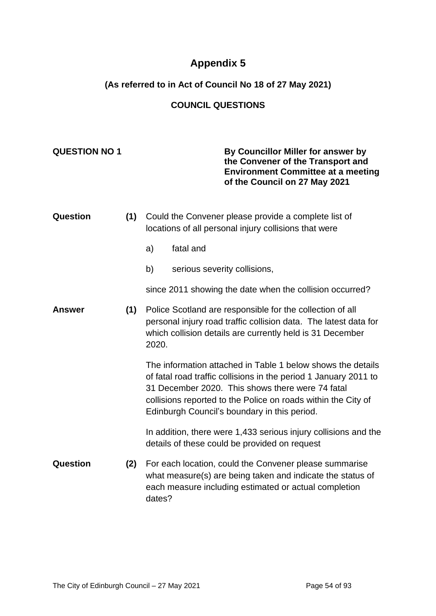# **Appendix 5**

# **(As referred to in Act of Council No 18 of 27 May 2021)**

# **COUNCIL QUESTIONS**

**QUESTION NO 1 By Councillor Miller for answer by** 

|               |     |                                                                                                                                                                                                     | the Convener of the Transport and<br><b>Environment Committee at a meeting</b><br>of the Council on 27 May 2021                                                                                                                                                                                      |
|---------------|-----|-----------------------------------------------------------------------------------------------------------------------------------------------------------------------------------------------------|------------------------------------------------------------------------------------------------------------------------------------------------------------------------------------------------------------------------------------------------------------------------------------------------------|
| Question      | (1) |                                                                                                                                                                                                     | Could the Convener please provide a complete list of<br>locations of all personal injury collisions that were                                                                                                                                                                                        |
|               |     | a)                                                                                                                                                                                                  | fatal and                                                                                                                                                                                                                                                                                            |
|               |     | b)                                                                                                                                                                                                  | serious severity collisions,                                                                                                                                                                                                                                                                         |
|               |     |                                                                                                                                                                                                     | since 2011 showing the date when the collision occurred?                                                                                                                                                                                                                                             |
| <b>Answer</b> | (1) | Police Scotland are responsible for the collection of all<br>personal injury road traffic collision data. The latest data for<br>which collision details are currently held is 31 December<br>2020. |                                                                                                                                                                                                                                                                                                      |
|               |     |                                                                                                                                                                                                     | The information attached in Table 1 below shows the details<br>of fatal road traffic collisions in the period 1 January 2011 to<br>31 December 2020. This shows there were 74 fatal<br>collisions reported to the Police on roads within the City of<br>Edinburgh Council's boundary in this period. |
|               |     |                                                                                                                                                                                                     | In addition, there were 1,433 serious injury collisions and the<br>details of these could be provided on request                                                                                                                                                                                     |
| Question      | (2) | dates?                                                                                                                                                                                              | For each location, could the Convener please summarise<br>what measure(s) are being taken and indicate the status of<br>each measure including estimated or actual completion                                                                                                                        |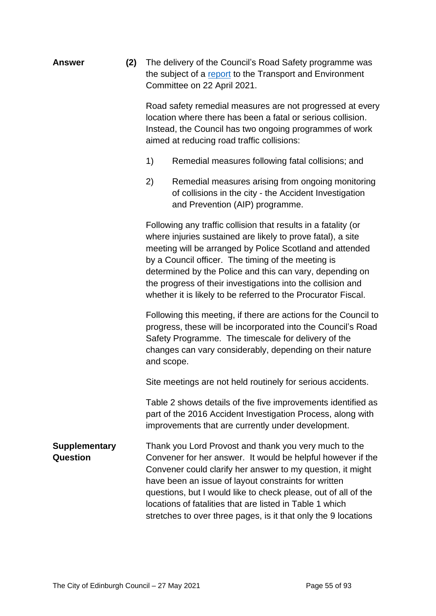| Answer | (2) | The delivery of the Council's Road Safety programme was  |
|--------|-----|----------------------------------------------------------|
|        |     | the subject of a report to the Transport and Environment |
|        |     | Committee on 22 April 2021.                              |

Road safety remedial measures are not progressed at every location where there has been a fatal or serious collision. Instead, the Council has two ongoing programmes of work aimed at reducing road traffic collisions:

- 1) Remedial measures following fatal collisions; and
- 2) Remedial measures arising from ongoing monitoring of collisions in the city - the Accident Investigation and Prevention (AIP) programme.

Following any traffic collision that results in a fatality (or where injuries sustained are likely to prove fatal), a site meeting will be arranged by Police Scotland and attended by a Council officer. The timing of the meeting is determined by the Police and this can vary, depending on the progress of their investigations into the collision and whether it is likely to be referred to the Procurator Fiscal.

Following this meeting, if there are actions for the Council to progress, these will be incorporated into the Council's Road Safety Programme. The timescale for delivery of the changes can vary considerably, depending on their nature and scope.

Site meetings are not held routinely for serious accidents.

Table 2 shows details of the five improvements identified as part of the 2016 Accident Investigation Process, along with improvements that are currently under development.

**Supplementary Question** Thank you Lord Provost and thank you very much to the Convener for her answer. It would be helpful however if the Convener could clarify her answer to my question, it might have been an issue of layout constraints for written questions, but I would like to check please, out of all of the locations of fatalities that are listed in Table 1 which stretches to over three pages, is it that only the 9 locations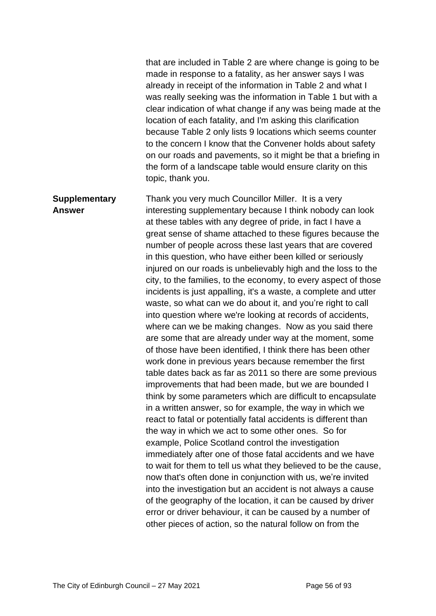that are included in Table 2 are where change is going to be made in response to a fatality, as her answer says I was already in receipt of the information in Table 2 and what I was really seeking was the information in Table 1 but with a clear indication of what change if any was being made at the location of each fatality, and I'm asking this clarification because Table 2 only lists 9 locations which seems counter to the concern I know that the Convener holds about safety on our roads and pavements, so it might be that a briefing in the form of a landscape table would ensure clarity on this topic, thank you.

**Supplementary Answer** Thank you very much Councillor Miller. It is a very interesting supplementary because I think nobody can look at these tables with any degree of pride, in fact I have a great sense of shame attached to these figures because the number of people across these last years that are covered in this question, who have either been killed or seriously injured on our roads is unbelievably high and the loss to the city, to the families, to the economy, to every aspect of those incidents is just appalling, it's a waste, a complete and utter waste, so what can we do about it, and you're right to call into question where we're looking at records of accidents, where can we be making changes. Now as you said there are some that are already under way at the moment, some of those have been identified, I think there has been other work done in previous years because remember the first table dates back as far as 2011 so there are some previous improvements that had been made, but we are bounded I think by some parameters which are difficult to encapsulate in a written answer, so for example, the way in which we react to fatal or potentially fatal accidents is different than the way in which we act to some other ones. So for example, Police Scotland control the investigation immediately after one of those fatal accidents and we have to wait for them to tell us what they believed to be the cause, now that's often done in conjunction with us, we're invited into the investigation but an accident is not always a cause of the geography of the location, it can be caused by driver error or driver behaviour, it can be caused by a number of other pieces of action, so the natural follow on from the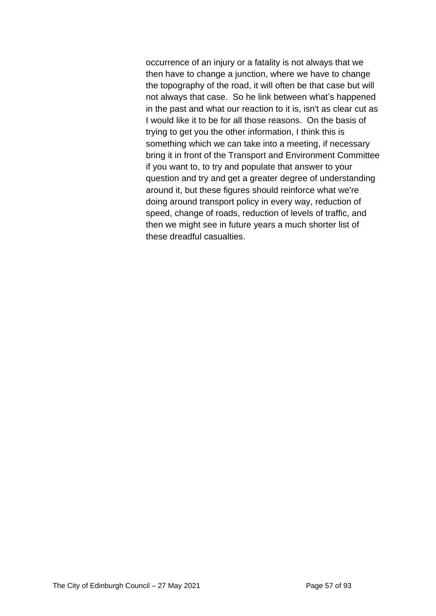occurrence of an injury or a fatality is not always that we then have to change a junction, where we have to change the topography of the road, it will often be that case but will not always that case. So he link between what's happened in the past and what our reaction to it is, isn't as clear cut as I would like it to be for all those reasons. On the basis of trying to get you the other information, I think this is something which we can take into a meeting, if necessary bring it in front of the Transport and Environment Committee if you want to, to try and populate that answer to your question and try and get a greater degree of understanding around it, but these figures should reinforce what we're doing around transport policy in every way, reduction of speed, change of roads, reduction of levels of traffic, and then we might see in future years a much shorter list of these dreadful casualties.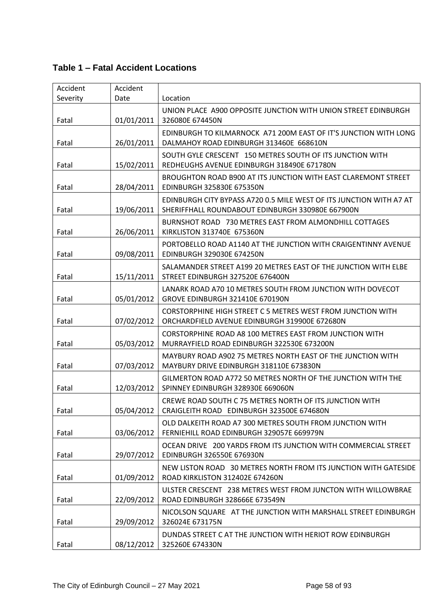# **Table 1 – Fatal Accident Locations**

| Accident | Accident   |                                                                                                                         |
|----------|------------|-------------------------------------------------------------------------------------------------------------------------|
| Severity | Date       | Location                                                                                                                |
| Fatal    | 01/01/2011 | UNION PLACE A900 OPPOSITE JUNCTION WITH UNION STREET EDINBURGH<br>326080E 674450N                                       |
| Fatal    | 26/01/2011 | EDINBURGH TO KILMARNOCK A71 200M EAST OF IT'S JUNCTION WITH LONG<br>DALMAHOY ROAD EDINBURGH 313460E 668610N             |
| Fatal    | 15/02/2011 | SOUTH GYLE CRESCENT 150 METRES SOUTH OF ITS JUNCTION WITH<br>REDHEUGHS AVENUE EDINBURGH 318490E 671780N                 |
| Fatal    | 28/04/2011 | BROUGHTON ROAD B900 AT ITS JUNCTION WITH EAST CLAREMONT STREET<br><b>EDINBURGH 325830E 675350N</b>                      |
| Fatal    | 19/06/2011 | EDINBURGH CITY BYPASS A720 0.5 MILE WEST OF ITS JUNCTION WITH A7 AT<br>SHERIFFHALL ROUNDABOUT EDINBURGH 330980E 667900N |
| Fatal    | 26/06/2011 | BURNSHOT ROAD 730 METRES EAST FROM ALMONDHILL COTTAGES<br>KIRKLISTON 313740E 675360N                                    |
| Fatal    | 09/08/2011 | PORTOBELLO ROAD A1140 AT THE JUNCTION WITH CRAIGENTINNY AVENUE<br>EDINBURGH 329030E 674250N                             |
| Fatal    | 15/11/2011 | SALAMANDER STREET A199 20 METRES EAST OF THE JUNCTION WITH ELBE<br>STREET EDINBURGH 327520E 676400N                     |
| Fatal    | 05/01/2012 | LANARK ROAD A70 10 METRES SOUTH FROM JUNCTION WITH DOVECOT<br>GROVE EDINBURGH 321410E 670190N                           |
| Fatal    | 07/02/2012 | <b>CORSTORPHINE HIGH STREET C 5 METRES WEST FROM JUNCTION WITH</b><br>ORCHARDFIELD AVENUE EDINBURGH 319900E 672680N     |
| Fatal    | 05/03/2012 | CORSTORPHINE ROAD A8 100 METRES EAST FROM JUNCTION WITH<br>MURRAYFIELD ROAD EDINBURGH 322530E 673200N                   |
| Fatal    | 07/03/2012 | MAYBURY ROAD A902 75 METRES NORTH EAST OF THE JUNCTION WITH<br>MAYBURY DRIVE EDINBURGH 318110E 673830N                  |
| Fatal    | 12/03/2012 | GILMERTON ROAD A772 50 METRES NORTH OF THE JUNCTION WITH THE<br>SPINNEY EDINBURGH 328930E 669060N                       |
| Fatal    | 05/04/2012 | CREWE ROAD SOUTH C 75 METRES NORTH OF ITS JUNCTION WITH<br>CRAIGLEITH ROAD EDINBURGH 323500E 674680N                    |
| Fatal    | 03/06/2012 | OLD DALKEITH ROAD A7 300 METRES SOUTH FROM JUNCTION WITH<br>FERNIEHILL ROAD EDINBURGH 329057E 669979N                   |
| Fatal    | 29/07/2012 | OCEAN DRIVE 200 YARDS FROM ITS JUNCTION WITH COMMERCIAL STREET<br>EDINBURGH 326550E 676930N                             |
| Fatal    | 01/09/2012 | NEW LISTON ROAD 30 METRES NORTH FROM ITS JUNCTION WITH GATESIDE<br>ROAD KIRKLISTON 312402E 674260N                      |
| Fatal    | 22/09/2012 | ULSTER CRESCENT 238 METRES WEST FROM JUNCTON WITH WILLOWBRAE<br>ROAD EDINBURGH 328666E 673549N                          |
| Fatal    | 29/09/2012 | NICOLSON SQUARE AT THE JUNCTION WITH MARSHALL STREET EDINBURGH<br>326024E 673175N                                       |
| Fatal    | 08/12/2012 | DUNDAS STREET C AT THE JUNCTION WITH HERIOT ROW EDINBURGH<br>325260E 674330N                                            |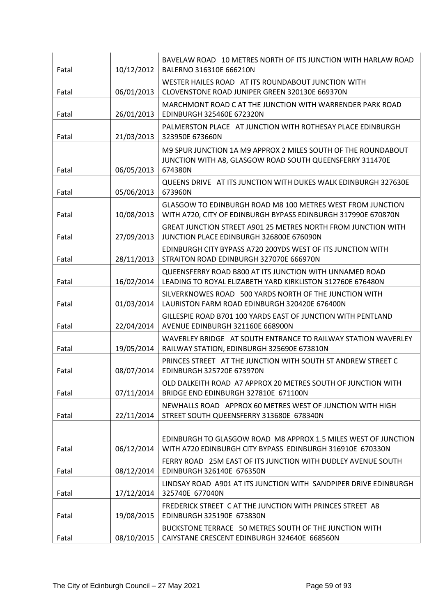| Fatal | 10/12/2012 | BAVELAW ROAD 10 METRES NORTH OF ITS JUNCTION WITH HARLAW ROAD<br>BALERNO 316310E 666210N                                             |
|-------|------------|--------------------------------------------------------------------------------------------------------------------------------------|
| Fatal | 06/01/2013 | WESTER HAILES ROAD AT ITS ROUNDABOUT JUNCTION WITH<br>CLOVENSTONE ROAD JUNIPER GREEN 320130E 669370N                                 |
| Fatal | 26/01/2013 | MARCHMONT ROAD C AT THE JUNCTION WITH WARRENDER PARK ROAD<br>EDINBURGH 325460E 672320N                                               |
| Fatal | 21/03/2013 | PALMERSTON PLACE AT JUNCTION WITH ROTHESAY PLACE EDINBURGH<br>323950E 673660N                                                        |
| Fatal | 06/05/2013 | M9 SPUR JUNCTION 1A M9 APPROX 2 MILES SOUTH OF THE ROUNDABOUT<br>JUNCTION WITH A8, GLASGOW ROAD SOUTH QUEENSFERRY 311470E<br>674380N |
| Fatal | 05/06/2013 | QUEENS DRIVE AT ITS JUNCTION WITH DUKES WALK EDINBURGH 327630E<br>673960N                                                            |
| Fatal | 10/08/2013 | GLASGOW TO EDINBURGH ROAD M8 100 METRES WEST FROM JUNCTION<br>WITH A720, CITY OF EDINBURGH BYPASS EDINBURGH 317990E 670870N          |
| Fatal | 27/09/2013 | <b>GREAT JUNCTION STREET A901 25 METRES NORTH FROM JUNCTION WITH</b><br>JUNCTION PLACE EDINBURGH 326800E 676090N                     |
| Fatal | 28/11/2013 | EDINBURGH CITY BYPASS A720 200YDS WEST OF ITS JUNCTION WITH<br>STRAITON ROAD EDINBURGH 327070E 666970N                               |
| Fatal | 16/02/2014 | QUEENSFERRY ROAD B800 AT ITS JUNCTION WITH UNNAMED ROAD<br>LEADING TO ROYAL ELIZABETH YARD KIRKLISTON 312760E 676480N                |
| Fatal | 01/03/2014 | SILVERKNOWES ROAD 500 YARDS NORTH OF THE JUNCTION WITH<br>LAURISTON FARM ROAD EDINBURGH 320420E 676400N                              |
| Fatal | 22/04/2014 | GILLESPIE ROAD B701 100 YARDS EAST OF JUNCTION WITH PENTLAND<br>AVENUE EDINBURGH 321160E 668900N                                     |
| Fatal | 19/05/2014 | WAVERLEY BRIDGE AT SOUTH ENTRANCE TO RAILWAY STATION WAVERLEY<br>RAILWAY STATION, EDINBURGH 325690E 673810N                          |
| Fatal | 08/07/2014 | PRINCES STREET AT THE JUNCTION WITH SOUTH ST ANDREW STREET C<br>EDINBURGH 325720E 673970N                                            |
| Fatal | 07/11/2014 | OLD DALKEITH ROAD A7 APPROX 20 METRES SOUTH OF JUNCTION WITH<br>BRIDGE END EDINBURGH 327810E 671100N                                 |
| Fatal | 22/11/2014 | NEWHALLS ROAD APPROX 60 METRES WEST OF JUNCTION WITH HIGH<br>STREET SOUTH QUEENSFERRY 313680E 678340N                                |
|       |            | EDINBURGH TO GLASGOW ROAD M8 APPROX 1.5 MILES WEST OF JUNCTION                                                                       |
| Fatal | 06/12/2014 | WITH A720 EDINBURGH CITY BYPASS EDINBURGH 316910E 670330N                                                                            |
| Fatal | 08/12/2014 | FERRY ROAD 25M EAST OF ITS JUNCTION WITH DUDLEY AVENUE SOUTH<br>EDINBURGH 326140E 676350N                                            |
| Fatal | 17/12/2014 | LINDSAY ROAD A901 AT ITS JUNCTION WITH SANDPIPER DRIVE EDINBURGH<br>325740E 677040N                                                  |
| Fatal | 19/08/2015 | FREDERICK STREET C AT THE JUNCTION WITH PRINCES STREET A8<br>EDINBURGH 325190E 673830N                                               |
| Fatal | 08/10/2015 | BUCKSTONE TERRACE 50 METRES SOUTH OF THE JUNCTION WITH<br>CAIYSTANE CRESCENT EDINBURGH 324640E 668560N                               |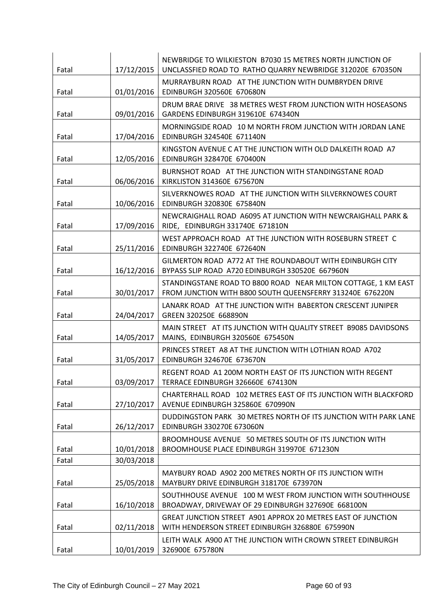| Fatal | 17/12/2015 | NEWBRIDGE TO WILKIESTON B7030 15 METRES NORTH JUNCTION OF<br>UNCLASSFIED ROAD TO RATHO QUARRY NEWBRIDGE 312020E 670350N     |
|-------|------------|-----------------------------------------------------------------------------------------------------------------------------|
| Fatal | 01/01/2016 | MURRAYBURN ROAD AT THE JUNCTION WITH DUMBRYDEN DRIVE<br>EDINBURGH 320560E 670680N                                           |
| Fatal | 09/01/2016 | DRUM BRAE DRIVE 38 METRES WEST FROM JUNCTION WITH HOSEASONS<br>GARDENS EDINBURGH 319610E 674340N                            |
| Fatal | 17/04/2016 | MORNINGSIDE ROAD 10 M NORTH FROM JUNCTION WITH JORDAN LANE<br>EDINBURGH 324540E 671140N                                     |
| Fatal | 12/05/2016 | KINGSTON AVENUE C AT THE JUNCTION WITH OLD DALKEITH ROAD A7<br>EDINBURGH 328470E 670400N                                    |
| Fatal | 06/06/2016 | BURNSHOT ROAD AT THE JUNCTION WITH STANDINGSTANE ROAD<br>KIRKLISTON 314360E 675670N                                         |
| Fatal | 10/06/2016 | SILVERKNOWES ROAD AT THE JUNCTION WITH SILVERKNOWES COURT<br>EDINBURGH 320830E 675840N                                      |
| Fatal | 17/09/2016 | NEWCRAIGHALL ROAD A6095 AT JUNCTION WITH NEWCRAIGHALL PARK &<br>RIDE, EDINBURGH 331740E 671810N                             |
| Fatal | 25/11/2016 | WEST APPROACH ROAD AT THE JUNCTION WITH ROSEBURN STREET C<br>EDINBURGH 322740E 672640N                                      |
| Fatal | 16/12/2016 | GILMERTON ROAD A772 AT THE ROUNDABOUT WITH EDINBURGH CITY<br>BYPASS SLIP ROAD A720 EDINBURGH 330520E 667960N                |
| Fatal | 30/01/2017 | STANDINGSTANE ROAD TO B800 ROAD NEAR MILTON COTTAGE, 1 KM EAST<br>FROM JUNCTION WITH B800 SOUTH QUEENSFERRY 313240E 676220N |
| Fatal | 24/04/2017 | LANARK ROAD AT THE JUNCTION WITH BABERTON CRESCENT JUNIPER<br>GREEN 320250E 668890N                                         |
| Fatal | 14/05/2017 | MAIN STREET AT ITS JUNCTION WITH QUALITY STREET B9085 DAVIDSONS<br>MAINS, EDINBURGH 320560E 675450N                         |
| Fatal | 31/05/2017 | PRINCES STREET A8 AT THE JUNCTION WITH LOTHIAN ROAD A702<br>EDINBURGH 324670E 673670N                                       |
| Fatal | 03/09/2017 | REGENT ROAD A1 200M NORTH EAST OF ITS JUNCTION WITH REGENT<br>TERRACE EDINBURGH 326660E 674130N                             |
| Fatal | 27/10/2017 | CHARTERHALL ROAD 102 METRES EAST OF ITS JUNCTION WITH BLACKFORD<br>AVENUE EDINBURGH 325860E 670990N                         |
| Fatal | 26/12/2017 | DUDDINGSTON PARK 30 METRES NORTH OF ITS JUNCTION WITH PARK LANE<br><b>EDINBURGH 330270E 673060N</b>                         |
| Fatal | 10/01/2018 | BROOMHOUSE AVENUE 50 METRES SOUTH OF ITS JUNCTION WITH<br>BROOMHOUSE PLACE EDINBURGH 319970E 671230N                        |
| Fatal | 30/03/2018 |                                                                                                                             |
| Fatal | 25/05/2018 | MAYBURY ROAD A902 200 METRES NORTH OF ITS JUNCTION WITH<br>MAYBURY DRIVE EDINBURGH 318170E 673970N                          |
| Fatal | 16/10/2018 | SOUTHHOUSE AVENUE 100 M WEST FROM JUNCTION WITH SOUTHHOUSE<br>BROADWAY, DRIVEWAY OF 29 EDINBURGH 327690E 668100N            |
| Fatal | 02/11/2018 | <b>GREAT JUNCTION STREET A901 APPROX 20 METRES EAST OF JUNCTION</b><br>WITH HENDERSON STREET EDINBURGH 326880E 675990N      |
| Fatal | 10/01/2019 | LEITH WALK A900 AT THE JUNCTION WITH CROWN STREET EDINBURGH<br>326900E 675780N                                              |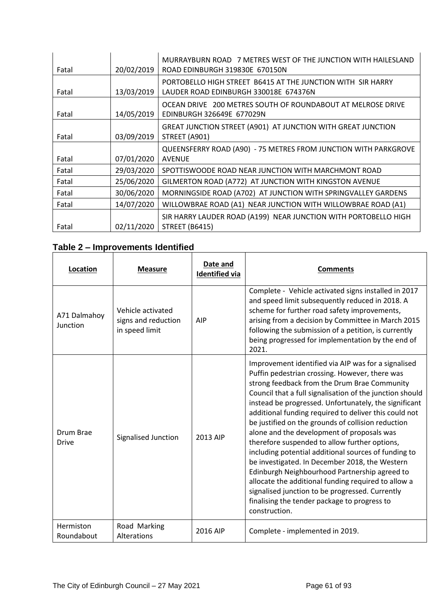| Fatal | 20/02/2019 | MURRAYBURN ROAD 7 METRES WEST OF THE JUNCTION WITH HAILESLAND<br>ROAD EDINBURGH 319830E 670150N      |
|-------|------------|------------------------------------------------------------------------------------------------------|
| Fatal | 13/03/2019 | PORTOBELLO HIGH STREET B6415 AT THE JUNCTION WITH SIR HARRY<br>LAUDER ROAD EDINBURGH 330018E 674376N |
| Fatal | 14/05/2019 | OCEAN DRIVE 200 METRES SOUTH OF ROUNDABOUT AT MELROSE DRIVE<br>EDINBURGH 326649E 677029N             |
| Fatal | 03/09/2019 | GREAT JUNCTION STREET (A901) AT JUNCTION WITH GREAT JUNCTION<br>STREET (A901)                        |
| Fatal | 07/01/2020 | QUEENSFERRY ROAD (A90) - 75 METRES FROM JUNCTION WITH PARKGROVE<br><b>AVENUE</b>                     |
| Fatal | 29/03/2020 | SPOTTISWOODE ROAD NEAR JUNCTION WITH MARCHMONT ROAD                                                  |
| Fatal | 25/06/2020 | GILMERTON ROAD (A772) AT JUNCTION WITH KINGSTON AVENUE                                               |
| Fatal | 30/06/2020 | MORNINGSIDE ROAD (A702) AT JUNCTION WITH SPRINGVALLEY GARDENS                                        |
| Fatal | 14/07/2020 | WILLOWBRAE ROAD (A1) NEAR JUNCTION WITH WILLOWBRAE ROAD (A1)                                         |
| Fatal | 02/11/2020 | SIR HARRY LAUDER ROAD (A199) NEAR JUNCTION WITH PORTOBELLO HIGH<br><b>STREET (B6415)</b>             |

# **Table 2 – Improvements Identified**

| Location                  | <b>Measure</b>                                             | Date and<br><b>Identified via</b> | <b>Comments</b>                                                                                                                                                                                                                                                                                                                                                                                                                                                                                                                                                                                                                                                                                                                                                                                                                |
|---------------------------|------------------------------------------------------------|-----------------------------------|--------------------------------------------------------------------------------------------------------------------------------------------------------------------------------------------------------------------------------------------------------------------------------------------------------------------------------------------------------------------------------------------------------------------------------------------------------------------------------------------------------------------------------------------------------------------------------------------------------------------------------------------------------------------------------------------------------------------------------------------------------------------------------------------------------------------------------|
| A71 Dalmahoy<br>Junction  | Vehicle activated<br>signs and reduction<br>in speed limit | <b>AIP</b>                        | Complete - Vehicle activated signs installed in 2017<br>and speed limit subsequently reduced in 2018. A<br>scheme for further road safety improvements,<br>arising from a decision by Committee in March 2015<br>following the submission of a petition, is currently<br>being progressed for implementation by the end of<br>2021.                                                                                                                                                                                                                                                                                                                                                                                                                                                                                            |
| Drum Brae<br><b>Drive</b> | Signalised Junction                                        | 2013 AIP                          | Improvement identified via AIP was for a signalised<br>Puffin pedestrian crossing. However, there was<br>strong feedback from the Drum Brae Community<br>Council that a full signalisation of the junction should<br>instead be progressed. Unfortunately, the significant<br>additional funding required to deliver this could not<br>be justified on the grounds of collision reduction<br>alone and the development of proposals was<br>therefore suspended to allow further options,<br>including potential additional sources of funding to<br>be investigated. In December 2018, the Western<br>Edinburgh Neighbourhood Partnership agreed to<br>allocate the additional funding required to allow a<br>signalised junction to be progressed. Currently<br>finalising the tender package to progress to<br>construction. |
| Hermiston<br>Roundabout   | Road Marking<br>Alterations                                | 2016 AIP                          | Complete - implemented in 2019.                                                                                                                                                                                                                                                                                                                                                                                                                                                                                                                                                                                                                                                                                                                                                                                                |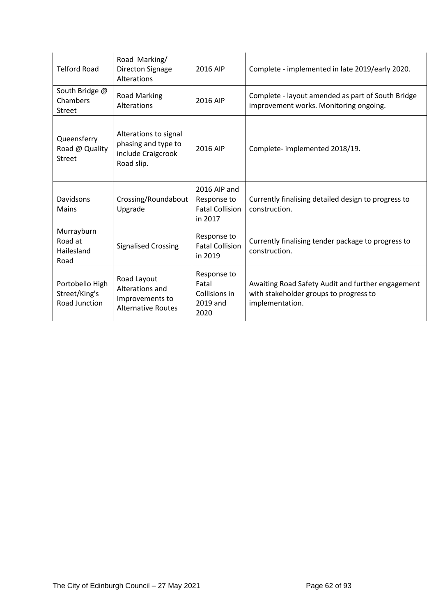| <b>Telford Road</b>                               | Road Marking/<br>Directon Signage<br>Alterations                                 | 2016 AIP                                                         | Complete - implemented in late 2019/early 2020.                                                                |
|---------------------------------------------------|----------------------------------------------------------------------------------|------------------------------------------------------------------|----------------------------------------------------------------------------------------------------------------|
| South Bridge @<br>Chambers<br><b>Street</b>       | <b>Road Marking</b><br>Alterations                                               | 2016 AIP                                                         | Complete - layout amended as part of South Bridge<br>improvement works. Monitoring ongoing.                    |
| Queensferry<br>Road @ Quality<br><b>Street</b>    | Alterations to signal<br>phasing and type to<br>include Craigcrook<br>Road slip. | 2016 AIP                                                         | Complete-implemented 2018/19.                                                                                  |
| Davidsons<br><b>Mains</b>                         | Crossing/Roundabout<br>Upgrade                                                   | 2016 AIP and<br>Response to<br><b>Fatal Collision</b><br>in 2017 | Currently finalising detailed design to progress to<br>construction.                                           |
| Murrayburn<br>Road at<br>Hailesland<br>Road       | <b>Signalised Crossing</b>                                                       | Response to<br><b>Fatal Collision</b><br>in 2019                 | Currently finalising tender package to progress to<br>construction.                                            |
| Portobello High<br>Street/King's<br>Road Junction | Road Layout<br>Alterations and<br>Improvements to<br><b>Alternative Routes</b>   | Response to<br>Fatal<br>Collisions in<br>2019 and<br>2020        | Awaiting Road Safety Audit and further engagement<br>with stakeholder groups to progress to<br>implementation. |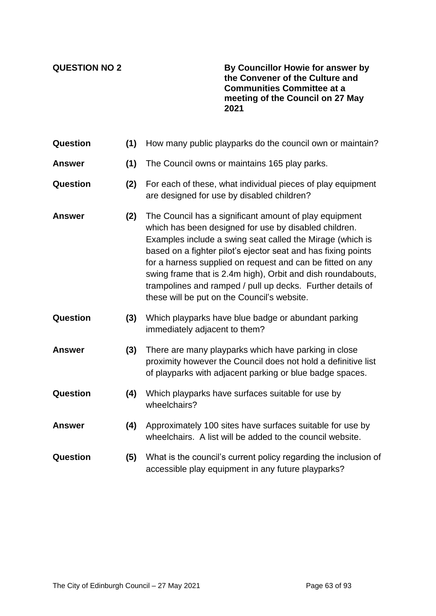**QUESTION NO 2 By Councillor Howie for answer by the Convener of the Culture and Communities Committee at a meeting of the Council on 27 May 2021**

| <b>Question</b> | (1) | How many public playparks do the council own or maintain?                                                                                                                                                                                                                                                                                                                                                                                                                               |
|-----------------|-----|-----------------------------------------------------------------------------------------------------------------------------------------------------------------------------------------------------------------------------------------------------------------------------------------------------------------------------------------------------------------------------------------------------------------------------------------------------------------------------------------|
| <b>Answer</b>   | (1) | The Council owns or maintains 165 play parks.                                                                                                                                                                                                                                                                                                                                                                                                                                           |
| Question        | (2) | For each of these, what individual pieces of play equipment<br>are designed for use by disabled children?                                                                                                                                                                                                                                                                                                                                                                               |
| <b>Answer</b>   | (2) | The Council has a significant amount of play equipment<br>which has been designed for use by disabled children.<br>Examples include a swing seat called the Mirage (which is<br>based on a fighter pilot's ejector seat and has fixing points<br>for a harness supplied on request and can be fitted on any<br>swing frame that is 2.4m high), Orbit and dish roundabouts,<br>trampolines and ramped / pull up decks. Further details of<br>these will be put on the Council's website. |
| Question        | (3) | Which playparks have blue badge or abundant parking<br>immediately adjacent to them?                                                                                                                                                                                                                                                                                                                                                                                                    |
| <b>Answer</b>   | (3) | There are many playparks which have parking in close<br>proximity however the Council does not hold a definitive list<br>of playparks with adjacent parking or blue badge spaces.                                                                                                                                                                                                                                                                                                       |
| Question        | (4) | Which playparks have surfaces suitable for use by<br>wheelchairs?                                                                                                                                                                                                                                                                                                                                                                                                                       |
| <b>Answer</b>   | (4) | Approximately 100 sites have surfaces suitable for use by<br>wheelchairs. A list will be added to the council website.                                                                                                                                                                                                                                                                                                                                                                  |
| Question        | (5) | What is the council's current policy regarding the inclusion of<br>accessible play equipment in any future playparks?                                                                                                                                                                                                                                                                                                                                                                   |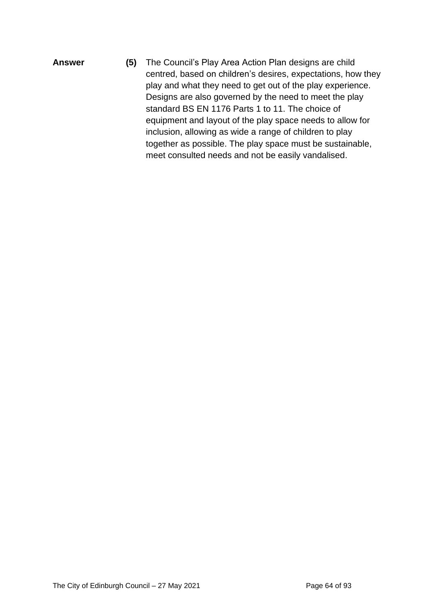**Answer (5)** The Council's Play Area Action Plan designs are child centred, based on children's desires, expectations, how they play and what they need to get out of the play experience. Designs are also governed by the need to meet the play standard BS EN 1176 Parts 1 to 11. The choice of equipment and layout of the play space needs to allow for inclusion, allowing as wide a range of children to play together as possible. The play space must be sustainable, meet consulted needs and not be easily vandalised.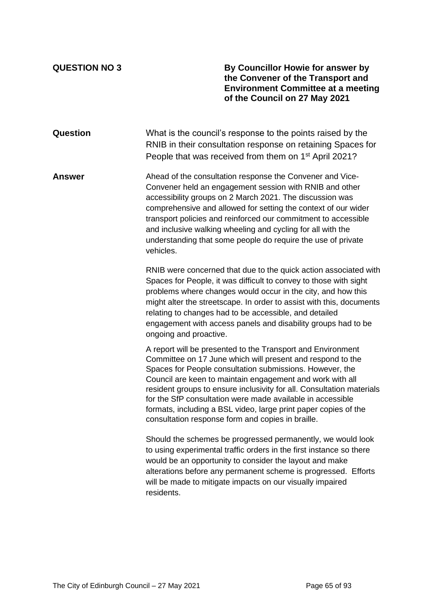**QUESTION NO 3 By Councillor Howie for answer by the Convener of the Transport and Environment Committee at a meeting of the Council on 27 May 2021**

**Question** What is the council's response to the points raised by the RNIB in their consultation response on retaining Spaces for People that was received from them on 1<sup>st</sup> April 2021?

**Answer** Ahead of the consultation response the Convener and Vice-Convener held an engagement session with RNIB and other accessibility groups on 2 March 2021. The discussion was comprehensive and allowed for setting the context of our wider transport policies and reinforced our commitment to accessible and inclusive walking wheeling and cycling for all with the understanding that some people do require the use of private vehicles.

> RNIB were concerned that due to the quick action associated with Spaces for People, it was difficult to convey to those with sight problems where changes would occur in the city, and how this might alter the streetscape. In order to assist with this, documents relating to changes had to be accessible, and detailed engagement with access panels and disability groups had to be ongoing and proactive.

> A report will be presented to the Transport and Environment Committee on 17 June which will present and respond to the Spaces for People consultation submissions. However, the Council are keen to maintain engagement and work with all resident groups to ensure inclusivity for all. Consultation materials for the SfP consultation were made available in accessible formats, including a BSL video, large print paper copies of the consultation response form and copies in braille.

Should the schemes be progressed permanently, we would look to using experimental traffic orders in the first instance so there would be an opportunity to consider the layout and make alterations before any permanent scheme is progressed. Efforts will be made to mitigate impacts on our visually impaired residents.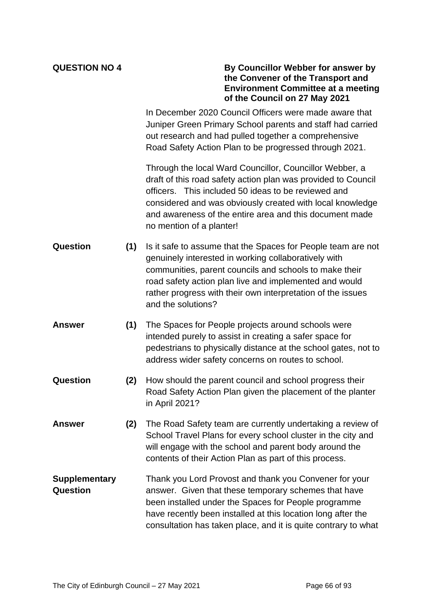| <b>QUESTION NO 4</b>                    |     | By Councillor Webber for answer by<br>the Convener of the Transport and<br><b>Environment Committee at a meeting</b><br>of the Council on 27 May 2021                                                                                                                                                                               |
|-----------------------------------------|-----|-------------------------------------------------------------------------------------------------------------------------------------------------------------------------------------------------------------------------------------------------------------------------------------------------------------------------------------|
|                                         |     | In December 2020 Council Officers were made aware that<br>Juniper Green Primary School parents and staff had carried<br>out research and had pulled together a comprehensive<br>Road Safety Action Plan to be progressed through 2021.                                                                                              |
|                                         |     | Through the local Ward Councillor, Councillor Webber, a<br>draft of this road safety action plan was provided to Council<br>officers. This included 50 ideas to be reviewed and<br>considered and was obviously created with local knowledge<br>and awareness of the entire area and this document made<br>no mention of a planter! |
| Question                                | (1) | Is it safe to assume that the Spaces for People team are not<br>genuinely interested in working collaboratively with<br>communities, parent councils and schools to make their<br>road safety action plan live and implemented and would<br>rather progress with their own interpretation of the issues<br>and the solutions?       |
| <b>Answer</b>                           | (1) | The Spaces for People projects around schools were<br>intended purely to assist in creating a safer space for<br>pedestrians to physically distance at the school gates, not to<br>address wider safety concerns on routes to school.                                                                                               |
| Question                                | (2) | How should the parent council and school progress their<br>Road Safety Action Plan given the placement of the planter<br>in April 2021?                                                                                                                                                                                             |
| <b>Answer</b>                           | (2) | The Road Safety team are currently undertaking a review of<br>School Travel Plans for every school cluster in the city and<br>will engage with the school and parent body around the<br>contents of their Action Plan as part of this process.                                                                                      |
| <b>Supplementary</b><br><b>Question</b> |     | Thank you Lord Provost and thank you Convener for your<br>answer. Given that these temporary schemes that have<br>been installed under the Spaces for People programme<br>have recently been installed at this location long after the<br>consultation has taken place, and it is quite contrary to what                            |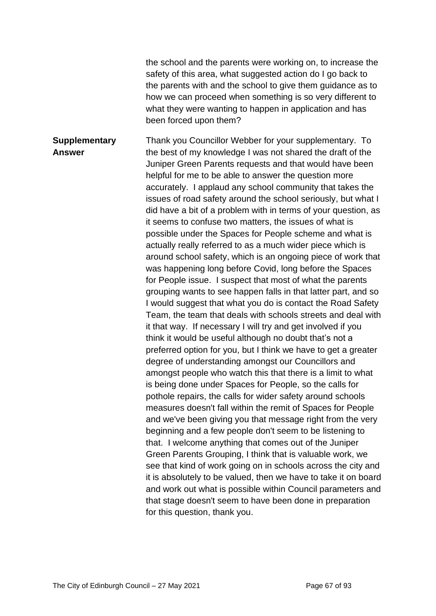the school and the parents were working on, to increase the safety of this area, what suggested action do I go back to the parents with and the school to give them guidance as to how we can proceed when something is so very different to what they were wanting to happen in application and has been forced upon them?

**Supplementary Answer** Thank you Councillor Webber for your supplementary. To the best of my knowledge I was not shared the draft of the Juniper Green Parents requests and that would have been helpful for me to be able to answer the question more accurately. I applaud any school community that takes the issues of road safety around the school seriously, but what I did have a bit of a problem with in terms of your question, as it seems to confuse two matters, the issues of what is possible under the Spaces for People scheme and what is actually really referred to as a much wider piece which is around school safety, which is an ongoing piece of work that was happening long before Covid, long before the Spaces for People issue. I suspect that most of what the parents grouping wants to see happen falls in that latter part, and so I would suggest that what you do is contact the Road Safety Team, the team that deals with schools streets and deal with it that way. If necessary I will try and get involved if you think it would be useful although no doubt that's not a preferred option for you, but I think we have to get a greater degree of understanding amongst our Councillors and amongst people who watch this that there is a limit to what is being done under Spaces for People, so the calls for pothole repairs, the calls for wider safety around schools measures doesn't fall within the remit of Spaces for People and we've been giving you that message right from the very beginning and a few people don't seem to be listening to that. I welcome anything that comes out of the Juniper Green Parents Grouping, I think that is valuable work, we see that kind of work going on in schools across the city and it is absolutely to be valued, then we have to take it on board and work out what is possible within Council parameters and that stage doesn't seem to have been done in preparation for this question, thank you.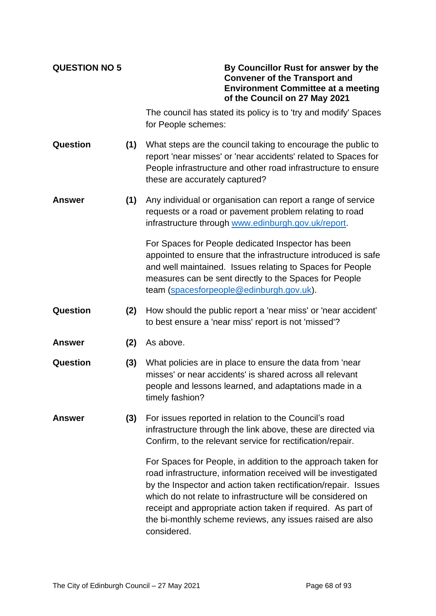| <b>QUESTION NO 5</b> |     | By Councillor Rust for answer by the<br><b>Convener of the Transport and</b><br><b>Environment Committee at a meeting</b><br>of the Council on 27 May 2021                                                                                                                                                                                                                                                  |
|----------------------|-----|-------------------------------------------------------------------------------------------------------------------------------------------------------------------------------------------------------------------------------------------------------------------------------------------------------------------------------------------------------------------------------------------------------------|
|                      |     | The council has stated its policy is to 'try and modify' Spaces<br>for People schemes:                                                                                                                                                                                                                                                                                                                      |
| Question             | (1) | What steps are the council taking to encourage the public to<br>report 'near misses' or 'near accidents' related to Spaces for<br>People infrastructure and other road infrastructure to ensure<br>these are accurately captured?                                                                                                                                                                           |
| <b>Answer</b>        | (1) | Any individual or organisation can report a range of service<br>requests or a road or pavement problem relating to road<br>infrastructure through www.edinburgh.gov.uk/report.                                                                                                                                                                                                                              |
|                      |     | For Spaces for People dedicated Inspector has been<br>appointed to ensure that the infrastructure introduced is safe<br>and well maintained. Issues relating to Spaces for People<br>measures can be sent directly to the Spaces for People<br>team (spacesforpeople@edinburgh.gov.uk).                                                                                                                     |
| Question             | (2) | How should the public report a 'near miss' or 'near accident'<br>to best ensure a 'near miss' report is not 'missed'?                                                                                                                                                                                                                                                                                       |
| <b>Answer</b>        | (2) | As above.                                                                                                                                                                                                                                                                                                                                                                                                   |
| Question             | (3) | What policies are in place to ensure the data from 'near<br>misses' or near accidents' is shared across all relevant<br>people and lessons learned, and adaptations made in a<br>timely fashion?                                                                                                                                                                                                            |
| <b>Answer</b>        | (3) | For issues reported in relation to the Council's road<br>infrastructure through the link above, these are directed via<br>Confirm, to the relevant service for rectification/repair.                                                                                                                                                                                                                        |
|                      |     | For Spaces for People, in addition to the approach taken for<br>road infrastructure, information received will be investigated<br>by the Inspector and action taken rectification/repair. Issues<br>which do not relate to infrastructure will be considered on<br>receipt and appropriate action taken if required. As part of<br>the bi-monthly scheme reviews, any issues raised are also<br>considered. |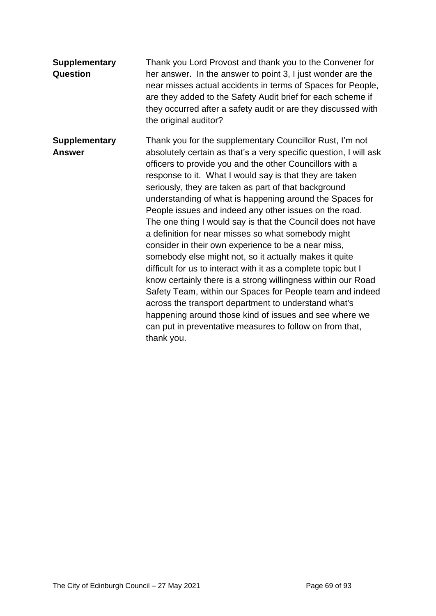| <b>Supplementary</b><br><b>Question</b> | Thank you Lord Provost and thank you to the Convener for<br>her answer. In the answer to point 3, I just wonder are the<br>near misses actual accidents in terms of Spaces for People,<br>are they added to the Safety Audit brief for each scheme if<br>they occurred after a safety audit or are they discussed with<br>the original auditor?                                                                                                                                                                                                                                                                                                                                                                                                                                                                                                                                                                                                                                                                                                                      |
|-----------------------------------------|----------------------------------------------------------------------------------------------------------------------------------------------------------------------------------------------------------------------------------------------------------------------------------------------------------------------------------------------------------------------------------------------------------------------------------------------------------------------------------------------------------------------------------------------------------------------------------------------------------------------------------------------------------------------------------------------------------------------------------------------------------------------------------------------------------------------------------------------------------------------------------------------------------------------------------------------------------------------------------------------------------------------------------------------------------------------|
| <b>Supplementary</b><br><b>Answer</b>   | Thank you for the supplementary Councillor Rust, I'm not<br>absolutely certain as that's a very specific question, I will ask<br>officers to provide you and the other Councillors with a<br>response to it. What I would say is that they are taken<br>seriously, they are taken as part of that background<br>understanding of what is happening around the Spaces for<br>People issues and indeed any other issues on the road.<br>The one thing I would say is that the Council does not have<br>a definition for near misses so what somebody might<br>consider in their own experience to be a near miss,<br>somebody else might not, so it actually makes it quite<br>difficult for us to interact with it as a complete topic but I<br>know certainly there is a strong willingness within our Road<br>Safety Team, within our Spaces for People team and indeed<br>across the transport department to understand what's<br>happening around those kind of issues and see where we<br>can put in preventative measures to follow on from that,<br>thank you. |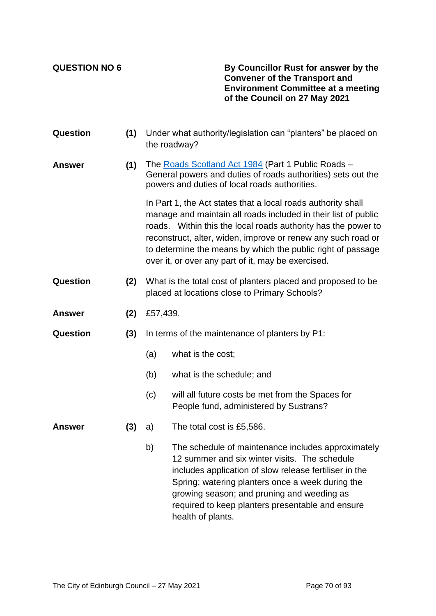**QUESTION NO 6 By Councillor Rust for answer by the Convener of the Transport and Environment Committee at a meeting of the Council on 27 May 2021**

| Question      | (1) | Under what authority/legislation can "planters" be placed on<br>the roadway?                                                                                        |                                                                                                                                                                                                                                                                                                                                                                                      |  |
|---------------|-----|---------------------------------------------------------------------------------------------------------------------------------------------------------------------|--------------------------------------------------------------------------------------------------------------------------------------------------------------------------------------------------------------------------------------------------------------------------------------------------------------------------------------------------------------------------------------|--|
| <b>Answer</b> | (1) | The Roads Scotland Act 1984 (Part 1 Public Roads -<br>General powers and duties of roads authorities) sets out the<br>powers and duties of local roads authorities. |                                                                                                                                                                                                                                                                                                                                                                                      |  |
|               |     |                                                                                                                                                                     | In Part 1, the Act states that a local roads authority shall<br>manage and maintain all roads included in their list of public<br>roads. Within this the local roads authority has the power to<br>reconstruct, alter, widen, improve or renew any such road or<br>to determine the means by which the public right of passage<br>over it, or over any part of it, may be exercised. |  |
| Question      | (2) | What is the total cost of planters placed and proposed to be<br>placed at locations close to Primary Schools?                                                       |                                                                                                                                                                                                                                                                                                                                                                                      |  |
| <b>Answer</b> | (2) | £57,439.                                                                                                                                                            |                                                                                                                                                                                                                                                                                                                                                                                      |  |
| Question      | (3) | In terms of the maintenance of planters by P1:                                                                                                                      |                                                                                                                                                                                                                                                                                                                                                                                      |  |
|               |     | (a)                                                                                                                                                                 | what is the cost;                                                                                                                                                                                                                                                                                                                                                                    |  |
|               |     | (b)                                                                                                                                                                 | what is the schedule; and                                                                                                                                                                                                                                                                                                                                                            |  |
|               |     | (c)                                                                                                                                                                 | will all future costs be met from the Spaces for<br>People fund, administered by Sustrans?                                                                                                                                                                                                                                                                                           |  |
| <b>Answer</b> | (3) | a)                                                                                                                                                                  | The total cost is £5,586.                                                                                                                                                                                                                                                                                                                                                            |  |
|               |     | b)                                                                                                                                                                  | The schedule of maintenance includes approximately<br>12 summer and six winter visits. The schedule<br>includes application of slow release fertiliser in the<br>Spring; watering planters once a week during the<br>growing season; and pruning and weeding as<br>required to keep planters presentable and ensure<br>health of plants.                                             |  |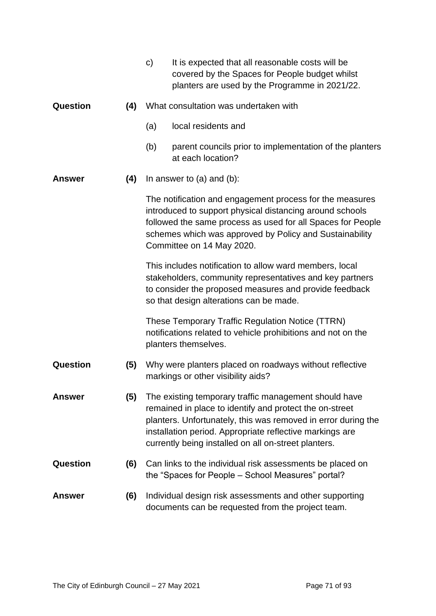|                 |     | $\mathbf{C}$                                                                                                                                                                                                                                                                | It is expected that all reasonable costs will be<br>covered by the Spaces for People budget whilst<br>planters are used by the Programme in 2021/22.                                                                                                                                                  |  |
|-----------------|-----|-----------------------------------------------------------------------------------------------------------------------------------------------------------------------------------------------------------------------------------------------------------------------------|-------------------------------------------------------------------------------------------------------------------------------------------------------------------------------------------------------------------------------------------------------------------------------------------------------|--|
| Question<br>(4) |     | What consultation was undertaken with                                                                                                                                                                                                                                       |                                                                                                                                                                                                                                                                                                       |  |
|                 |     | (a)                                                                                                                                                                                                                                                                         | local residents and                                                                                                                                                                                                                                                                                   |  |
|                 |     | (b)                                                                                                                                                                                                                                                                         | parent councils prior to implementation of the planters<br>at each location?                                                                                                                                                                                                                          |  |
| (4)<br>Answer   |     |                                                                                                                                                                                                                                                                             | In answer to $(a)$ and $(b)$ :                                                                                                                                                                                                                                                                        |  |
|                 |     | The notification and engagement process for the measures<br>introduced to support physical distancing around schools<br>followed the same process as used for all Spaces for People<br>schemes which was approved by Policy and Sustainability<br>Committee on 14 May 2020. |                                                                                                                                                                                                                                                                                                       |  |
|                 |     |                                                                                                                                                                                                                                                                             | This includes notification to allow ward members, local<br>stakeholders, community representatives and key partners<br>to consider the proposed measures and provide feedback<br>so that design alterations can be made.                                                                              |  |
|                 |     |                                                                                                                                                                                                                                                                             | These Temporary Traffic Regulation Notice (TTRN)<br>notifications related to vehicle prohibitions and not on the<br>planters themselves.                                                                                                                                                              |  |
| Question        | (5) |                                                                                                                                                                                                                                                                             | Why were planters placed on roadways without reflective<br>markings or other visibility aids?                                                                                                                                                                                                         |  |
| Answer          | (5) |                                                                                                                                                                                                                                                                             | The existing temporary traffic management should have<br>remained in place to identify and protect the on-street<br>planters. Unfortunately, this was removed in error during the<br>installation period. Appropriate reflective markings are<br>currently being installed on all on-street planters. |  |
| Question        | (6) |                                                                                                                                                                                                                                                                             | Can links to the individual risk assessments be placed on<br>the "Spaces for People – School Measures" portal?                                                                                                                                                                                        |  |
| Answer          | (6) |                                                                                                                                                                                                                                                                             | Individual design risk assessments and other supporting<br>documents can be requested from the project team.                                                                                                                                                                                          |  |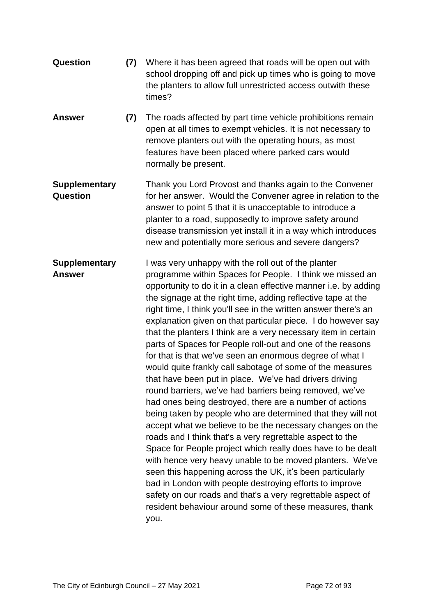| <b>Question</b>                         | (7) | Where it has been agreed that roads will be open out with<br>school dropping off and pick up times who is going to move<br>the planters to allow full unrestricted access outwith these<br>times?                                                                                                                                                                                                                                                                                                                                                                                                                                                                                                                                                                                                                                                                                                                                                                                                                                                                                                                                                                                                                                                                                                                                                                                                            |
|-----------------------------------------|-----|--------------------------------------------------------------------------------------------------------------------------------------------------------------------------------------------------------------------------------------------------------------------------------------------------------------------------------------------------------------------------------------------------------------------------------------------------------------------------------------------------------------------------------------------------------------------------------------------------------------------------------------------------------------------------------------------------------------------------------------------------------------------------------------------------------------------------------------------------------------------------------------------------------------------------------------------------------------------------------------------------------------------------------------------------------------------------------------------------------------------------------------------------------------------------------------------------------------------------------------------------------------------------------------------------------------------------------------------------------------------------------------------------------------|
| <b>Answer</b>                           | (7) | The roads affected by part time vehicle prohibitions remain<br>open at all times to exempt vehicles. It is not necessary to<br>remove planters out with the operating hours, as most<br>features have been placed where parked cars would<br>normally be present.                                                                                                                                                                                                                                                                                                                                                                                                                                                                                                                                                                                                                                                                                                                                                                                                                                                                                                                                                                                                                                                                                                                                            |
| <b>Supplementary</b><br><b>Question</b> |     | Thank you Lord Provost and thanks again to the Convener<br>for her answer. Would the Convener agree in relation to the<br>answer to point 5 that it is unacceptable to introduce a<br>planter to a road, supposedly to improve safety around<br>disease transmission yet install it in a way which introduces<br>new and potentially more serious and severe dangers?                                                                                                                                                                                                                                                                                                                                                                                                                                                                                                                                                                                                                                                                                                                                                                                                                                                                                                                                                                                                                                        |
| <b>Supplementary</b><br><b>Answer</b>   |     | I was very unhappy with the roll out of the planter<br>programme within Spaces for People. I think we missed an<br>opportunity to do it in a clean effective manner i.e. by adding<br>the signage at the right time, adding reflective tape at the<br>right time, I think you'll see in the written answer there's an<br>explanation given on that particular piece. I do however say<br>that the planters I think are a very necessary item in certain<br>parts of Spaces for People roll-out and one of the reasons<br>for that is that we've seen an enormous degree of what I<br>would quite frankly call sabotage of some of the measures<br>that have been put in place. We've had drivers driving<br>round barriers, we've had barriers being removed, we've<br>had ones being destroyed, there are a number of actions<br>being taken by people who are determined that they will not<br>accept what we believe to be the necessary changes on the<br>roads and I think that's a very regrettable aspect to the<br>Space for People project which really does have to be dealt<br>with hence very heavy unable to be moved planters. We've<br>seen this happening across the UK, it's been particularly<br>bad in London with people destroying efforts to improve<br>safety on our roads and that's a very regrettable aspect of<br>resident behaviour around some of these measures, thank<br>you. |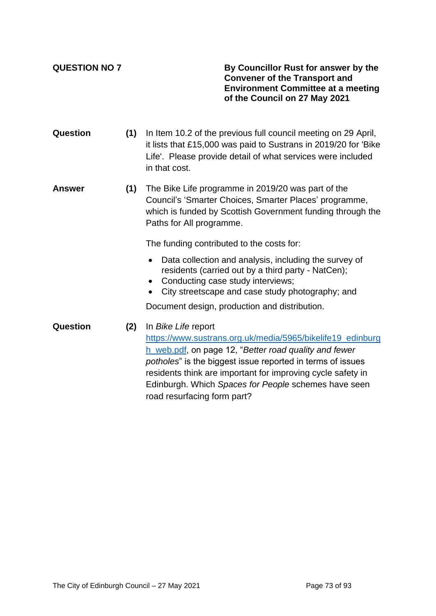**QUESTION NO 7 By Councillor Rust for answer by the Convener of the Transport and Environment Committee at a meeting of the Council on 27 May 2021**

- **Question (1)** In Item 10.2 of the previous full council meeting on 29 April, it lists that £15,000 was paid to Sustrans in 2019/20 for 'Bike Life'. Please provide detail of what services were included in that cost.
- **Answer (1)** The Bike Life programme in 2019/20 was part of the Council's 'Smarter Choices, Smarter Places' programme, which is funded by Scottish Government funding through the Paths for All programme.

The funding contributed to the costs for:

- Data collection and analysis, including the survey of residents (carried out by a third party - NatCen);
- Conducting case study interviews;
- City streetscape and case study photography; and

Document design, production and distribution.

**Question (2)** In *Bike Life* report [https://www.sustrans.org.uk/media/5965/bikelife19\\_edinburg](https://www.sustrans.org.uk/media/5965/bikelife19_edinburgh_web.pdf) [h\\_web.pdf,](https://www.sustrans.org.uk/media/5965/bikelife19_edinburgh_web.pdf) on page 12, "*Better road quality and fewer potholes*" is the biggest issue reported in terms of issues residents think are important for improving cycle safety in Edinburgh. Which *Spaces for People* schemes have seen road resurfacing form part?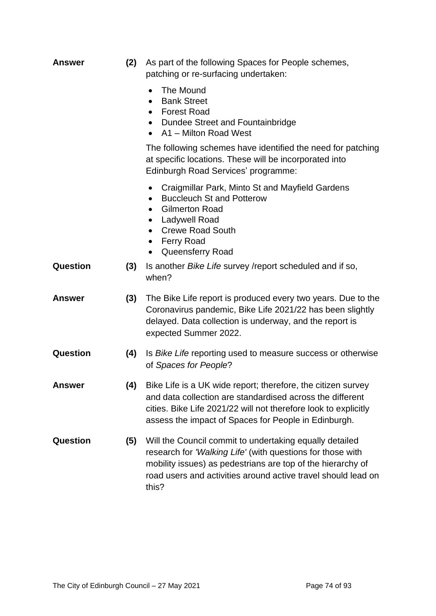| <b>Answer</b> | (2) | As part of the following Spaces for People schemes,<br>patching or re-surfacing undertaken:                                                                                                                                                                       |
|---------------|-----|-------------------------------------------------------------------------------------------------------------------------------------------------------------------------------------------------------------------------------------------------------------------|
|               |     | The Mound<br>$\bullet$<br><b>Bank Street</b><br>$\bullet$<br><b>Forest Road</b><br>$\bullet$<br>Dundee Street and Fountainbridge<br>A1 - Milton Road West                                                                                                         |
|               |     | The following schemes have identified the need for patching<br>at specific locations. These will be incorporated into<br>Edinburgh Road Services' programme:                                                                                                      |
|               |     | Craigmillar Park, Minto St and Mayfield Gardens<br>$\bullet$<br><b>Buccleuch St and Potterow</b><br>٠<br><b>Gilmerton Road</b><br><b>Ladywell Road</b><br><b>Crewe Road South</b><br>$\bullet$<br><b>Ferry Road</b><br>$\bullet$<br>Queensferry Road<br>$\bullet$ |
| Question      | (3) | Is another <i>Bike Life</i> survey /report scheduled and if so,<br>when?                                                                                                                                                                                          |
| <b>Answer</b> | (3) | The Bike Life report is produced every two years. Due to the<br>Coronavirus pandemic, Bike Life 2021/22 has been slightly<br>delayed. Data collection is underway, and the report is<br>expected Summer 2022.                                                     |
| Question      | (4) | Is Bike Life reporting used to measure success or otherwise<br>of Spaces for People?                                                                                                                                                                              |
| <b>Answer</b> | (4) | Bike Life is a UK wide report; therefore, the citizen survey<br>and data collection are standardised across the different<br>cities. Bike Life 2021/22 will not therefore look to explicitly<br>assess the impact of Spaces for People in Edinburgh.              |
| Question      | (5) | Will the Council commit to undertaking equally detailed<br>research for 'Walking Life' (with questions for those with<br>mobility issues) as pedestrians are top of the hierarchy of<br>road users and activities around active travel should lead on<br>this?    |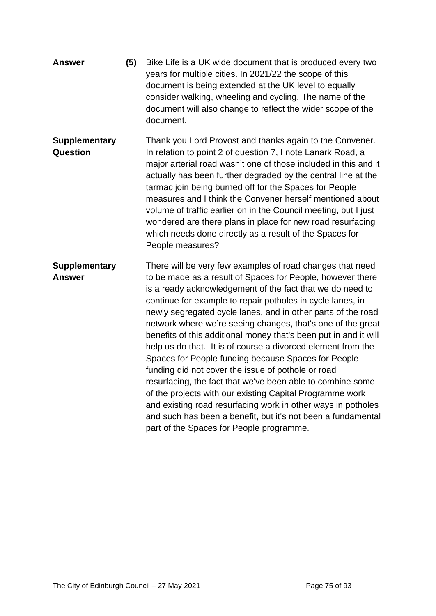| <b>Answer</b>                         | (5) | Bike Life is a UK wide document that is produced every two<br>years for multiple cities. In 2021/22 the scope of this<br>document is being extended at the UK level to equally<br>consider walking, wheeling and cycling. The name of the<br>document will also change to reflect the wider scope of the<br>document.                                                                                                                                                                                                                                                                                                                                                                                                                                                                                                                                                                                                                    |
|---------------------------------------|-----|------------------------------------------------------------------------------------------------------------------------------------------------------------------------------------------------------------------------------------------------------------------------------------------------------------------------------------------------------------------------------------------------------------------------------------------------------------------------------------------------------------------------------------------------------------------------------------------------------------------------------------------------------------------------------------------------------------------------------------------------------------------------------------------------------------------------------------------------------------------------------------------------------------------------------------------|
| <b>Supplementary</b><br>Question      |     | Thank you Lord Provost and thanks again to the Convener.<br>In relation to point 2 of question 7, I note Lanark Road, a<br>major arterial road wasn't one of those included in this and it<br>actually has been further degraded by the central line at the<br>tarmac join being burned off for the Spaces for People<br>measures and I think the Convener herself mentioned about<br>volume of traffic earlier on in the Council meeting, but I just<br>wondered are there plans in place for new road resurfacing<br>which needs done directly as a result of the Spaces for<br>People measures?                                                                                                                                                                                                                                                                                                                                       |
| <b>Supplementary</b><br><b>Answer</b> |     | There will be very few examples of road changes that need<br>to be made as a result of Spaces for People, however there<br>is a ready acknowledgement of the fact that we do need to<br>continue for example to repair potholes in cycle lanes, in<br>newly segregated cycle lanes, and in other parts of the road<br>network where we're seeing changes, that's one of the great<br>benefits of this additional money that's been put in and it will<br>help us do that. It is of course a divorced element from the<br>Spaces for People funding because Spaces for People<br>funding did not cover the issue of pothole or road<br>resurfacing, the fact that we've been able to combine some<br>of the projects with our existing Capital Programme work<br>and existing road resurfacing work in other ways in potholes<br>and such has been a benefit, but it's not been a fundamental<br>part of the Spaces for People programme. |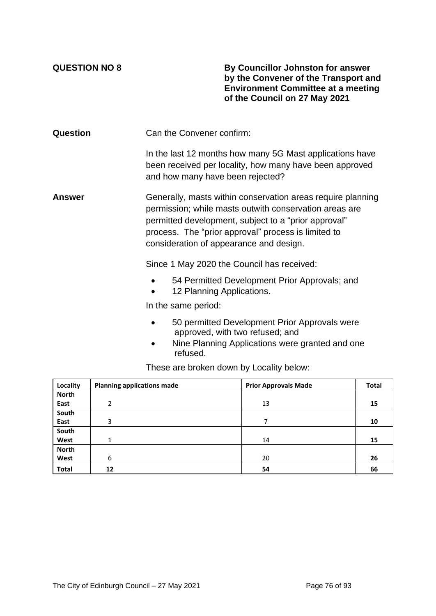**QUESTION NO 8 By Councillor Johnston for answer by the Convener of the Transport and Environment Committee at a meeting of the Council on 27 May 2021**

**Question** Can the Convener confirm: In the last 12 months how many 5G Mast applications have been received per locality, how many have been approved and how many have been rejected? **Answer** Generally, masts within conservation areas require planning permission; while masts outwith conservation areas are permitted development, subject to a "prior approval" process. The "prior approval" process is limited to consideration of appearance and design. Since 1 May 2020 the Council has received:

- 54 Permitted Development Prior Approvals; and
- 12 Planning Applications.

In the same period:

- 50 permitted Development Prior Approvals were approved, with two refused; and
- Nine Planning Applications were granted and one refused.

These are broken down by Locality below:

| Locality     | <b>Planning applications made</b> | <b>Prior Approvals Made</b> | <b>Total</b> |
|--------------|-----------------------------------|-----------------------------|--------------|
| <b>North</b> |                                   |                             |              |
| East         | 2                                 | 13                          | 15           |
| South        |                                   |                             |              |
| East         | 3                                 | ⇁                           | 10           |
| South        |                                   |                             |              |
| West         | 1                                 | 14                          | 15           |
| <b>North</b> |                                   |                             |              |
| West         | 6                                 | 20                          | 26           |
| <b>Total</b> | 12                                | 54                          | 66           |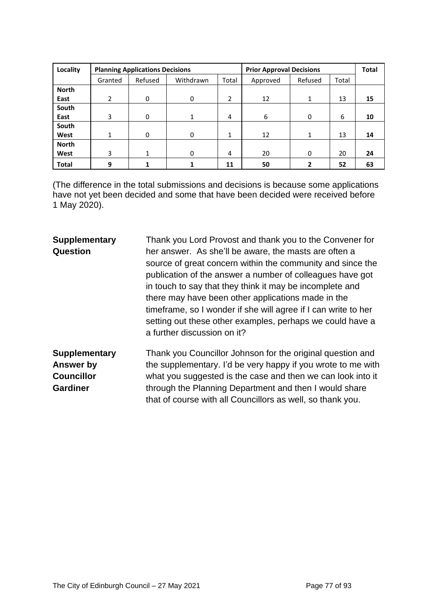| Locality     |                | <b>Planning Applications Decisions</b> |           |       |          | <b>Prior Approval Decisions</b> |       |    |
|--------------|----------------|----------------------------------------|-----------|-------|----------|---------------------------------|-------|----|
|              | Granted        | Refused                                | Withdrawn | Total | Approved | Refused                         | Total |    |
| <b>North</b> |                |                                        |           |       |          |                                 |       |    |
| East         | $\overline{2}$ | 0                                      | 0         | 2     | 12       | 1                               | 13    | 15 |
| South        |                |                                        |           |       |          |                                 |       |    |
| East         | $\overline{3}$ | 0                                      |           | 4     | 6        | 0                               | 6     | 10 |
| South        |                |                                        |           |       |          |                                 |       |    |
| West         | 1              | 0                                      | 0         | 1     | 12       |                                 | 13    | 14 |
| <b>North</b> |                |                                        |           |       |          |                                 |       |    |
| West         | 3              |                                        | 0         | 4     | 20       | 0                               | 20    | 24 |
| <b>Total</b> | 9              |                                        |           | 11    | 50       | 2                               | 52    | 63 |

(The difference in the total submissions and decisions is because some applications have not yet been decided and some that have been decided were received before 1 May 2020).

### **Supplementary Question** Thank you Lord Provost and thank you to the Convener for her answer. As she'll be aware, the masts are often a source of great concern within the community and since the publication of the answer a number of colleagues have got in touch to say that they think it may be incomplete and there may have been other applications made in the timeframe, so I wonder if she will agree if I can write to her setting out these other examples, perhaps we could have a a further discussion on it? **Supplementary Answer by Councillor**  Thank you Councillor Johnson for the original question and the supplementary. I'd be very happy if you wrote to me with

**Gardiner**

what you suggested is the case and then we can look into it through the Planning Department and then I would share that of course with all Councillors as well, so thank you.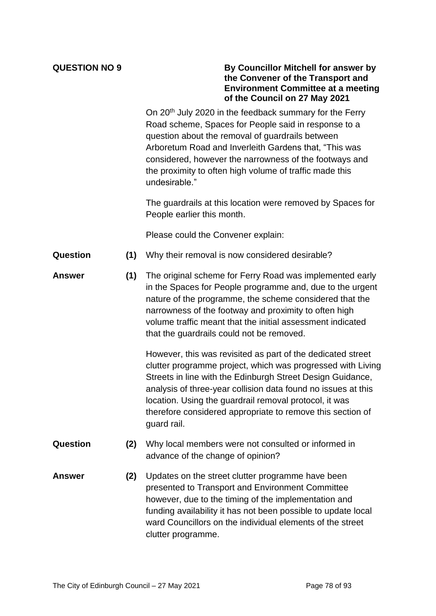| <b>QUESTION NO 9</b> |  |  |
|----------------------|--|--|
|                      |  |  |

# **QUESTION NO 9 By Councillor Mitchell for answer by the Convener of the Transport and Environment Committee at a meeting of the Council on 27 May 2021**

On 20<sup>th</sup> July 2020 in the feedback summary for the Ferry Road scheme, Spaces for People said in response to a question about the removal of guardrails between Arboretum Road and Inverleith Gardens that, "This was considered, however the narrowness of the footways and the proximity to often high volume of traffic made this undesirable."

The guardrails at this location were removed by Spaces for People earlier this month.

Please could the Convener explain:

- **Question (1)** Why their removal is now considered desirable?
- **Answer (1)** The original scheme for Ferry Road was implemented early in the Spaces for People programme and, due to the urgent nature of the programme, the scheme considered that the narrowness of the footway and proximity to often high volume traffic meant that the initial assessment indicated that the guardrails could not be removed.

However, this was revisited as part of the dedicated street clutter programme project, which was progressed with Living Streets in line with the Edinburgh Street Design Guidance, analysis of three-year collision data found no issues at this location. Using the guardrail removal protocol, it was therefore considered appropriate to remove this section of guard rail.

- **Question (2)** Why local members were not consulted or informed in advance of the change of opinion?
- **Answer (2)** Updates on the street clutter programme have been presented to Transport and Environment Committee however, due to the timing of the implementation and funding availability it has not been possible to update local ward Councillors on the individual elements of the street clutter programme.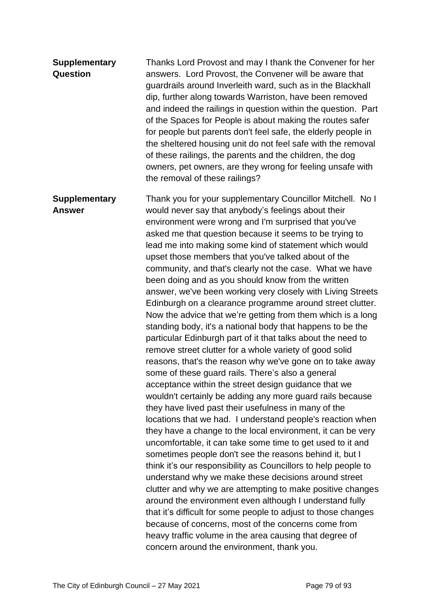| <b>Supplementary</b><br><b>Question</b> | Thanks Lord Provost and may I thank the Convener for her<br>answers. Lord Provost, the Convener will be aware that<br>guardrails around Inverleith ward, such as in the Blackhall<br>dip, further along towards Warriston, have been removed<br>and indeed the railings in question within the question. Part<br>of the Spaces for People is about making the routes safer<br>for people but parents don't feel safe, the elderly people in<br>the sheltered housing unit do not feel safe with the removal<br>of these railings, the parents and the children, the dog<br>owners, pet owners, are they wrong for feeling unsafe with<br>the removal of these railings?                                                                                                                                                                                                                                                                                                                                                                                                                                                                                                                                                                                                                                                                                                                                                                                                                                                                                                                                                                                                                                                                                                                                                                                                                               |
|-----------------------------------------|-------------------------------------------------------------------------------------------------------------------------------------------------------------------------------------------------------------------------------------------------------------------------------------------------------------------------------------------------------------------------------------------------------------------------------------------------------------------------------------------------------------------------------------------------------------------------------------------------------------------------------------------------------------------------------------------------------------------------------------------------------------------------------------------------------------------------------------------------------------------------------------------------------------------------------------------------------------------------------------------------------------------------------------------------------------------------------------------------------------------------------------------------------------------------------------------------------------------------------------------------------------------------------------------------------------------------------------------------------------------------------------------------------------------------------------------------------------------------------------------------------------------------------------------------------------------------------------------------------------------------------------------------------------------------------------------------------------------------------------------------------------------------------------------------------------------------------------------------------------------------------------------------------|
| <b>Supplementary</b><br><b>Answer</b>   | Thank you for your supplementary Councillor Mitchell. No I<br>would never say that anybody's feelings about their<br>environment were wrong and I'm surprised that you've<br>asked me that question because it seems to be trying to<br>lead me into making some kind of statement which would<br>upset those members that you've talked about of the<br>community, and that's clearly not the case. What we have<br>been doing and as you should know from the written<br>answer, we've been working very closely with Living Streets<br>Edinburgh on a clearance programme around street clutter.<br>Now the advice that we're getting from them which is a long<br>standing body, it's a national body that happens to be the<br>particular Edinburgh part of it that talks about the need to<br>remove street clutter for a whole variety of good solid<br>reasons, that's the reason why we've gone on to take away<br>some of these guard rails. There's also a general<br>acceptance within the street design guidance that we<br>wouldn't certainly be adding any more guard rails because<br>they have lived past their usefulness in many of the<br>locations that we had. I understand people's reaction when<br>they have a change to the local environment, it can be very<br>uncomfortable, it can take some time to get used to it and<br>sometimes people don't see the reasons behind it, but I<br>think it's our responsibility as Councillors to help people to<br>understand why we make these decisions around street<br>clutter and why we are attempting to make positive changes<br>around the environment even although I understand fully<br>that it's difficult for some people to adjust to those changes<br>because of concerns, most of the concerns come from<br>heavy traffic volume in the area causing that degree of<br>concern around the environment, thank you. |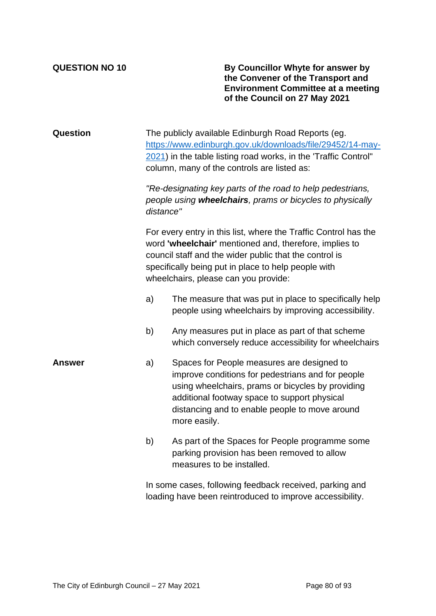**QUESTION NO 10 By Councillor Whyte for answer by the Convener of the Transport and Environment Committee at a meeting of the Council on 27 May 2021**

| <b>Question</b> |           | The publicly available Edinburgh Road Reports (eg.<br>https://www.edinburgh.gov.uk/downloads/file/29452/14-may-<br>2021) in the table listing road works, in the 'Traffic Control"<br>column, many of the controls are listed as:                                                  |
|-----------------|-----------|------------------------------------------------------------------------------------------------------------------------------------------------------------------------------------------------------------------------------------------------------------------------------------|
|                 | distance" | "Re-designating key parts of the road to help pedestrians,<br>people using wheelchairs, prams or bicycles to physically                                                                                                                                                            |
|                 |           | For every entry in this list, where the Traffic Control has the<br>word 'wheelchair' mentioned and, therefore, implies to<br>council staff and the wider public that the control is<br>specifically being put in place to help people with<br>wheelchairs, please can you provide: |
|                 | a)        | The measure that was put in place to specifically help<br>people using wheelchairs by improving accessibility.                                                                                                                                                                     |
|                 | b)        | Any measures put in place as part of that scheme<br>which conversely reduce accessibility for wheelchairs                                                                                                                                                                          |
| Answer          | a)        | Spaces for People measures are designed to<br>improve conditions for pedestrians and for people<br>using wheelchairs, prams or bicycles by providing<br>additional footway space to support physical<br>distancing and to enable people to move around<br>more easily.             |
|                 | b)        | As part of the Spaces for People programme some<br>parking provision has been removed to allow<br>measures to be installed.                                                                                                                                                        |
|                 |           | In some cases, following feedback received, parking and                                                                                                                                                                                                                            |

loading have been reintroduced to improve accessibility.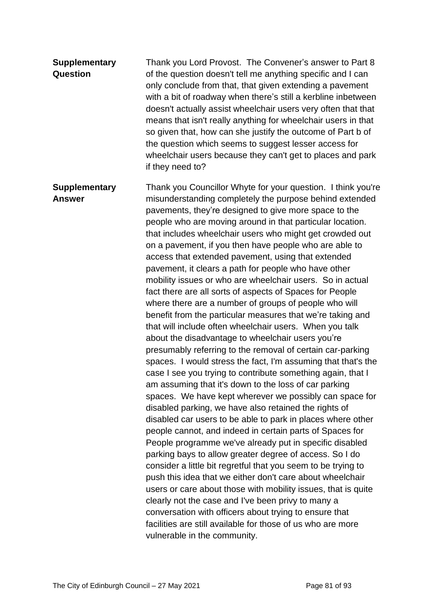| <b>Supplementary</b> | Thank you Lord Provost. The Convener's answer to Part 8       |
|----------------------|---------------------------------------------------------------|
| Question             | of the question doesn't tell me anything specific and I can   |
|                      | only conclude from that, that given extending a pavement      |
|                      | with a bit of roadway when there's still a kerbline inbetween |
|                      | doesn't actually assist wheelchair users very often that that |
|                      | means that isn't really anything for wheelchair users in that |
|                      | so given that, how can she justify the outcome of Part b of   |
|                      | the question which seems to suggest lesser access for         |
|                      | wheelchair users because they can't get to places and park    |
|                      | if they need to?                                              |

**Supplementary Answer** Thank you Councillor Whyte for your question. I think you're misunderstanding completely the purpose behind extended pavements, they're designed to give more space to the people who are moving around in that particular location. that includes wheelchair users who might get crowded out on a pavement, if you then have people who are able to access that extended pavement, using that extended pavement, it clears a path for people who have other mobility issues or who are wheelchair users. So in actual fact there are all sorts of aspects of Spaces for People where there are a number of groups of people who will benefit from the particular measures that we're taking and that will include often wheelchair users. When you talk about the disadvantage to wheelchair users you're presumably referring to the removal of certain car-parking spaces. I would stress the fact, I'm assuming that that's the case I see you trying to contribute something again, that I am assuming that it's down to the loss of car parking spaces. We have kept wherever we possibly can space for disabled parking, we have also retained the rights of disabled car users to be able to park in places where other people cannot, and indeed in certain parts of Spaces for People programme we've already put in specific disabled parking bays to allow greater degree of access. So I do consider a little bit regretful that you seem to be trying to push this idea that we either don't care about wheelchair users or care about those with mobility issues, that is quite clearly not the case and I've been privy to many a conversation with officers about trying to ensure that facilities are still available for those of us who are more vulnerable in the community.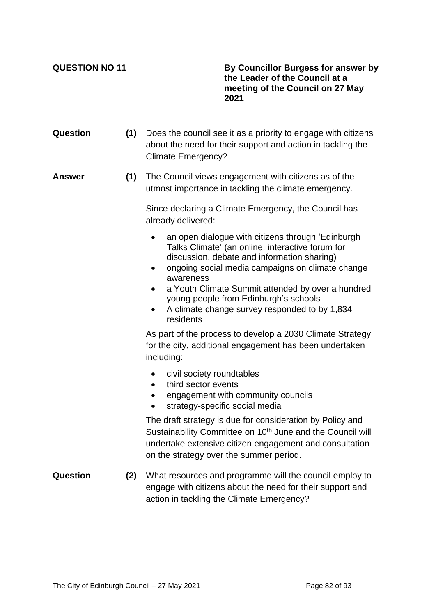**QUESTION NO 11 By Councillor Burgess for answer by the Leader of the Council at a meeting of the Council on 27 May 2021**

**Question (1)** Does the council see it as a priority to engage with citizens about the need for their support and action in tackling the Climate Emergency? **Answer (1)** The Council views engagement with citizens as of the utmost importance in tackling the climate emergency. Since declaring a Climate Emergency, the Council has already delivered: an open dialogue with citizens through 'Edinburgh Talks Climate' (an online, interactive forum for discussion, debate and information sharing) • ongoing social media campaigns on climate change awareness a Youth Climate Summit attended by over a hundred young people from Edinburgh's schools • A climate change survey responded to by 1,834 residents As part of the process to develop a 2030 Climate Strategy for the city, additional engagement has been undertaken including: • civil society roundtables • third sector events • engagement with community councils • strategy-specific social media The draft strategy is due for consideration by Policy and Sustainability Committee on 10<sup>th</sup> June and the Council will undertake extensive citizen engagement and consultation on the strategy over the summer period. **Question (2)** What resources and programme will the council employ to engage with citizens about the need for their support and action in tackling the Climate Emergency?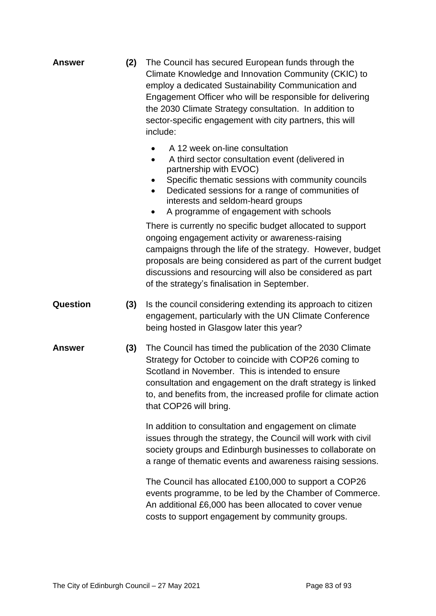| <b>Answer</b><br>(2) | The Council has secured European funds through the<br>Climate Knowledge and Innovation Community (CKIC) to<br>employ a dedicated Sustainability Communication and<br>Engagement Officer who will be responsible for delivering<br>the 2030 Climate Strategy consultation. In addition to<br>sector-specific engagement with city partners, this will<br>include: |
|----------------------|------------------------------------------------------------------------------------------------------------------------------------------------------------------------------------------------------------------------------------------------------------------------------------------------------------------------------------------------------------------|
|----------------------|------------------------------------------------------------------------------------------------------------------------------------------------------------------------------------------------------------------------------------------------------------------------------------------------------------------------------------------------------------------|

- A 12 week on-line consultation
- A third sector consultation event (delivered in partnership with EVOC)
- Specific thematic sessions with community councils
- Dedicated sessions for a range of communities of interests and seldom-heard groups
- A programme of engagement with schools

There is currently no specific budget allocated to support ongoing engagement activity or awareness-raising campaigns through the life of the strategy. However, budget proposals are being considered as part of the current budget discussions and resourcing will also be considered as part of the strategy's finalisation in September.

- **Question (3)** Is the council considering extending its approach to citizen engagement, particularly with the UN Climate Conference being hosted in Glasgow later this year?
- **Answer (3)** The Council has timed the publication of the 2030 Climate Strategy for October to coincide with COP26 coming to Scotland in November. This is intended to ensure consultation and engagement on the draft strategy is linked to, and benefits from, the increased profile for climate action that COP26 will bring.

In addition to consultation and engagement on climate issues through the strategy, the Council will work with civil society groups and Edinburgh businesses to collaborate on a range of thematic events and awareness raising sessions.

The Council has allocated £100,000 to support a COP26 events programme, to be led by the Chamber of Commerce. An additional £6,000 has been allocated to cover venue costs to support engagement by community groups.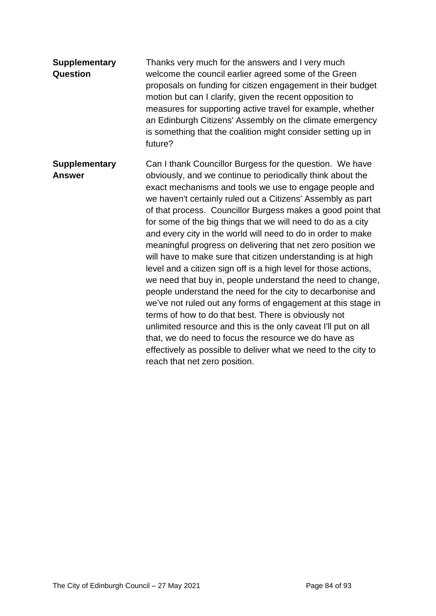| <b>Supplementary</b><br>Question      | Thanks very much for the answers and I very much<br>welcome the council earlier agreed some of the Green<br>proposals on funding for citizen engagement in their budget<br>motion but can I clarify, given the recent opposition to<br>measures for supporting active travel for example, whether<br>an Edinburgh Citizens' Assembly on the climate emergency<br>is something that the coalition might consider setting up in<br>future?                                                                                                                                                                                                                                                                                                                                                                                                                                                                                                                                                                                                                                                                                          |
|---------------------------------------|-----------------------------------------------------------------------------------------------------------------------------------------------------------------------------------------------------------------------------------------------------------------------------------------------------------------------------------------------------------------------------------------------------------------------------------------------------------------------------------------------------------------------------------------------------------------------------------------------------------------------------------------------------------------------------------------------------------------------------------------------------------------------------------------------------------------------------------------------------------------------------------------------------------------------------------------------------------------------------------------------------------------------------------------------------------------------------------------------------------------------------------|
| <b>Supplementary</b><br><b>Answer</b> | Can I thank Councillor Burgess for the question. We have<br>obviously, and we continue to periodically think about the<br>exact mechanisms and tools we use to engage people and<br>we haven't certainly ruled out a Citizens' Assembly as part<br>of that process. Councillor Burgess makes a good point that<br>for some of the big things that we will need to do as a city<br>and every city in the world will need to do in order to make<br>meaningful progress on delivering that net zero position we<br>will have to make sure that citizen understanding is at high<br>level and a citizen sign off is a high level for those actions,<br>we need that buy in, people understand the need to change,<br>people understand the need for the city to decarbonise and<br>we've not ruled out any forms of engagement at this stage in<br>terms of how to do that best. There is obviously not<br>unlimited resource and this is the only caveat I'll put on all<br>that, we do need to focus the resource we do have as<br>effectively as possible to deliver what we need to the city to<br>reach that net zero position. |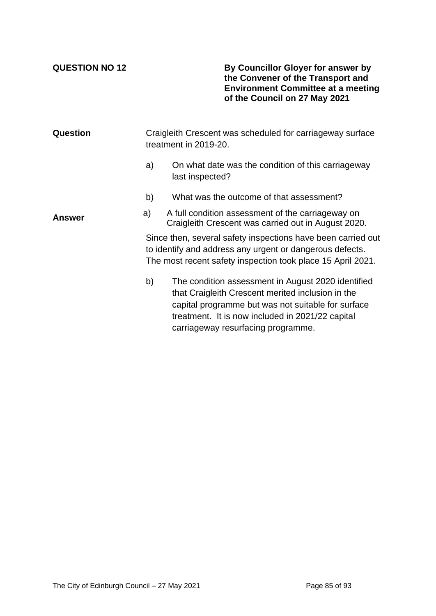**QUESTION NO 12 By Councillor Gloyer for answer by the Convener of the Transport and Environment Committee at a meeting of the Council on 27 May 2021**

| Question | Craigleith Crescent was scheduled for carriageway surface<br>treatment in 2019-20. |                                                                                                                                                                                                                                                         |  |  |
|----------|------------------------------------------------------------------------------------|---------------------------------------------------------------------------------------------------------------------------------------------------------------------------------------------------------------------------------------------------------|--|--|
|          | a)                                                                                 | On what date was the condition of this carriageway<br>last inspected?                                                                                                                                                                                   |  |  |
|          | b)                                                                                 | What was the outcome of that assessment?                                                                                                                                                                                                                |  |  |
| Answer   | a)                                                                                 | A full condition assessment of the carriageway on<br>Craigleith Crescent was carried out in August 2020.                                                                                                                                                |  |  |
|          |                                                                                    | Since then, several safety inspections have been carried out<br>to identify and address any urgent or dangerous defects.<br>The most recent safety inspection took place 15 April 2021.                                                                 |  |  |
|          | b)                                                                                 | The condition assessment in August 2020 identified<br>that Craigleith Crescent merited inclusion in the<br>capital programme but was not suitable for surface<br>treatment. It is now included in 2021/22 capital<br>carriageway resurfacing programme. |  |  |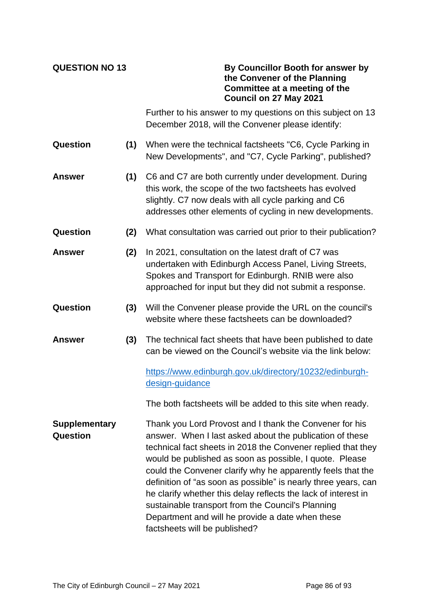| <b>QUESTION NO 13</b>            |     | By Councillor Booth for answer by<br>the Convener of the Planning<br>Committee at a meeting of the<br>Council on 27 May 2021                                                                                                                                                                                                                                                                                                                                                                                                                                                                |
|----------------------------------|-----|---------------------------------------------------------------------------------------------------------------------------------------------------------------------------------------------------------------------------------------------------------------------------------------------------------------------------------------------------------------------------------------------------------------------------------------------------------------------------------------------------------------------------------------------------------------------------------------------|
|                                  |     | Further to his answer to my questions on this subject on 13<br>December 2018, will the Convener please identify:                                                                                                                                                                                                                                                                                                                                                                                                                                                                            |
| Question                         | (1) | When were the technical factsheets "C6, Cycle Parking in<br>New Developments", and "C7, Cycle Parking", published?                                                                                                                                                                                                                                                                                                                                                                                                                                                                          |
| <b>Answer</b>                    | (1) | C6 and C7 are both currently under development. During<br>this work, the scope of the two factsheets has evolved<br>slightly. C7 now deals with all cycle parking and C6<br>addresses other elements of cycling in new developments.                                                                                                                                                                                                                                                                                                                                                        |
| Question                         | (2) | What consultation was carried out prior to their publication?                                                                                                                                                                                                                                                                                                                                                                                                                                                                                                                               |
| <b>Answer</b>                    | (2) | In 2021, consultation on the latest draft of C7 was<br>undertaken with Edinburgh Access Panel, Living Streets,<br>Spokes and Transport for Edinburgh. RNIB were also<br>approached for input but they did not submit a response.                                                                                                                                                                                                                                                                                                                                                            |
| Question                         | (3) | Will the Convener please provide the URL on the council's<br>website where these factsheets can be downloaded?                                                                                                                                                                                                                                                                                                                                                                                                                                                                              |
| Answer                           | (3) | The technical fact sheets that have been published to date<br>can be viewed on the Council's website via the link below:                                                                                                                                                                                                                                                                                                                                                                                                                                                                    |
|                                  |     | https://www.edinburgh.gov.uk/directory/10232/edinburgh-<br>design-guidance                                                                                                                                                                                                                                                                                                                                                                                                                                                                                                                  |
|                                  |     | The both factsheets will be added to this site when ready.                                                                                                                                                                                                                                                                                                                                                                                                                                                                                                                                  |
| <b>Supplementary</b><br>Question |     | Thank you Lord Provost and I thank the Convener for his<br>answer. When I last asked about the publication of these<br>technical fact sheets in 2018 the Convener replied that they<br>would be published as soon as possible, I quote. Please<br>could the Convener clarify why he apparently feels that the<br>definition of "as soon as possible" is nearly three years, can<br>he clarify whether this delay reflects the lack of interest in<br>sustainable transport from the Council's Planning<br>Department and will he provide a date when these<br>factsheets will be published? |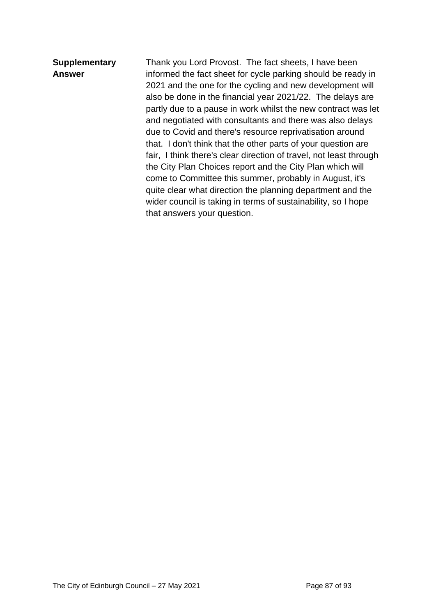## **Supplementary Answer** Thank you Lord Provost. The fact sheets, I have been informed the fact sheet for cycle parking should be ready in 2021 and the one for the cycling and new development will also be done in the financial year 2021/22. The delays are partly due to a pause in work whilst the new contract was let and negotiated with consultants and there was also delays due to Covid and there's resource reprivatisation around that. I don't think that the other parts of your question are fair, I think there's clear direction of travel, not least through the City Plan Choices report and the City Plan which will come to Committee this summer, probably in August, it's quite clear what direction the planning department and the wider council is taking in terms of sustainability, so I hope that answers your question.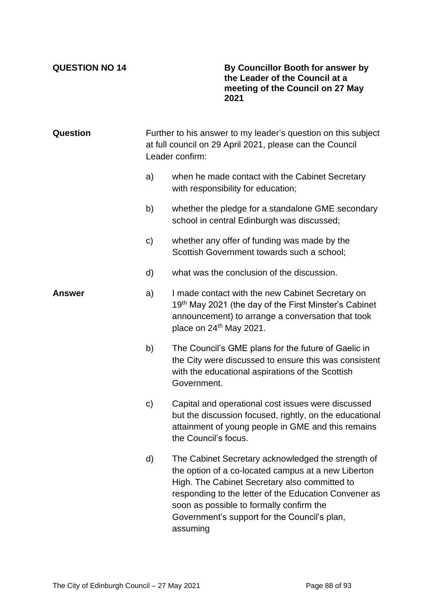**QUESTION NO 14 By Councillor Booth for answer by the Leader of the Council at a meeting of the Council on 27 May 2021**

| Question | Further to his answer to my leader's question on this subject<br>at full council on 29 April 2021, please can the Council<br>Leader confirm: |                                                                                                                                                                                                                                                                                                                             |
|----------|----------------------------------------------------------------------------------------------------------------------------------------------|-----------------------------------------------------------------------------------------------------------------------------------------------------------------------------------------------------------------------------------------------------------------------------------------------------------------------------|
|          | a)                                                                                                                                           | when he made contact with the Cabinet Secretary<br>with responsibility for education;                                                                                                                                                                                                                                       |
|          | b)                                                                                                                                           | whether the pledge for a standalone GME secondary<br>school in central Edinburgh was discussed;                                                                                                                                                                                                                             |
|          | $\mathsf{c})$                                                                                                                                | whether any offer of funding was made by the<br>Scottish Government towards such a school;                                                                                                                                                                                                                                  |
|          | d)                                                                                                                                           | what was the conclusion of the discussion.                                                                                                                                                                                                                                                                                  |
| Answer   | a)                                                                                                                                           | I made contact with the new Cabinet Secretary on<br>19th May 2021 (the day of the First Minster's Cabinet<br>announcement) to arrange a conversation that took<br>place on 24 <sup>th</sup> May 2021.                                                                                                                       |
|          | b)                                                                                                                                           | The Council's GME plans for the future of Gaelic in<br>the City were discussed to ensure this was consistent<br>with the educational aspirations of the Scottish<br>Government.                                                                                                                                             |
|          | $\mathbf{C}$                                                                                                                                 | Capital and operational cost issues were discussed<br>but the discussion focused, rightly, on the educational<br>attainment of young people in GME and this remains<br>the Council's focus.                                                                                                                                 |
|          | d)                                                                                                                                           | The Cabinet Secretary acknowledged the strength of<br>the option of a co-located campus at a new Liberton<br>High. The Cabinet Secretary also committed to<br>responding to the letter of the Education Convener as<br>soon as possible to formally confirm the<br>Government's support for the Council's plan,<br>assuming |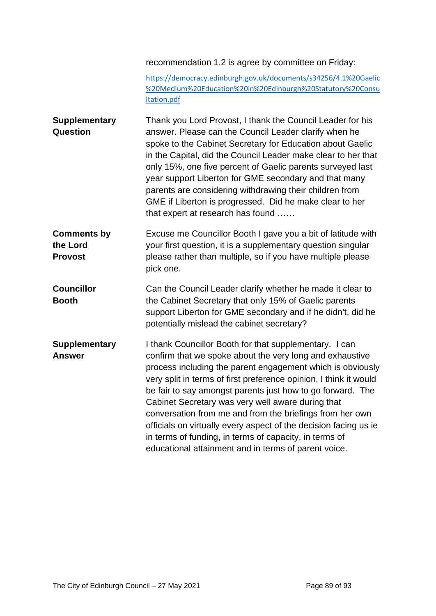### recommendation 1.2 is agree by committee on Friday:

[https://democracy.edinburgh.gov.uk/documents/s34256/4.1%20Gaelic](https://democracy.edinburgh.gov.uk/documents/s34256/4.1%20Gaelic%20Medium%20Education%20in%20Edinburgh%20Statutory%20Consultation.pdf) [%20Medium%20Education%20in%20Edinburgh%20Statutory%20Consu](https://democracy.edinburgh.gov.uk/documents/s34256/4.1%20Gaelic%20Medium%20Education%20in%20Edinburgh%20Statutory%20Consultation.pdf) [ltation.pdf](https://democracy.edinburgh.gov.uk/documents/s34256/4.1%20Gaelic%20Medium%20Education%20in%20Edinburgh%20Statutory%20Consultation.pdf)

- **Supplementary Question** Thank you Lord Provost, I thank the Council Leader for his answer. Please can the Council Leader clarify when he spoke to the Cabinet Secretary for Education about Gaelic in the Capital, did the Council Leader make clear to her that only 15%, one five percent of Gaelic parents surveyed last year support Liberton for GME secondary and that many parents are considering withdrawing their children from GME if Liberton is progressed. Did he make clear to her that expert at research has found ……
- **Comments by the Lord Provost** Excuse me Councillor Booth I gave you a bit of latitude with your first question, it is a supplementary question singular please rather than multiple, so if you have multiple please pick one.
- **Councillor Booth** Can the Council Leader clarify whether he made it clear to the Cabinet Secretary that only 15% of Gaelic parents support Liberton for GME secondary and if he didn't, did he potentially mislead the cabinet secretary?
- **Supplementary Answer** I thank Councillor Booth for that supplementary. I can confirm that we spoke about the very long and exhaustive process including the parent engagement which is obviously very split in terms of first preference opinion, I think it would be fair to say amongst parents just how to go forward. The Cabinet Secretary was very well aware during that conversation from me and from the briefings from her own officials on virtually every aspect of the decision facing us ie in terms of funding, in terms of capacity, in terms of educational attainment and in terms of parent voice.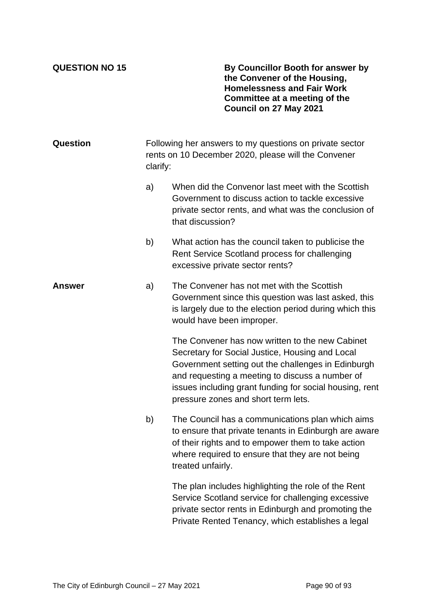**QUESTION NO 15 By Councillor Booth for answer by the Convener of the Housing, Homelessness and Fair Work Committee at a meeting of the Council on 27 May 2021**

| Question |    | Following her answers to my questions on private sector<br>rents on 10 December 2020, please will the Convener<br>clarify:                                                                                                                                                                                    |  |  |
|----------|----|---------------------------------------------------------------------------------------------------------------------------------------------------------------------------------------------------------------------------------------------------------------------------------------------------------------|--|--|
|          | a) | When did the Convenor last meet with the Scottish<br>Government to discuss action to tackle excessive<br>private sector rents, and what was the conclusion of<br>that discussion?                                                                                                                             |  |  |
|          | b) | What action has the council taken to publicise the<br>Rent Service Scotland process for challenging<br>excessive private sector rents?                                                                                                                                                                        |  |  |
| Answer   | a) | The Convener has not met with the Scottish<br>Government since this question was last asked, this<br>is largely due to the election period during which this<br>would have been improper.                                                                                                                     |  |  |
|          |    | The Convener has now written to the new Cabinet<br>Secretary for Social Justice, Housing and Local<br>Government setting out the challenges in Edinburgh<br>and requesting a meeting to discuss a number of<br>issues including grant funding for social housing, rent<br>pressure zones and short term lets. |  |  |
|          | b) | The Council has a communications plan which aims<br>to ensure that private tenants in Edinburgh are aware<br>of their rights and to empower them to take action<br>where required to ensure that they are not being<br>treated unfairly.                                                                      |  |  |
|          |    | The plan includes highlighting the role of the Rent<br>Service Scotland service for challenging excessive<br>private sector rents in Edinburgh and promoting the<br>Private Rented Tenancy, which establishes a legal                                                                                         |  |  |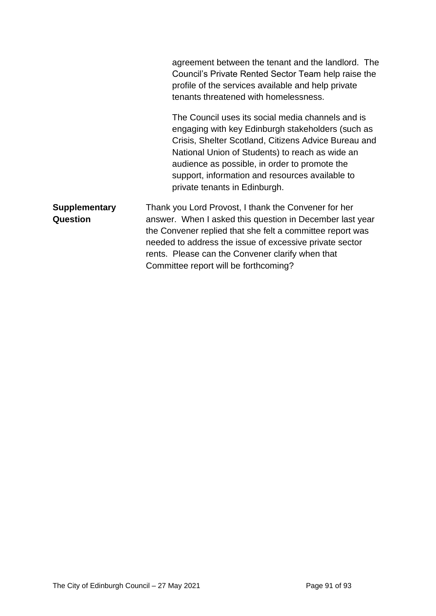|                                  | agreement between the tenant and the landlord. The<br>Council's Private Rented Sector Team help raise the<br>profile of the services available and help private<br>tenants threatened with homelessness.                                                                                                                                               |
|----------------------------------|--------------------------------------------------------------------------------------------------------------------------------------------------------------------------------------------------------------------------------------------------------------------------------------------------------------------------------------------------------|
|                                  | The Council uses its social media channels and is<br>engaging with key Edinburgh stakeholders (such as<br>Crisis, Shelter Scotland, Citizens Advice Bureau and<br>National Union of Students) to reach as wide an<br>audience as possible, in order to promote the<br>support, information and resources available to<br>private tenants in Edinburgh. |
| <b>Supplementary</b><br>Question | Thank you Lord Provost, I thank the Convener for her<br>answer. When I asked this question in December last year<br>the Convener replied that she felt a committee report was<br>needed to address the issue of excessive private sector<br>rents. Please can the Convener clarify when that<br>Committee report will be forthcoming?                  |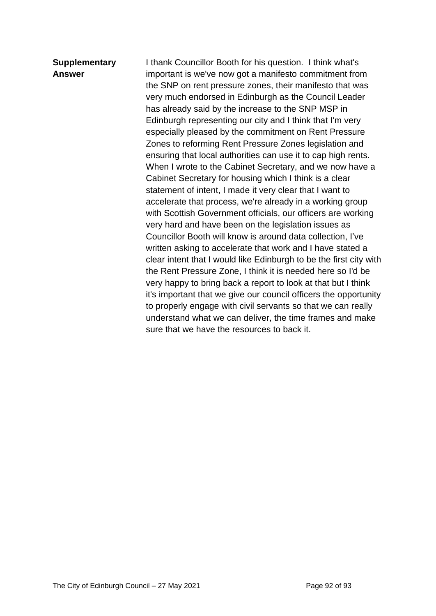# **Supplementary Answer**

I thank Councillor Booth for his question. I think what's important is we've now got a manifesto commitment from the SNP on rent pressure zones, their manifesto that was very much endorsed in Edinburgh as the Council Leader has already said by the increase to the SNP MSP in Edinburgh representing our city and I think that I'm very especially pleased by the commitment on Rent Pressure Zones to reforming Rent Pressure Zones legislation and ensuring that local authorities can use it to cap high rents. When I wrote to the Cabinet Secretary, and we now have a Cabinet Secretary for housing which I think is a clear statement of intent, I made it very clear that I want to accelerate that process, we're already in a working group with Scottish Government officials, our officers are working very hard and have been on the legislation issues as Councillor Booth will know is around data collection, I've written asking to accelerate that work and I have stated a clear intent that I would like Edinburgh to be the first city with the Rent Pressure Zone, I think it is needed here so I'd be very happy to bring back a report to look at that but I think it's important that we give our council officers the opportunity to properly engage with civil servants so that we can really understand what we can deliver, the time frames and make sure that we have the resources to back it.